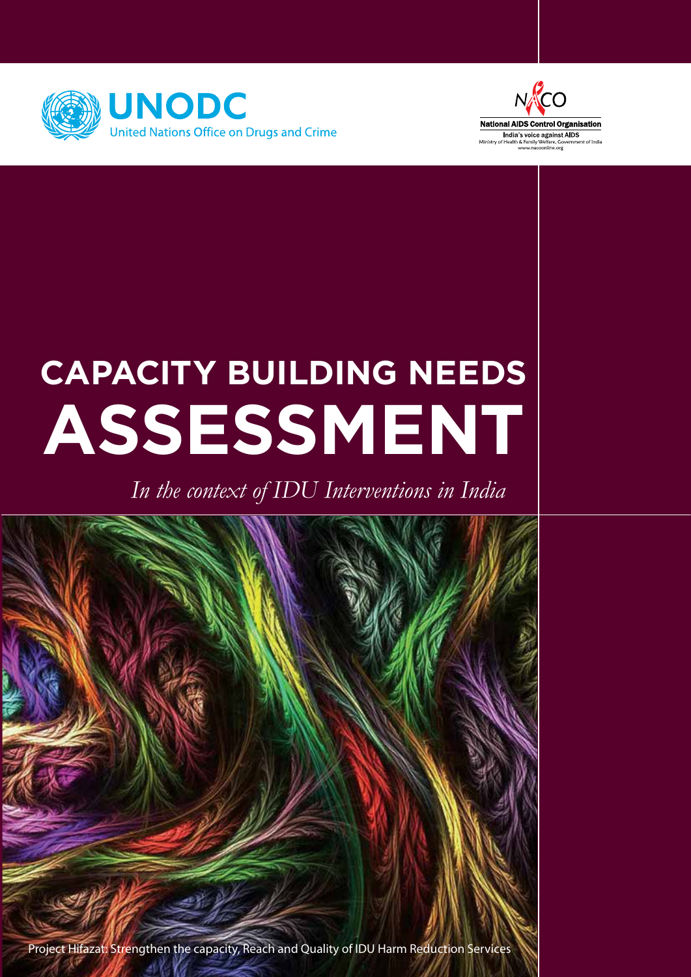



# **Capacity building needs assessment**

# *In the context of IDU Interventions in India*

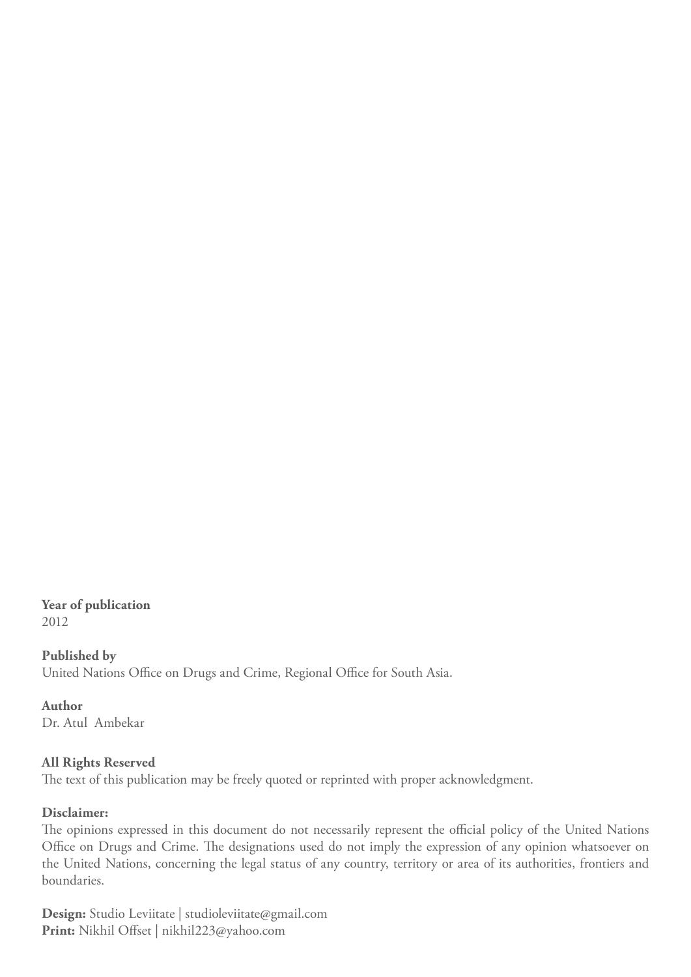**Year of publication** 2012

#### **Published by**

United Nations Office on Drugs and Crime, Regional Office for South Asia.

**Author** Dr. Atul Ambekar

#### **All Rights Reserved**

The text of this publication may be freely quoted or reprinted with proper acknowledgment.

#### **Disclaimer:**

The opinions expressed in this document do not necessarily represent the official policy of the United Nations Office on Drugs and Crime. The designations used do not imply the expression of any opinion whatsoever on the United Nations, concerning the legal status of any country, territory or area of its authorities, frontiers and boundaries.

**Design:** Studio Leviitate | studioleviitate@gmail.com Print: Nikhil Offset | nikhil223@yahoo.com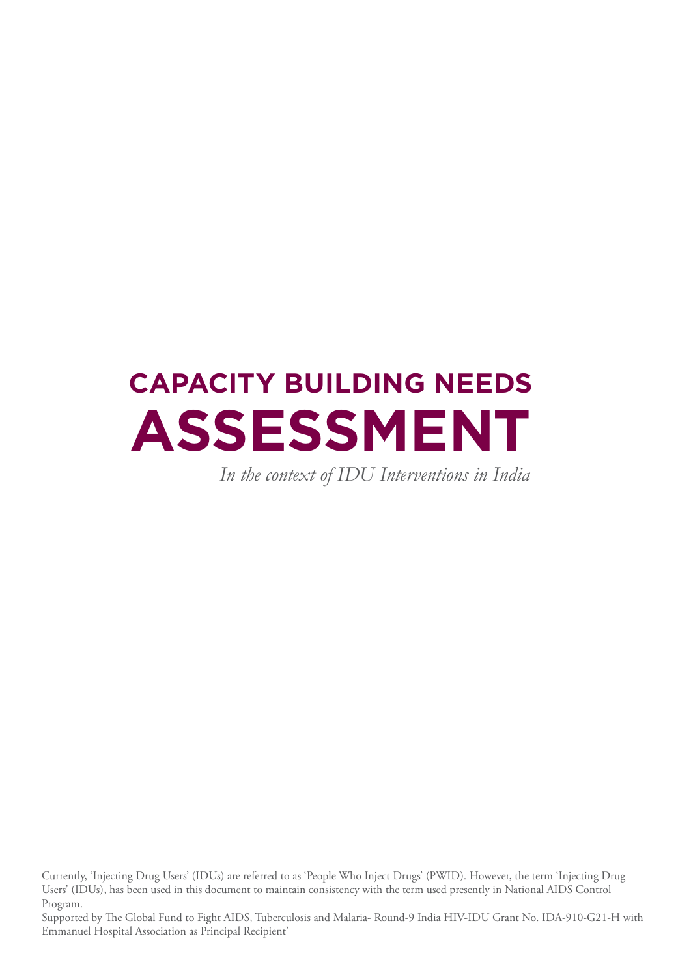# **Capacity building needs assessment**

*In the context of IDU Interventions in India*

Currently, 'Injecting Drug Users' (IDUs) are referred to as 'People Who Inject Drugs' (PWID). However, the term 'Injecting Drug Users' (IDUs), has been used in this document to maintain consistency with the term used presently in National AIDS Control Program.

Supported by The Global Fund to Fight AIDS, Tuberculosis and Malaria- Round-9 India HIV-IDU Grant No. IDA-910-G21-H with Emmanuel Hospital Association as Principal Recipient'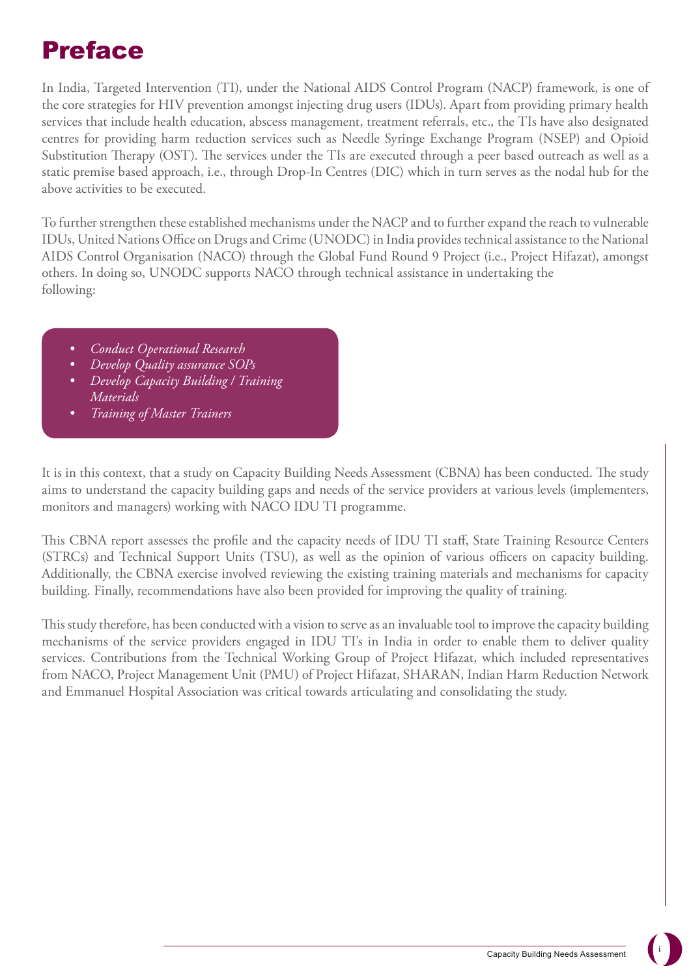# Preface

In India, Targeted Intervention (TI), under the National AIDS Control Program (NACP) framework, is one of the core strategies for HIV prevention amongst injecting drug users (IDUs). Apart from providing primary health services that include health education, abscess management, treatment referrals, etc., the TIs have also designated centres for providing harm reduction services such as Needle Syringe Exchange Program (NSEP) and Opioid Substitution Therapy (OST). The services under the TIs are executed through a peer based outreach as well as a static premise based approach, i.e., through Drop-In Centres (DIC) which in turn serves as the nodal hub for the above activities to be executed.

To further strengthen these established mechanisms under the NACP and to further expand the reach to vulnerable IDUs, United Nations Office on Drugs and Crime (UNODC) in India provides technical assistance to the National AIDS Control Organisation (NACO) through the Global Fund Round 9 Project (i.e., Project Hifazat), amongst others. In doing so, UNODC supports NACO through technical assistance in undertaking the following:

- *• Conduct Operational Research*
- *• Develop Quality assurance SOPs*
- *• Develop Capacity Building / Training Materials*
- *• Training of Master Trainers*

It is in this context, that a study on Capacity Building Needs Assessment (CBNA) has been conducted. The study aims to understand the capacity building gaps and needs of the service providers at various levels (implementers, monitors and managers) working with NACO IDU TI programme.

This CBNA report assesses the profile and the capacity needs of IDU TI staff, State Training Resource Centers (STRCs) and Technical Support Units (TSU), as well as the opinion of various officers on capacity building. Additionally, the CBNA exercise involved reviewing the existing training materials and mechanisms for capacity building. Finally, recommendations have also been provided for improving the quality of training.

This study therefore, has been conducted with a vision to serve as an invaluable tool to improve the capacity building mechanisms of the service providers engaged in IDU TI's in India in order to enable them to deliver quality services. Contributions from the Technical Working Group of Project Hifazat, which included representatives from NACO, Project Management Unit (PMU) of Project Hifazat, SHARAN, Indian Harm Reduction Network and Emmanuel Hospital Association was critical towards articulating and consolidating the study.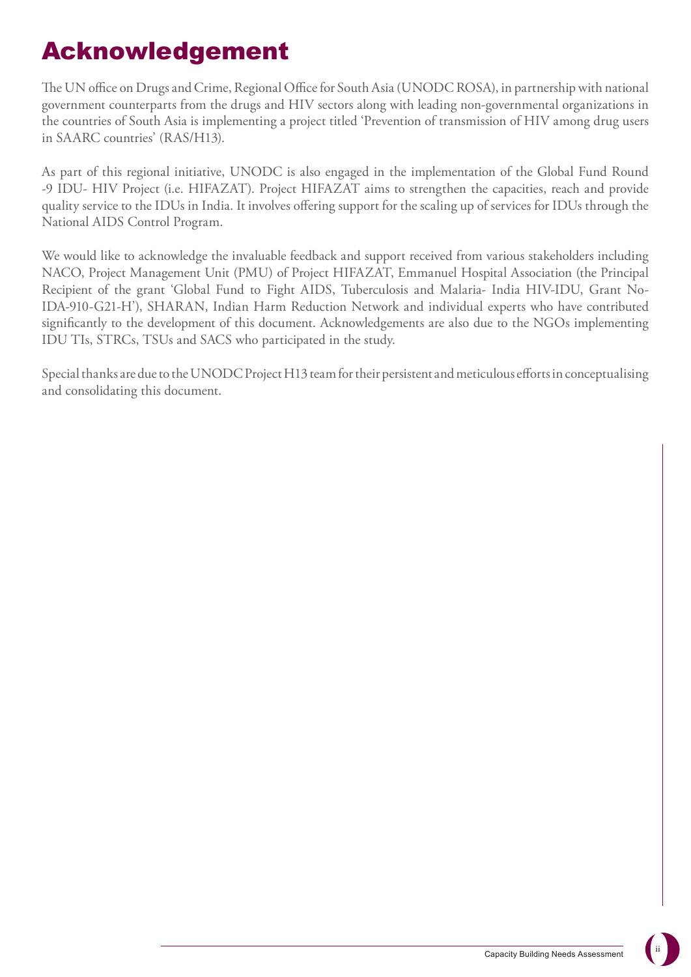# Acknowledgement

The UN office on Drugs and Crime, Regional Office for South Asia (UNODC ROSA), in partnership with national government counterparts from the drugs and HIV sectors along with leading non-governmental organizations in the countries of South Asia is implementing a project titled 'Prevention of transmission of HIV among drug users in SAARC countries' (RAS/H13).

As part of this regional initiative, UNODC is also engaged in the implementation of the Global Fund Round -9 IDU- HIV Project (i.e. HIFAZAT). Project HIFAZAT aims to strengthen the capacities, reach and provide quality service to the IDUs in India. It involves offering support for the scaling up of services for IDUs through the National AIDS Control Program.

We would like to acknowledge the invaluable feedback and support received from various stakeholders including NACO, Project Management Unit (PMU) of Project HIFAZAT, Emmanuel Hospital Association (the Principal Recipient of the grant 'Global Fund to Fight AIDS, Tuberculosis and Malaria- India HIV-IDU, Grant No-IDA-910-G21-H'), SHARAN, Indian Harm Reduction Network and individual experts who have contributed significantly to the development of this document. Acknowledgements are also due to the NGOs implementing IDU TIs, STRCs, TSUs and SACS who participated in the study.

Special thanks are due to the UNODC Project H13 team for their persistent and meticulous efforts in conceptualising and consolidating this document.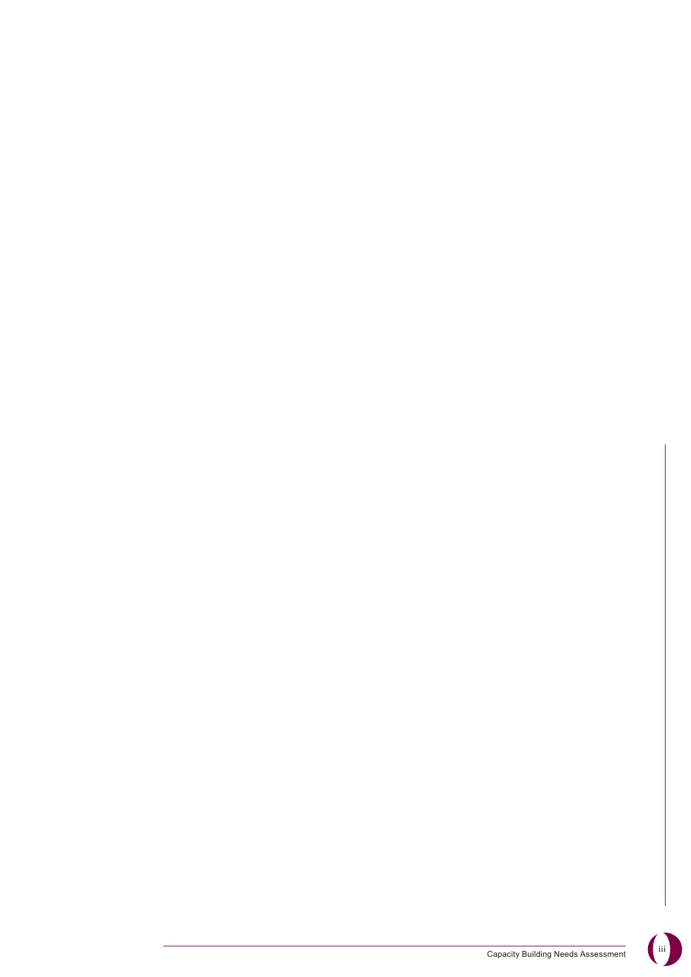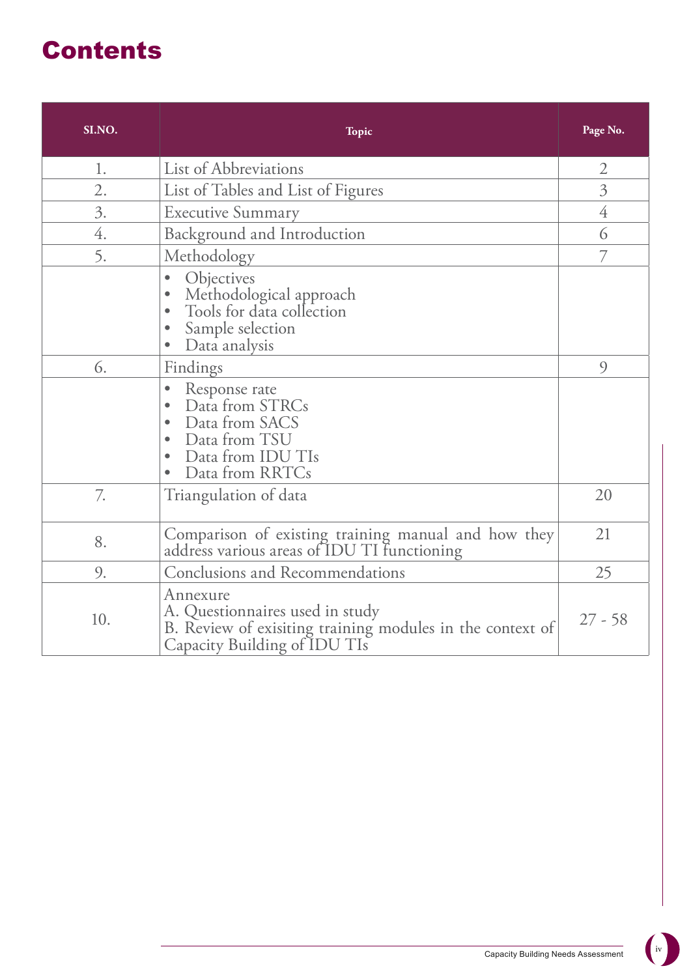# **Contents**

| SI.NO. | <b>Topic</b>                                                                                                                                                                 | Page No.       |
|--------|------------------------------------------------------------------------------------------------------------------------------------------------------------------------------|----------------|
| 1.     | List of Abbreviations                                                                                                                                                        | $\overline{2}$ |
| 2.     | List of Tables and List of Figures                                                                                                                                           | 3              |
| 3.     | <b>Executive Summary</b>                                                                                                                                                     | $\overline{4}$ |
| 4.     | Background and Introduction                                                                                                                                                  | 6              |
| 5.     | Methodology                                                                                                                                                                  | 7              |
|        | Objectives<br>Methodological approach<br>$\bullet$<br>Tools for data collection<br>$\bullet$<br>Sample selection<br>$\bullet$<br>Data analysis<br>$\bullet$                  |                |
| 6.     | Findings                                                                                                                                                                     | $\mathcal{O}$  |
|        | Response rate<br>$\bullet$<br>Data from STRCs<br>$\bullet$<br>Data from SACS<br>$\bullet$<br>Data from TSU<br>$\bullet$<br>Data from IDU TIs<br>$\bullet$<br>Data from RRTCs |                |
| 7.     | Triangulation of data                                                                                                                                                        | 20             |
| 8.     | Comparison of existing training manual and how they<br>address various areas of IDU TI functioning                                                                           | 21             |
| 9.     | <b>Conclusions and Recommendations</b>                                                                                                                                       | 25             |
| 10.    | Annexure<br>A. Questionnaires used in study<br>B. Review of exisiting training modules in the context of<br>Capacity Building of IDU TIs                                     | $27 - 58$      |

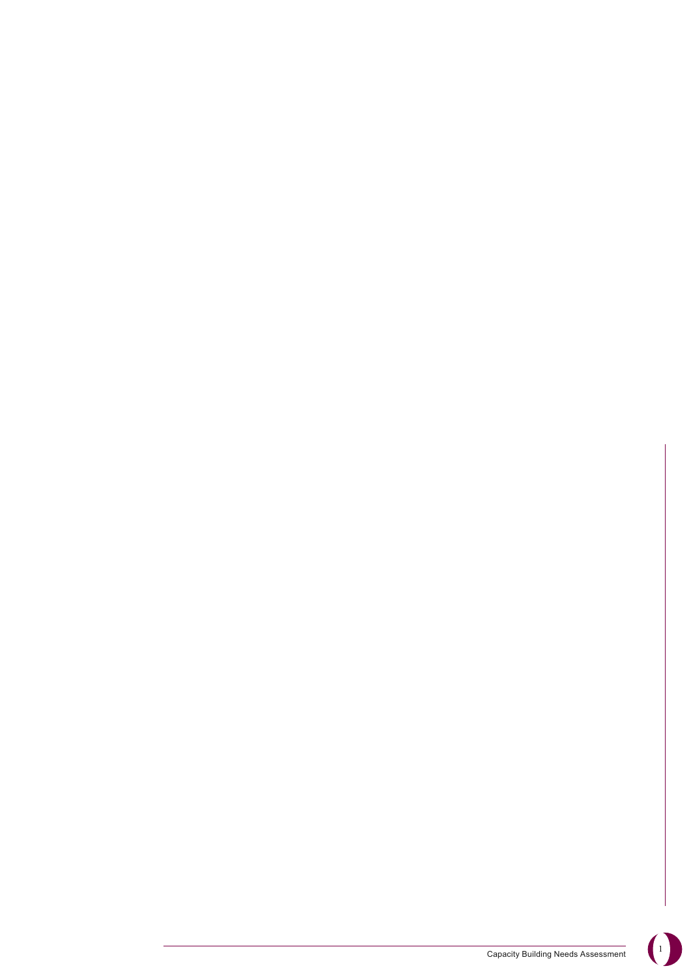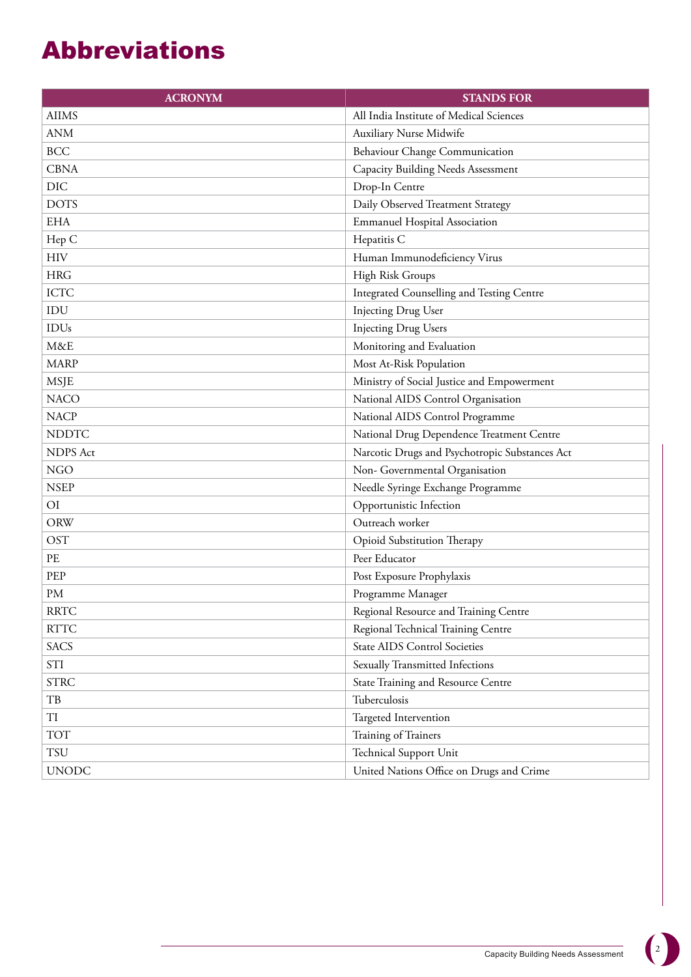# Abbreviations

| <b>ACRONYM</b>  | <b>STANDS FOR</b>                              |
|-----------------|------------------------------------------------|
| <b>AIIMS</b>    | All India Institute of Medical Sciences        |
| <b>ANM</b>      | Auxiliary Nurse Midwife                        |
| <b>BCC</b>      | Behaviour Change Communication                 |
| <b>CBNA</b>     | <b>Capacity Building Needs Assessment</b>      |
| <b>DIC</b>      | Drop-In Centre                                 |
| <b>DOTS</b>     | Daily Observed Treatment Strategy              |
| <b>EHA</b>      | <b>Emmanuel Hospital Association</b>           |
| Hep C           | Hepatitis C                                    |
| <b>HIV</b>      | Human Immunodeficiency Virus                   |
| <b>HRG</b>      | High Risk Groups                               |
| <b>ICTC</b>     | Integrated Counselling and Testing Centre      |
| IDU             | <b>Injecting Drug User</b>                     |
| IDUs            | <b>Injecting Drug Users</b>                    |
| M&E             | Monitoring and Evaluation                      |
| <b>MARP</b>     | Most At-Risk Population                        |
| <b>MSJE</b>     | Ministry of Social Justice and Empowerment     |
| <b>NACO</b>     | National AIDS Control Organisation             |
| <b>NACP</b>     | National AIDS Control Programme                |
| <b>NDDTC</b>    | National Drug Dependence Treatment Centre      |
| <b>NDPS</b> Act | Narcotic Drugs and Psychotropic Substances Act |
| <b>NGO</b>      | Non- Governmental Organisation                 |
| <b>NSEP</b>     | Needle Syringe Exchange Programme              |
| O <sub>I</sub>  | Opportunistic Infection                        |
| <b>ORW</b>      | Outreach worker                                |
| <b>OST</b>      | Opioid Substitution Therapy                    |
| PE              | Peer Educator                                  |
| PEP             | Post Exposure Prophylaxis                      |
| <b>PM</b>       | Programme Manager                              |
| <b>RRTC</b>     | Regional Resource and Training Centre          |
| <b>RTTC</b>     | Regional Technical Training Centre             |
| <b>SACS</b>     | State AIDS Control Societies                   |
| STI             | Sexually Transmitted Infections                |
| <b>STRC</b>     | State Training and Resource Centre             |
| TB              | Tuberculosis                                   |
| TI              | Targeted Intervention                          |
| <b>TOT</b>      | Training of Trainers                           |
| <b>TSU</b>      | <b>Technical Support Unit</b>                  |
| <b>UNODC</b>    | United Nations Office on Drugs and Crime       |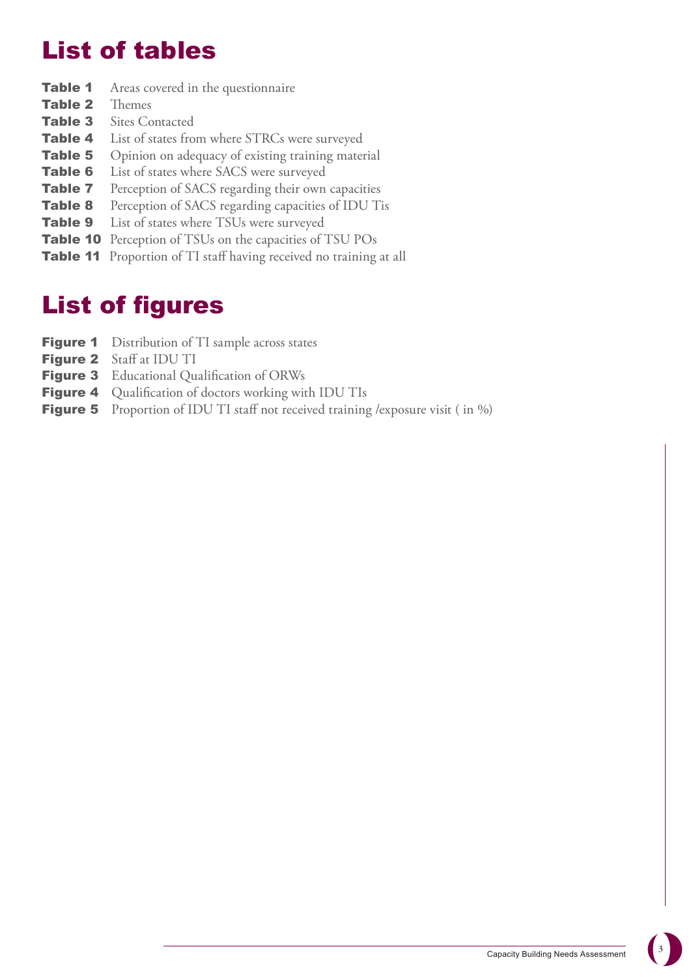# List of tables

- Table 1 Areas covered in the questionnaire
- Table 2 Themes
- Table 3 Sites Contacted
- Table 4 List of states from where STRCs were surveyed
- **Table 5** Opinion on adequacy of existing training material
- Table 6 List of states where SACS were surveyed
- Table 7 Perception of SACS regarding their own capacities
- Table 8 Perception of SACS regarding capacities of IDU Tis
- Table 9 List of states where TSUs were surveyed
- Table 10 Perception of TSUs on the capacities of TSU POs
- **Table 11** Proportion of TI staff having received no training at all

# List of figures

- Figure 1 Distribution of TI sample across states
- Figure 2 Staff at IDU TI
- Figure 3 Educational Qualification of ORWs
- Figure 4 Qualification of doctors working with IDU TIs
- **Figure 5** Proportion of IDU TI staff not received training /exposure visit (in %)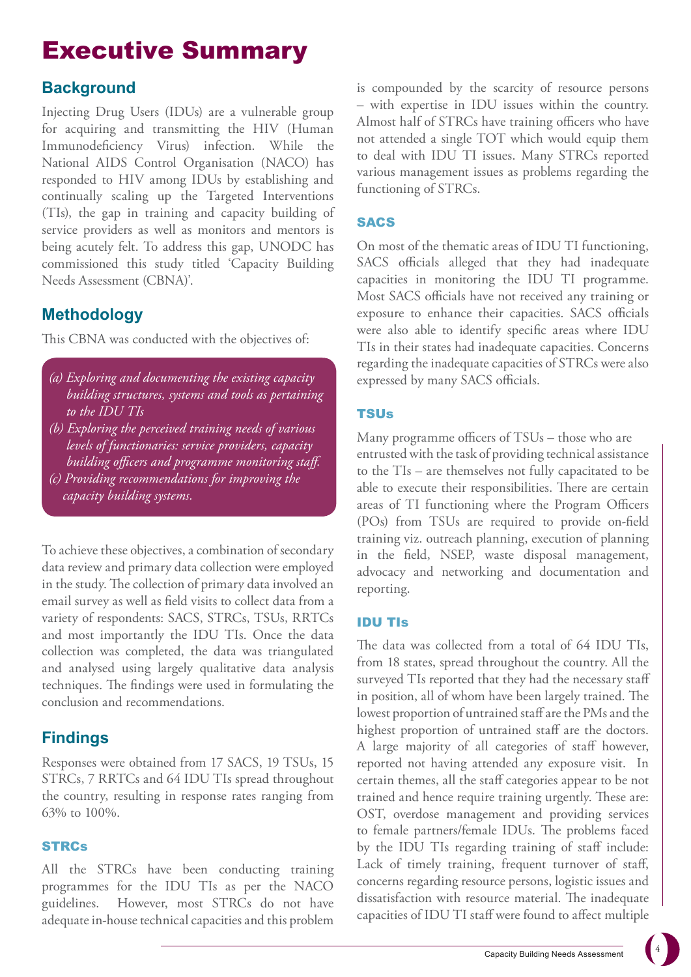# Executive Summary

# **Background**

Injecting Drug Users (IDUs) are a vulnerable group for acquiring and transmitting the HIV (Human Immunodeficiency Virus) infection. While the National AIDS Control Organisation (NACO) has responded to HIV among IDUs by establishing and continually scaling up the Targeted Interventions (TIs), the gap in training and capacity building of service providers as well as monitors and mentors is being acutely felt. To address this gap, UNODC has commissioned this study titled 'Capacity Building Needs Assessment (CBNA)'.

# **Methodology**

This CBNA was conducted with the objectives of:

- *(a) Exploring and documenting the existing capacity building structures, systems and tools as pertaining to the IDU TIs*
- *(b) Exploring the perceived training needs of various levels of functionaries: service providers, capacity building officers and programme monitoring staff.*
- *(c) Providing recommendations for improving the capacity building systems.*

To achieve these objectives, a combination of secondary data review and primary data collection were employed in the study. The collection of primary data involved an email survey as well as field visits to collect data from a variety of respondents: SACS, STRCs, TSUs, RRTCs and most importantly the IDU TIs. Once the data collection was completed, the data was triangulated and analysed using largely qualitative data analysis techniques. The findings were used in formulating the conclusion and recommendations.

# **Findings**

Responses were obtained from 17 SACS, 19 TSUs, 15 STRCs, 7 RRTCs and 64 IDU TIs spread throughout the country, resulting in response rates ranging from 63% to 100%.

### **STRCs**

All the STRCs have been conducting training programmes for the IDU TIs as per the NACO guidelines. However, most STRCs do not have adequate in-house technical capacities and this problem is compounded by the scarcity of resource persons – with expertise in IDU issues within the country. Almost half of STRCs have training officers who have not attended a single TOT which would equip them to deal with IDU TI issues. Many STRCs reported various management issues as problems regarding the functioning of STRCs.

### **SACS**

On most of the thematic areas of IDU TI functioning, SACS officials alleged that they had inadequate capacities in monitoring the IDU TI programme. Most SACS officials have not received any training or exposure to enhance their capacities. SACS officials were also able to identify specific areas where IDU TIs in their states had inadequate capacities. Concerns regarding the inadequate capacities of STRCs were also expressed by many SACS officials.

### **TSUs**

Many programme officers of TSUs – those who are entrusted with the task of providing technical assistance to the TIs – are themselves not fully capacitated to be able to execute their responsibilities. There are certain areas of TI functioning where the Program Officers (POs) from TSUs are required to provide on-field training viz. outreach planning, execution of planning in the field, NSEP, waste disposal management, advocacy and networking and documentation and reporting.

### IDU TIs

The data was collected from a total of 64 IDU TIs, from 18 states, spread throughout the country. All the surveyed TIs reported that they had the necessary staff in position, all of whom have been largely trained. The lowest proportion of untrained staff are the PMs and the highest proportion of untrained staff are the doctors. A large majority of all categories of staff however, reported not having attended any exposure visit. In certain themes, all the staff categories appear to be not trained and hence require training urgently. These are: OST, overdose management and providing services to female partners/female IDUs. The problems faced by the IDU TIs regarding training of staff include: Lack of timely training, frequent turnover of staff, concerns regarding resource persons, logistic issues and dissatisfaction with resource material. The inadequate capacities of IDU TI staff were found to affect multiple

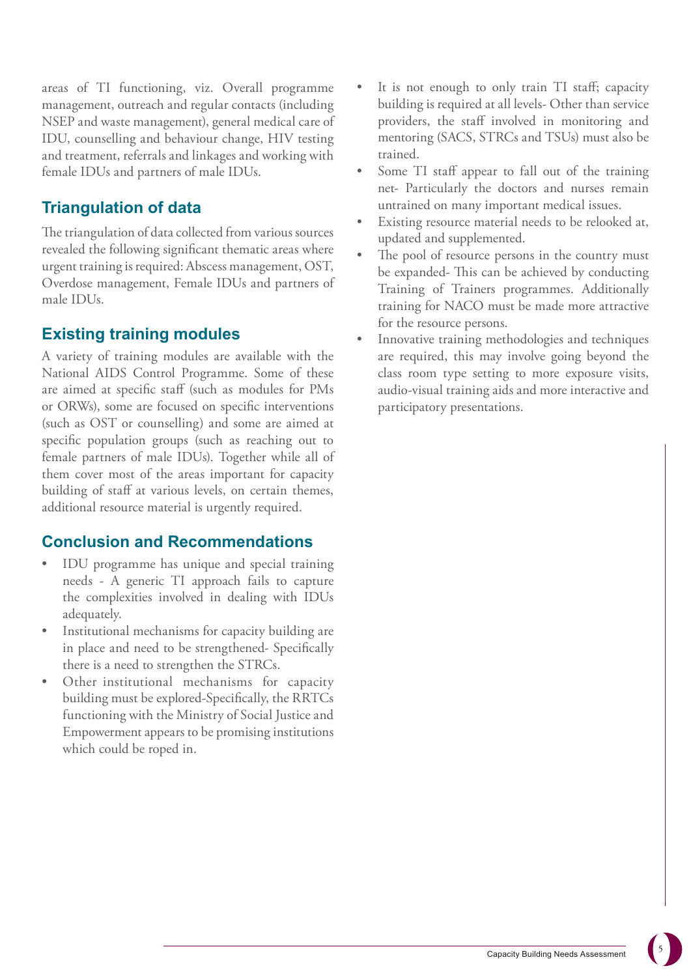areas of TI functioning, viz. Overall programme management, outreach and regular contacts (including NSEP and waste management), general medical care of IDU, counselling and behaviour change, HIV testing and treatment, referrals and linkages and working with female IDUs and partners of male IDUs.

# **Triangulation of data**

The triangulation of data collected from various sources revealed the following significant thematic areas where urgent training is required: Abscess management, OST, Overdose management, Female IDUs and partners of male IDUs.

# **Existing training modules**

A variety of training modules are available with the National AIDS Control Programme. Some of these are aimed at specific staff (such as modules for PMs or ORWs), some are focused on specific interventions (such as OST or counselling) and some are aimed at specific population groups (such as reaching out to female partners of male IDUs). Together while all of them cover most of the areas important for capacity building of staff at various levels, on certain themes, additional resource material is urgently required.

# **Conclusion and Recommendations**

- IDU programme has unique and special training needs - A generic TI approach fails to capture the complexities involved in dealing with IDUs adequately.
- Institutional mechanisms for capacity building are in place and need to be strengthened- Specifically there is a need to strengthen the STRCs.
- Other institutional mechanisms for capacity building must be explored-Specifically, the RRTCs functioning with the Ministry of Social Justice and Empowerment appears to be promising institutions which could be roped in.
- It is not enough to only train TI staff; capacity building is required at all levels- Other than service providers, the staff involved in monitoring and mentoring (SACS, STRCs and TSUs) must also be trained.
- Some TI staff appear to fall out of the training net- Particularly the doctors and nurses remain untrained on many important medical issues.
- Existing resource material needs to be relooked at, updated and supplemented.
- The pool of resource persons in the country must be expanded- This can be achieved by conducting Training of Trainers programmes. Additionally training for NACO must be made more attractive for the resource persons.
- Innovative training methodologies and techniques are required, this may involve going beyond the class room type setting to more exposure visits, audio-visual training aids and more interactive and participatory presentations.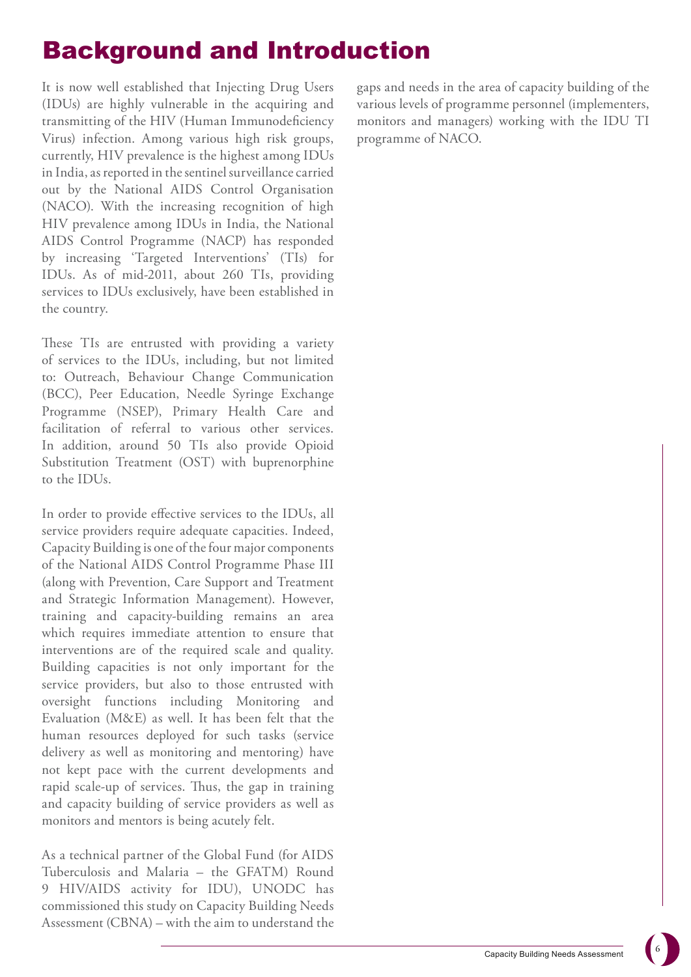# Background and Introduction

It is now well established that Injecting Drug Users (IDUs) are highly vulnerable in the acquiring and transmitting of the HIV (Human Immunodeficiency Virus) infection. Among various high risk groups, currently, HIV prevalence is the highest among IDUs in India, as reported in the sentinel surveillance carried out by the National AIDS Control Organisation (NACO). With the increasing recognition of high HIV prevalence among IDUs in India, the National AIDS Control Programme (NACP) has responded by increasing 'Targeted Interventions' (TIs) for IDUs. As of mid-2011, about 260 TIs, providing services to IDUs exclusively, have been established in the country.

These TIs are entrusted with providing a variety of services to the IDUs, including, but not limited to: Outreach, Behaviour Change Communication (BCC), Peer Education, Needle Syringe Exchange Programme (NSEP), Primary Health Care and facilitation of referral to various other services. In addition, around 50 TIs also provide Opioid Substitution Treatment (OST) with buprenorphine to the IDUs.

In order to provide effective services to the IDUs, all service providers require adequate capacities. Indeed, Capacity Building is one of the four major components of the National AIDS Control Programme Phase III (along with Prevention, Care Support and Treatment and Strategic Information Management). However, training and capacity-building remains an area which requires immediate attention to ensure that interventions are of the required scale and quality. Building capacities is not only important for the service providers, but also to those entrusted with oversight functions including Monitoring and Evaluation (M&E) as well. It has been felt that the human resources deployed for such tasks (service delivery as well as monitoring and mentoring) have not kept pace with the current developments and rapid scale-up of services. Thus, the gap in training and capacity building of service providers as well as monitors and mentors is being acutely felt.

As a technical partner of the Global Fund (for AIDS Tuberculosis and Malaria – the GFATM) Round 9 HIV/AIDS activity for IDU), UNODC has commissioned this study on Capacity Building Needs Assessment (CBNA) – with the aim to understand the

gaps and needs in the area of capacity building of the various levels of programme personnel (implementers, monitors and managers) working with the IDU TI programme of NACO.

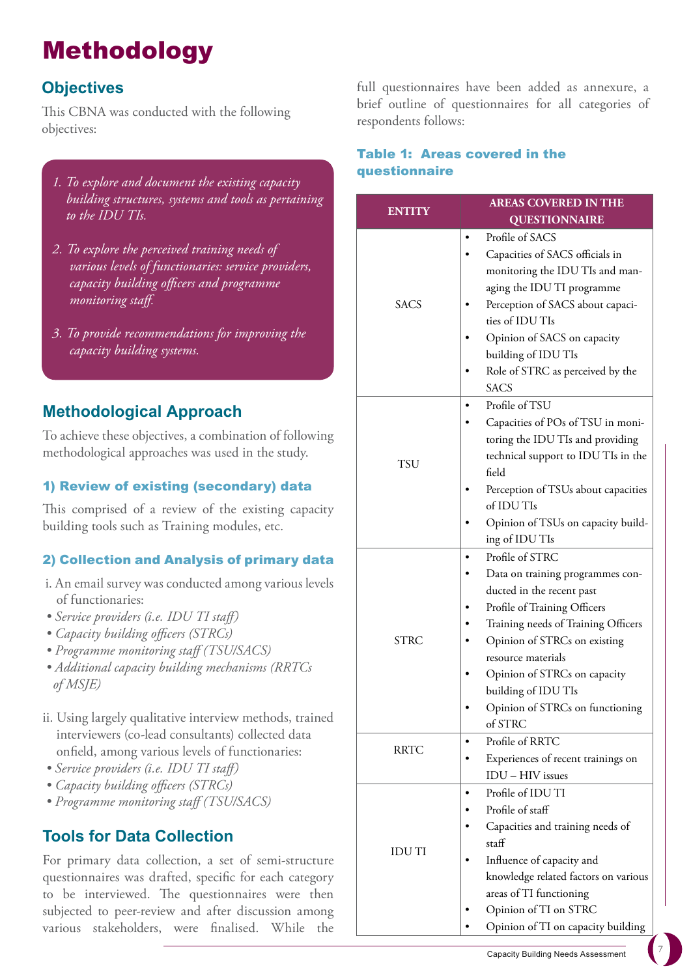# Methodology

# **Objectives**

This CBNA was conducted with the following objectives:

- *1. To explore and document the existing capacity building structures, systems and tools as pertaining to the IDU TIs.*
- *2. To explore the perceived training needs of various levels of functionaries: service providers, capacity building officers and programme monitoring staff.*
- *3. To provide recommendations for improving the capacity building systems.*

# **Methodological Approach**

To achieve these objectives, a combination of following methodological approaches was used in the study.

# 1) Review of existing (secondary) data

This comprised of a review of the existing capacity building tools such as Training modules, etc.

# 2) Collection and Analysis of primary data

- i. An email survey was conducted among various levels of functionaries:
- *• Service providers (i.e. IDU TI staff)*
- *• Capacity building officers (STRCs)*
- *• Programme monitoring staff (TSU/SACS)*
- *• Additional capacity building mechanisms (RRTCs of MSJE)*
- ii. Using largely qualitative interview methods, trained interviewers (co-lead consultants) collected data onfield, among various levels of functionaries:
- *• Service providers (i.e. IDU TI staff)*
- *• Capacity building officers (STRCs)*
- *• Programme monitoring staff (TSU/SACS)*

# **Tools for Data Collection**

For primary data collection, a set of semi-structure questionnaires was drafted, specific for each category to be interviewed. The questionnaires were then subjected to peer-review and after discussion among various stakeholders, were finalised. While the

full questionnaires have been added as annexure, a brief outline of questionnaires for all categories of respondents follows:

### Table 1: Areas covered in the questionnaire

|               | <b>AREAS COVERED IN THE</b>          |
|---------------|--------------------------------------|
| <b>ENTITY</b> | <b>QUESTIONNAIRE</b>                 |
|               | Profile of SACS                      |
|               | Capacities of SACS officials in      |
|               | monitoring the IDU TIs and man-      |
|               | aging the IDU TI programme           |
| SACS          | Perception of SACS about capaci-     |
|               | ties of IDU TIs                      |
|               | Opinion of SACS on capacity          |
|               | building of IDU TIs                  |
|               | Role of STRC as perceived by the     |
|               | <b>SACS</b>                          |
|               | Profile of TSU                       |
|               | Capacities of POs of TSU in moni-    |
|               | toring the IDU TIs and providing     |
| TSU           | technical support to IDU TIs in the  |
|               | field                                |
|               | Perception of TSUs about capacities  |
|               | of IDU TIs                           |
|               | Opinion of TSUs on capacity build-   |
|               | ing of IDU TIs                       |
|               | Profile of STRC                      |
|               | Data on training programmes con-     |
|               | ducted in the recent past            |
|               | Profile of Training Officers         |
|               | Training needs of Training Officers  |
| <b>STRC</b>   | Opinion of STRCs on existing         |
|               | resource materials                   |
|               | Opinion of STRCs on capacity         |
|               | building of IDU TIs                  |
|               | Opinion of STRCs on functioning      |
|               | of STRC                              |
| <b>RRTC</b>   | Profile of RRTC                      |
|               | Experiences of recent trainings on   |
|               | IDU - HIV issues                     |
|               | Profile of IDU TI                    |
|               | Profile of staff                     |
|               | Capacities and training needs of     |
| <b>IDU TI</b> | staff                                |
|               | Influence of capacity and            |
|               | knowledge related factors on various |
|               | areas of TI functioning              |
|               | Opinion of TI on STRC                |
|               | Opinion of TI on capacity building   |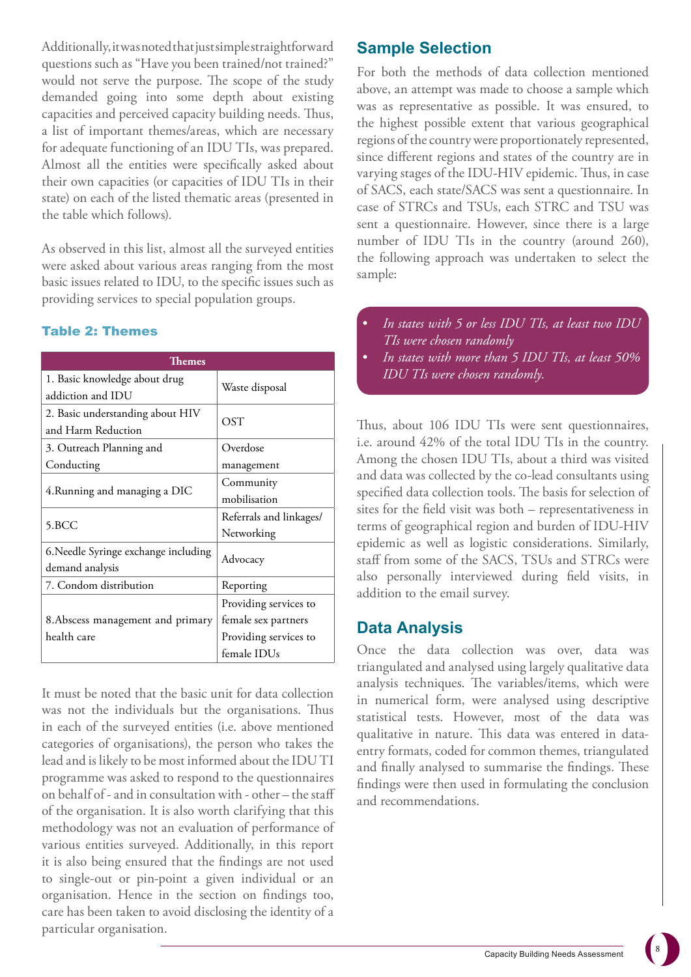Additionally, it was noted that just simple straightforward questions such as "Have you been trained/not trained?" would not serve the purpose. The scope of the study demanded going into some depth about existing capacities and perceived capacity building needs. Thus, a list of important themes/areas, which are necessary for adequate functioning of an IDU TIs, was prepared. Almost all the entities were specifically asked about their own capacities (or capacities of IDU TIs in their state) on each of the listed thematic areas (presented in the table which follows).

As observed in this list, almost all the surveyed entities were asked about various areas ranging from the most basic issues related to IDU, to the specific issues such as providing services to special population groups.

#### Table 2: Themes

| Themes                                                 |                         |
|--------------------------------------------------------|-------------------------|
| 1. Basic knowledge about drug<br>addiction and IDU     | Waste disposal          |
| 2. Basic understanding about HIV<br>and Harm Reduction | OST                     |
| 3. Outreach Planning and                               | Overdose                |
| Conducting                                             | management              |
|                                                        | Community               |
| 4. Running and managing a DIC                          | mobilisation            |
| 5.BCC                                                  | Referrals and linkages/ |
|                                                        | Networking              |
| 6. Needle Syringe exchange including                   | Advocacy                |
| demand analysis                                        |                         |
| 7. Condom distribution                                 | Reporting               |
|                                                        | Providing services to   |
| 8. Abscess management and primary                      | female sex partners     |
| health care                                            | Providing services to   |
|                                                        | female IDUs             |

It must be noted that the basic unit for data collection was not the individuals but the organisations. Thus in each of the surveyed entities (i.e. above mentioned categories of organisations), the person who takes the lead and is likely to be most informed about the IDU TI programme was asked to respond to the questionnaires on behalf of - and in consultation with - other – the staff of the organisation. It is also worth clarifying that this methodology was not an evaluation of performance of various entities surveyed. Additionally, in this report it is also being ensured that the findings are not used to single-out or pin-point a given individual or an organisation. Hence in the section on findings too, care has been taken to avoid disclosing the identity of a particular organisation.

## **Sample Selection**

For both the methods of data collection mentioned above, an attempt was made to choose a sample which was as representative as possible. It was ensured, to the highest possible extent that various geographical regions of the country were proportionately represented, since different regions and states of the country are in varying stages of the IDU-HIV epidemic. Thus, in case of SACS, each state/SACS was sent a questionnaire. In case of STRCs and TSUs, each STRC and TSU was sent a questionnaire. However, since there is a large number of IDU TIs in the country (around 260), the following approach was undertaken to select the sample:

- *• In states with 5 or less IDU TIs, at least two IDU TIs were chosen randomly*
- *• In states with more than 5 IDU TIs, at least 50% IDU TIs were chosen randomly.*

Thus, about 106 IDU TIs were sent questionnaires, i.e. around 42% of the total IDU TIs in the country. Among the chosen IDU TIs, about a third was visited and data was collected by the co-lead consultants using specified data collection tools. The basis for selection of sites for the field visit was both – representativeness in terms of geographical region and burden of IDU-HIV epidemic as well as logistic considerations. Similarly, staff from some of the SACS, TSUs and STRCs were also personally interviewed during field visits, in addition to the email survey.

### **Data Analysis**

Once the data collection was over, data was triangulated and analysed using largely qualitative data analysis techniques. The variables/items, which were in numerical form, were analysed using descriptive statistical tests. However, most of the data was qualitative in nature. This data was entered in dataentry formats, coded for common themes, triangulated and finally analysed to summarise the findings. These findings were then used in formulating the conclusion and recommendations.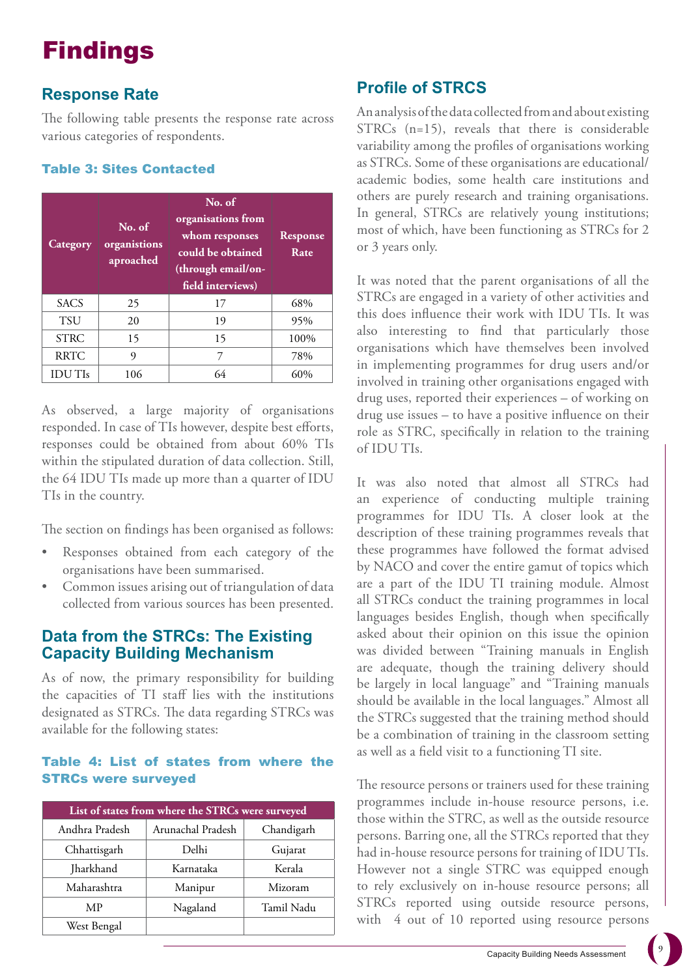# Findings

# **Response Rate**

The following table presents the response rate across various categories of respondents.

| Category       | No. of<br>organistions<br>aproached | No. of<br>organisations from<br>whom responses<br>could be obtained<br>(through email/on-<br>field interviews) | Response<br>Rate |
|----------------|-------------------------------------|----------------------------------------------------------------------------------------------------------------|------------------|
| <b>SACS</b>    | 25                                  | 17                                                                                                             | 68%              |
| <b>TSU</b>     | 20                                  | 19                                                                                                             | 95%              |
| <b>STRC</b>    | 15                                  | 15                                                                                                             | 100%             |
| <b>RRTC</b>    | 9                                   | 7                                                                                                              | 78%              |
| <b>IDU TIs</b> | 106                                 | 64                                                                                                             | 60%              |

### Table 3: Sites Contacted

As observed, a large majority of organisations responded. In case of TIs however, despite best efforts, responses could be obtained from about 60% TIs within the stipulated duration of data collection. Still, the 64 IDU TIs made up more than a quarter of IDU TIs in the country.

The section on findings has been organised as follows:

- Responses obtained from each category of the organisations have been summarised.
- Common issues arising out of triangulation of data collected from various sources has been presented.

### **Data from the STRCs: The Existing Capacity Building Mechanism**

As of now, the primary responsibility for building the capacities of TI staff lies with the institutions designated as STRCs. The data regarding STRCs was available for the following states:

#### Table 4: List of states from where the STRCs were surveyed

| List of states from where the STRCs were surveyed |                   |            |
|---------------------------------------------------|-------------------|------------|
| Andhra Pradesh                                    | Arunachal Pradesh | Chandigarh |
| Chhattisgarh<br>Delhi                             |                   | Gujarat    |
| Jharkhand                                         | Karnataka         | Kerala     |
| Maharashtra                                       | Manipur           | Mizoram    |
| МP                                                | Nagaland          | Tamil Nadu |
| West Bengal                                       |                   |            |

# **Profile of STRCS**

An analysis of the data collected from and about existing STRCs (n=15), reveals that there is considerable variability among the profiles of organisations working as STRCs. Some of these organisations are educational/ academic bodies, some health care institutions and others are purely research and training organisations. In general, STRCs are relatively young institutions; most of which, have been functioning as STRCs for 2 or 3 years only.

It was noted that the parent organisations of all the STRCs are engaged in a variety of other activities and this does influence their work with IDU TIs. It was also interesting to find that particularly those organisations which have themselves been involved in implementing programmes for drug users and/or involved in training other organisations engaged with drug uses, reported their experiences – of working on drug use issues – to have a positive influence on their role as STRC, specifically in relation to the training of IDU TIs.

It was also noted that almost all STRCs had an experience of conducting multiple training programmes for IDU TIs. A closer look at the description of these training programmes reveals that these programmes have followed the format advised by NACO and cover the entire gamut of topics which are a part of the IDU TI training module. Almost all STRCs conduct the training programmes in local languages besides English, though when specifically asked about their opinion on this issue the opinion was divided between "Training manuals in English are adequate, though the training delivery should be largely in local language" and "Training manuals should be available in the local languages." Almost all the STRCs suggested that the training method should be a combination of training in the classroom setting as well as a field visit to a functioning TI site.

The resource persons or trainers used for these training programmes include in-house resource persons, i.e. those within the STRC, as well as the outside resource persons. Barring one, all the STRCs reported that they had in-house resource persons for training of IDU TIs. However not a single STRC was equipped enough to rely exclusively on in-house resource persons; all STRCs reported using outside resource persons, with 4 out of 10 reported using resource persons

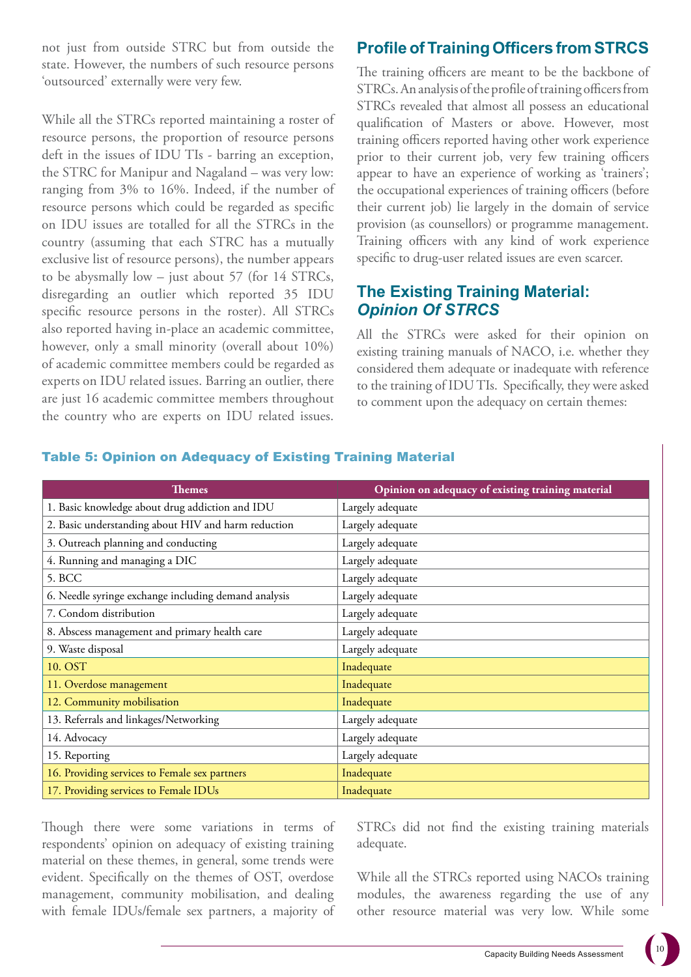not just from outside STRC but from outside the state. However, the numbers of such resource persons 'outsourced' externally were very few.

While all the STRCs reported maintaining a roster of resource persons, the proportion of resource persons deft in the issues of IDU TIs - barring an exception, the STRC for Manipur and Nagaland – was very low: ranging from 3% to 16%. Indeed, if the number of resource persons which could be regarded as specific on IDU issues are totalled for all the STRCs in the country (assuming that each STRC has a mutually exclusive list of resource persons), the number appears to be abysmally low – just about 57 (for 14 STRCs, disregarding an outlier which reported 35 IDU specific resource persons in the roster). All STRCs also reported having in-place an academic committee, however, only a small minority (overall about 10%) of academic committee members could be regarded as experts on IDU related issues. Barring an outlier, there are just 16 academic committee members throughout the country who are experts on IDU related issues.

# **Profile of Training Officers from STRCS**

The training officers are meant to be the backbone of STRCs. An analysis of the profile of training officers from STRCs revealed that almost all possess an educational qualification of Masters or above. However, most training officers reported having other work experience prior to their current job, very few training officers appear to have an experience of working as 'trainers'; the occupational experiences of training officers (before their current job) lie largely in the domain of service provision (as counsellors) or programme management. Training officers with any kind of work experience specific to drug-user related issues are even scarcer.

# **The Existing Training Material:**  *Opinion Of STRCS*

All the STRCs were asked for their opinion on existing training manuals of NACO, i.e. whether they considered them adequate or inadequate with reference to the training of IDU TIs. Specifically, they were asked to comment upon the adequacy on certain themes:

| <b>Themes</b>                                        | Opinion on adequacy of existing training material |
|------------------------------------------------------|---------------------------------------------------|
| 1. Basic knowledge about drug addiction and IDU      | Largely adequate                                  |
| 2. Basic understanding about HIV and harm reduction  | Largely adequate                                  |
| 3. Outreach planning and conducting                  | Largely adequate                                  |
| 4. Running and managing a DIC                        | Largely adequate                                  |
| 5. BCC                                               | Largely adequate                                  |
| 6. Needle syringe exchange including demand analysis | Largely adequate                                  |
| 7. Condom distribution                               | Largely adequate                                  |
| 8. Abscess management and primary health care        | Largely adequate                                  |
| 9. Waste disposal                                    | Largely adequate                                  |
| 10. OST                                              | Inadequate                                        |
| 11. Overdose management                              | Inadequate                                        |
| 12. Community mobilisation                           | Inadequate                                        |
| 13. Referrals and linkages/Networking                | Largely adequate                                  |
| 14. Advocacy                                         | Largely adequate                                  |
| 15. Reporting                                        | Largely adequate                                  |
| 16. Providing services to Female sex partners        | Inadequate                                        |
| 17. Providing services to Female IDUs                | Inadequate                                        |

### Table 5: Opinion on Adequacy of Existing Training Material

Though there were some variations in terms of respondents' opinion on adequacy of existing training material on these themes, in general, some trends were evident. Specifically on the themes of OST, overdose management, community mobilisation, and dealing with female IDUs/female sex partners, a majority of

STRCs did not find the existing training materials adequate.

While all the STRCs reported using NACOs training modules, the awareness regarding the use of any other resource material was very low. While some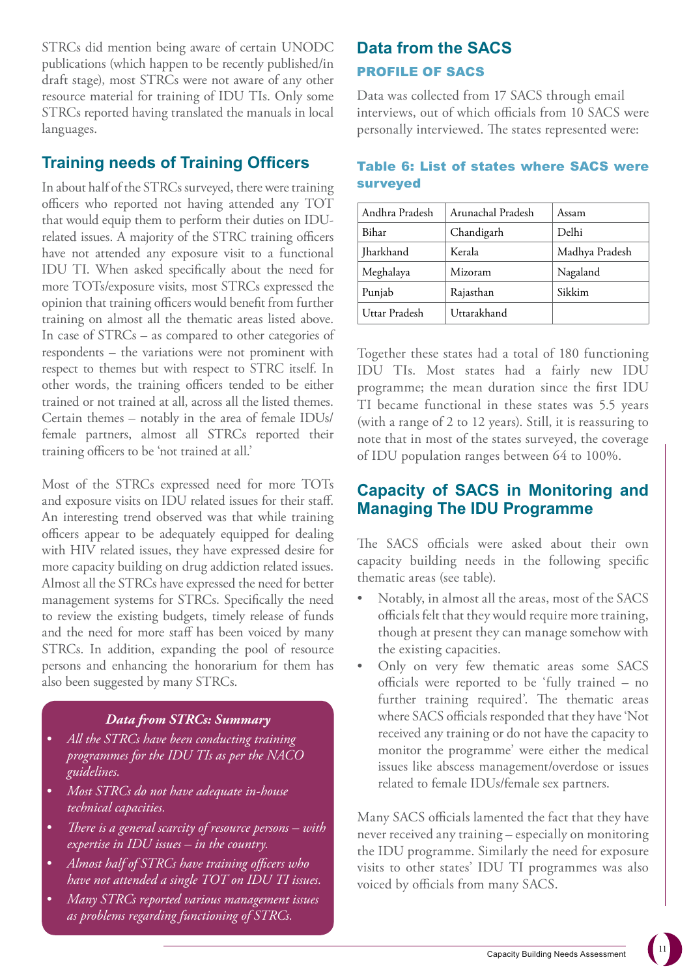STRCs did mention being aware of certain UNODC publications (which happen to be recently published/in draft stage), most STRCs were not aware of any other resource material for training of IDU TIs. Only some STRCs reported having translated the manuals in local languages.

# **Training needs of Training Officers**

In about half of the STRCs surveyed, there were training officers who reported not having attended any TOT that would equip them to perform their duties on IDUrelated issues. A majority of the STRC training officers have not attended any exposure visit to a functional IDU TI. When asked specifically about the need for more TOTs/exposure visits, most STRCs expressed the opinion that training officers would benefit from further training on almost all the thematic areas listed above. In case of STRCs – as compared to other categories of respondents – the variations were not prominent with respect to themes but with respect to STRC itself. In other words, the training officers tended to be either trained or not trained at all, across all the listed themes. Certain themes – notably in the area of female IDUs/ female partners, almost all STRCs reported their training officers to be 'not trained at all.'

Most of the STRCs expressed need for more TOTs and exposure visits on IDU related issues for their staff. An interesting trend observed was that while training officers appear to be adequately equipped for dealing with HIV related issues, they have expressed desire for more capacity building on drug addiction related issues. Almost all the STRCs have expressed the need for better management systems for STRCs. Specifically the need to review the existing budgets, timely release of funds and the need for more staff has been voiced by many STRCs. In addition, expanding the pool of resource persons and enhancing the honorarium for them has also been suggested by many STRCs.

### *Data from STRCs: Summary*

- *• All the STRCs have been conducting training programmes for the IDU TIs as per the NACO guidelines.*
- *• Most STRCs do not have adequate in-house technical capacities.*
- *• There is a general scarcity of resource persons – with expertise in IDU issues – in the country.*
- *• Almost half of STRCs have training officers who have not attended a single TOT on IDU TI issues.*
- *• Many STRCs reported various management issues as problems regarding functioning of STRCs.*

# **Data from the SACS**  PROFILE OF SACS

Data was collected from 17 SACS through email interviews, out of which officials from 10 SACS were personally interviewed. The states represented were:

#### Table 6: List of states where SACS were surveyed

| Andhra Pradesh | Arunachal Pradesh | Assam          |
|----------------|-------------------|----------------|
| Bihar          | Chandigarh        | Delhi          |
| Jharkhand      | Kerala            | Madhya Pradesh |
| Meghalaya      | Mizoram           | Nagaland       |
| Punjab         | Rajasthan         | Sikkim         |
| Uttar Pradesh  | Uttarakhand       |                |

Together these states had a total of 180 functioning IDU TIs. Most states had a fairly new IDU programme; the mean duration since the first IDU TI became functional in these states was 5.5 years (with a range of 2 to 12 years). Still, it is reassuring to note that in most of the states surveyed, the coverage of IDU population ranges between 64 to 100%.

# **Capacity of SACS in Monitoring and Managing The IDU Programme**

The SACS officials were asked about their own capacity building needs in the following specific thematic areas (see table).

- Notably, in almost all the areas, most of the SACS officials felt that they would require more training, though at present they can manage somehow with the existing capacities.
- Only on very few thematic areas some SACS officials were reported to be 'fully trained – no further training required'. The thematic areas where SACS officials responded that they have 'Not received any training or do not have the capacity to monitor the programme' were either the medical issues like abscess management/overdose or issues related to female IDUs/female sex partners.

Many SACS officials lamented the fact that they have never received any training – especially on monitoring the IDU programme. Similarly the need for exposure visits to other states' IDU TI programmes was also voiced by officials from many SACS.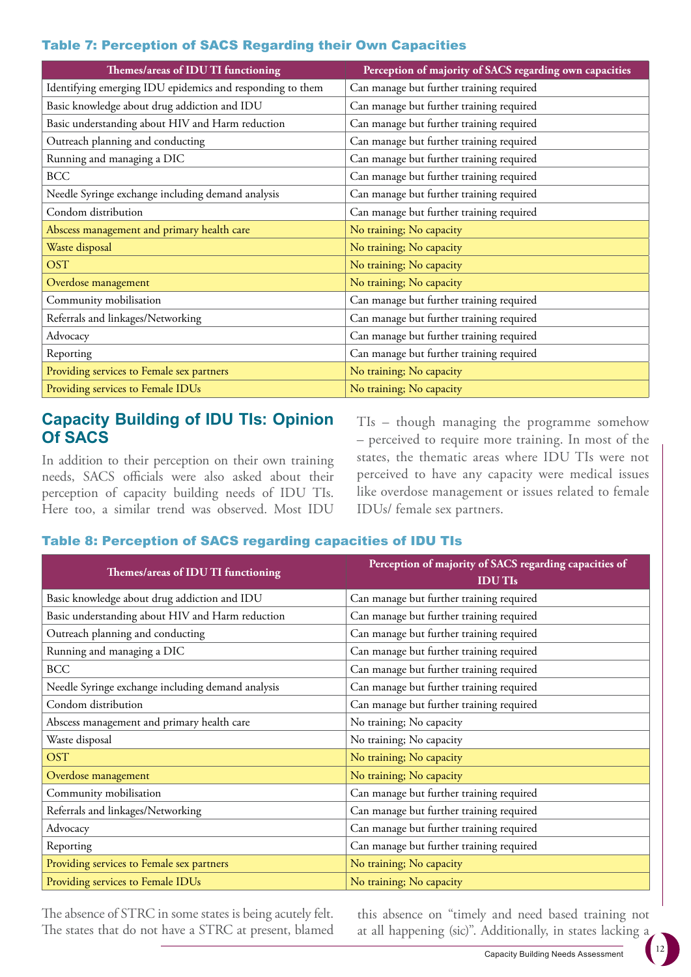#### Table 7: Perception of SACS Regarding their Own Capacities

| Themes/areas of IDU TI functioning                        | Perception of majority of SACS regarding own capacities |
|-----------------------------------------------------------|---------------------------------------------------------|
| Identifying emerging IDU epidemics and responding to them | Can manage but further training required                |
| Basic knowledge about drug addiction and IDU              | Can manage but further training required                |
| Basic understanding about HIV and Harm reduction          | Can manage but further training required                |
| Outreach planning and conducting                          | Can manage but further training required                |
| Running and managing a DIC                                | Can manage but further training required                |
| <b>BCC</b>                                                | Can manage but further training required                |
| Needle Syringe exchange including demand analysis         | Can manage but further training required                |
| Condom distribution                                       | Can manage but further training required                |
| Abscess management and primary health care                | No training; No capacity                                |
| Waste disposal                                            | No training; No capacity                                |
| <b>OST</b>                                                | No training; No capacity                                |
| Overdose management                                       | No training; No capacity                                |
| Community mobilisation                                    | Can manage but further training required                |
| Referrals and linkages/Networking                         | Can manage but further training required                |
| Advocacy                                                  | Can manage but further training required                |
| Reporting                                                 | Can manage but further training required                |
| Providing services to Female sex partners                 | No training; No capacity                                |
| Providing services to Female IDUs                         | No training; No capacity                                |

# **Capacity Building of IDU TIs: Opinion Of SACS**

In addition to their perception on their own training needs, SACS officials were also asked about their perception of capacity building needs of IDU TIs. Here too, a similar trend was observed. Most IDU

TIs – though managing the programme somehow – perceived to require more training. In most of the states, the thematic areas where IDU TIs were not perceived to have any capacity were medical issues like overdose management or issues related to female IDUs/ female sex partners.

#### Table 8: Perception of SACS regarding capacities of IDU TIs

| Themes/areas of IDU TI functioning                | Perception of majority of SACS regarding capacities of<br><b>IDU TIs</b> |
|---------------------------------------------------|--------------------------------------------------------------------------|
| Basic knowledge about drug addiction and IDU      | Can manage but further training required                                 |
| Basic understanding about HIV and Harm reduction  | Can manage but further training required                                 |
| Outreach planning and conducting                  | Can manage but further training required                                 |
| Running and managing a DIC                        | Can manage but further training required                                 |
| <b>BCC</b>                                        | Can manage but further training required                                 |
| Needle Syringe exchange including demand analysis | Can manage but further training required                                 |
| Condom distribution                               | Can manage but further training required                                 |
| Abscess management and primary health care        | No training; No capacity                                                 |
| Waste disposal                                    | No training; No capacity                                                 |
| <b>OST</b>                                        | No training; No capacity                                                 |
| Overdose management                               | No training; No capacity                                                 |
| Community mobilisation                            | Can manage but further training required                                 |
| Referrals and linkages/Networking                 | Can manage but further training required                                 |
| Advocacy                                          | Can manage but further training required                                 |
| Reporting                                         | Can manage but further training required                                 |
| Providing services to Female sex partners         | No training; No capacity                                                 |
| Providing services to Female IDUs                 | No training; No capacity                                                 |

The absence of STRC in some states is being acutely felt. The states that do not have a STRC at present, blamed this absence on "timely and need based training not at all happening (sic)". Additionally, in states lacking a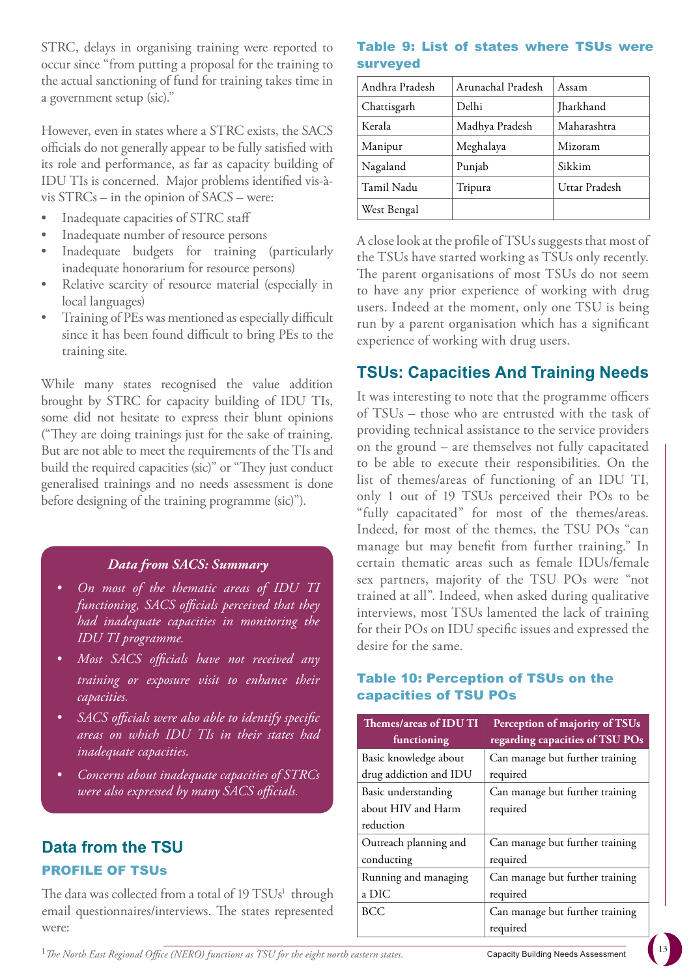STRC, delays in organising training were reported to occur since "from putting a proposal for the training to the actual sanctioning of fund for training takes time in a government setup (sic)."

However, even in states where a STRC exists, the SACS officials do not generally appear to be fully satisfied with its role and performance, as far as capacity building of IDU TIs is concerned. Major problems identified vis-àvis STRCs – in the opinion of SACS – were:

- Inadequate capacities of STRC staff
- Inadequate number of resource persons
- Inadequate budgets for training (particularly inadequate honorarium for resource persons)
- Relative scarcity of resource material (especially in local languages)
- Training of PEs was mentioned as especially difficult since it has been found difficult to bring PEs to the training site.

While many states recognised the value addition brought by STRC for capacity building of IDU TIs, some did not hesitate to express their blunt opinions ("They are doing trainings just for the sake of training. But are not able to meet the requirements of the TIs and build the required capacities (sic)" or "They just conduct generalised trainings and no needs assessment is done before designing of the training programme (sic)").

#### *Data from SACS: Summary*

- *• On most of the thematic areas of IDU TI functioning, SACS officials perceived that they had inadequate capacities in monitoring the IDU TI programme.*
- *• Most SACS officials have not received any training or exposure visit to enhance their capacities.*
- *• SACS officials were also able to identify specific areas on which IDU TIs in their states had inadequate capacities.*
- *• Concerns about inadequate capacities of STRCs were also expressed by many SACS officials.*

# **Data from the TSU** PROFILE OF TSUs

The data was collected from a total of  $19$   $TSUs<sup>1</sup>$  through email questionnaires/interviews. The states represented were:

### Table 9: List of states where TSUs were surveyed

| Andhra Pradesh | Arunachal Pradesh | Assam         |
|----------------|-------------------|---------------|
| Chattisgarh    | Delhi             | Jharkhand     |
| Kerala         | Madhya Pradesh    | Maharashtra   |
| Manipur        | Meghalaya         | Mizoram       |
| Nagaland       | Punjab            | Sikkim        |
| Tamil Nadu     | Tripura           | Uttar Pradesh |
| West Bengal    |                   |               |

A close look at the profile of TSUs suggests that most of the TSUs have started working as TSUs only recently. The parent organisations of most TSUs do not seem to have any prior experience of working with drug users. Indeed at the moment, only one TSU is being run by a parent organisation which has a significant experience of working with drug users.

# **TSUs: Capacities And Training Needs**

It was interesting to note that the programme officers of TSUs – those who are entrusted with the task of providing technical assistance to the service providers on the ground – are themselves not fully capacitated to be able to execute their responsibilities. On the list of themes/areas of functioning of an IDU TI, only 1 out of 19 TSUs perceived their POs to be "fully capacitated" for most of the themes/areas. Indeed, for most of the themes, the TSU POs "can manage but may benefit from further training." In certain thematic areas such as female IDUs/female sex partners, majority of the TSU POs were "not trained at all". Indeed, when asked during qualitative interviews, most TSUs lamented the lack of training for their POs on IDU specific issues and expressed the desire for the same.

#### Table 10: Perception of TSUs on the capacities of TSU POs

| Themes/areas of IDU TI | Perception of majority of TSUs  |
|------------------------|---------------------------------|
| functioning            | regarding capacities of TSU POs |
| Basic knowledge about  | Can manage but further training |
| drug addiction and IDU | required                        |
| Basic understanding    | Can manage but further training |
| about HIV and Harm     | required                        |
| reduction              |                                 |
| Outreach planning and  | Can manage but further training |
| conducting             | required                        |
| Running and managing   | Can manage but further training |
| a DIC                  | required                        |
| <b>BCC</b>             | Can manage but further training |
|                        | required                        |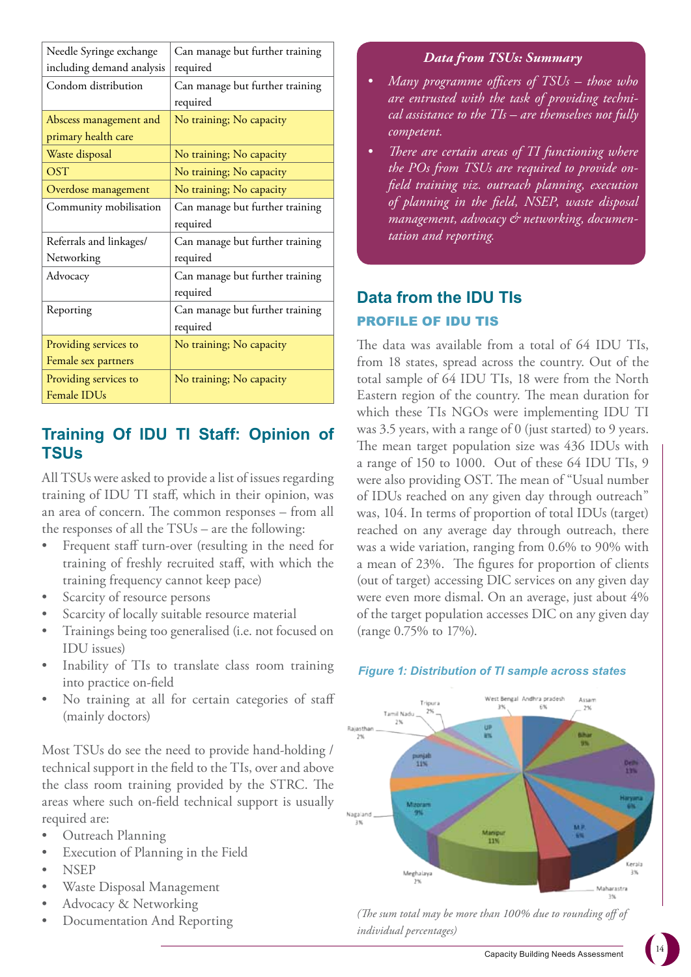| Needle Syringe exchange   | Can manage but further training |
|---------------------------|---------------------------------|
| including demand analysis | required                        |
| Condom distribution       | Can manage but further training |
|                           | required                        |
| Abscess management and    | No training; No capacity        |
| primary health care       |                                 |
| Waste disposal            | No training; No capacity        |
| <b>OST</b>                | No training; No capacity        |
| Overdose management       | No training; No capacity        |
| Community mobilisation    | Can manage but further training |
|                           | required                        |
| Referrals and linkages/   | Can manage but further training |
| Networking                | required                        |
| Advocacy                  | Can manage but further training |
|                           | required                        |
| Reporting                 | Can manage but further training |
|                           | required                        |
| Providing services to     | No training; No capacity        |
| Female sex partners       |                                 |
| Providing services to     | No training; No capacity        |
| Female IDUs               |                                 |

# **Training Of IDU TI Staff: Opinion of TSUs**

All TSUs were asked to provide a list of issues regarding training of IDU TI staff, which in their opinion, was an area of concern. The common responses – from all the responses of all the TSUs – are the following:

- Frequent staff turn-over (resulting in the need for training of freshly recruited staff, with which the training frequency cannot keep pace)
- Scarcity of resource persons
- Scarcity of locally suitable resource material
- Trainings being too generalised (i.e. not focused on IDU issues)
- Inability of TIs to translate class room training into practice on-field
- No training at all for certain categories of staff (mainly doctors)

Most TSUs do see the need to provide hand-holding / technical support in the field to the TIs, over and above the class room training provided by the STRC. The areas where such on-field technical support is usually required are:

- Outreach Planning
- Execution of Planning in the Field
- **NSEP**
- Waste Disposal Management
- Advocacy & Networking
- Documentation And Reporting

#### *Data from TSUs: Summary*

- *• Many programme officers of TSUs – those who are entrusted with the task of providing technical assistance to the TIs – are themselves not fully competent.*
- *• There are certain areas of TI functioning where the POs from TSUs are required to provide onfield training viz. outreach planning, execution of planning in the field, NSEP, waste disposal management, advocacy & networking, documentation and reporting.*

# **Data from the IDU TIs** PROFILE OF IDU TIS

The data was available from a total of 64 IDU TIs, from 18 states, spread across the country. Out of the total sample of 64 IDU TIs, 18 were from the North Eastern region of the country. The mean duration for which these TIs NGOs were implementing IDU TI was 3.5 years, with a range of 0 (just started) to 9 years. The mean target population size was 436 IDUs with a range of 150 to 1000. Out of these 64 IDU TIs, 9 were also providing OST. The mean of "Usual number of IDUs reached on any given day through outreach" was, 104. In terms of proportion of total IDUs (target) reached on any average day through outreach, there was a wide variation, ranging from 0.6% to 90% with a mean of 23%. The figures for proportion of clients (out of target) accessing DIC services on any given day were even more dismal. On an average, just about 4% of the target population accesses DIC on any given day (range 0.75% to 17%).



*(The sum total may be more than 100% due to rounding off of individual percentages)*

#### *Figure 1: Distribution of TI sample across states*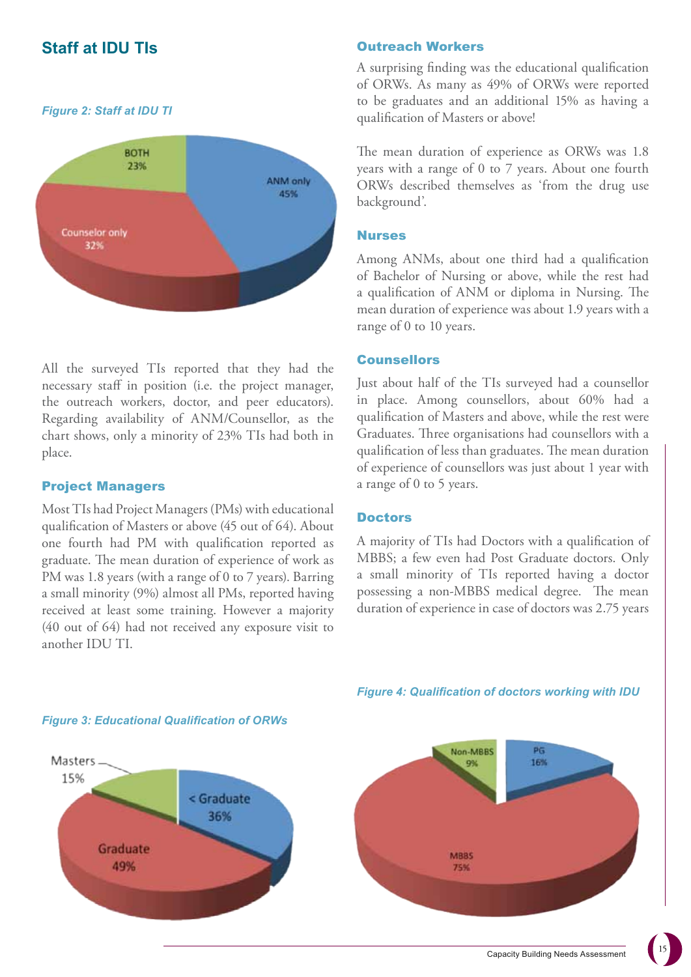# **Staff at IDU TIs**

#### *Figure 2: Staff at IDU TI*



All the surveyed TIs reported that they had the necessary staff in position (i.e. the project manager, the outreach workers, doctor, and peer educators). Regarding availability of ANM/Counsellor, as the chart shows, only a minority of 23% TIs had both in place.

#### Project Managers

Most TIs had Project Managers (PMs) with educational qualification of Masters or above (45 out of 64). About one fourth had PM with qualification reported as graduate. The mean duration of experience of work as PM was 1.8 years (with a range of 0 to 7 years). Barring a small minority (9%) almost all PMs, reported having received at least some training. However a majority (40 out of 64) had not received any exposure visit to another IDU TI.

#### Outreach Workers

A surprising finding was the educational qualification of ORWs. As many as 49% of ORWs were reported to be graduates and an additional 15% as having a qualification of Masters or above!

The mean duration of experience as ORWs was 1.8 years with a range of 0 to 7 years. About one fourth ORWs described themselves as 'from the drug use background'.

#### Nurses

Among ANMs, about one third had a qualification of Bachelor of Nursing or above, while the rest had a qualification of ANM or diploma in Nursing. The mean duration of experience was about 1.9 years with a range of 0 to 10 years.

#### Counsellors

Just about half of the TIs surveyed had a counsellor in place. Among counsellors, about 60% had a qualification of Masters and above, while the rest were Graduates. Three organisations had counsellors with a qualification of less than graduates. The mean duration of experience of counsellors was just about 1 year with a range of 0 to 5 years.

#### **Doctors**

A majority of TIs had Doctors with a qualification of MBBS; a few even had Post Graduate doctors. Only a small minority of TIs reported having a doctor possessing a non-MBBS medical degree. The mean duration of experience in case of doctors was 2.75 years



#### *Figure 3: Educational Qualification of ORWs*



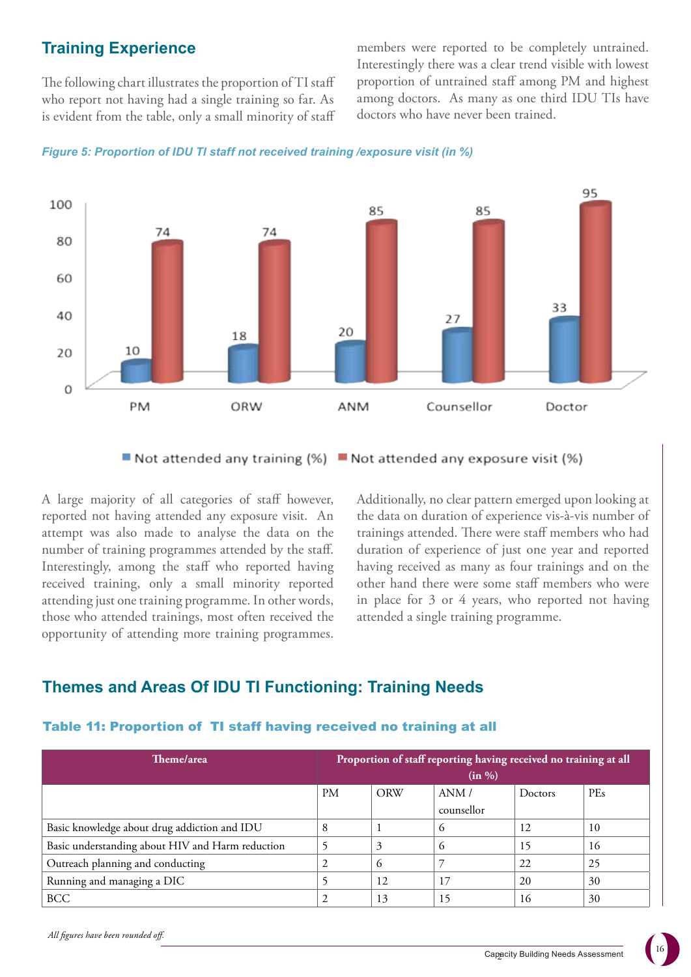# **Training Experience**

The following chart illustrates the proportion of TI staff who report not having had a single training so far. As is evident from the table, only a small minority of staff members were reported to be completely untrained. Interestingly there was a clear trend visible with lowest proportion of untrained staff among PM and highest among doctors. As many as one third IDU TIs have doctors who have never been trained.





■ Not attended any training (%) ■ Not attended any exposure visit (%)

A large majority of all categories of staff however, reported not having attended any exposure visit. An attempt was also made to analyse the data on the number of training programmes attended by the staff. Interestingly, among the staff who reported having received training, only a small minority reported attending just one training programme. In other words, those who attended trainings, most often received the opportunity of attending more training programmes.

Additionally, no clear pattern emerged upon looking at the data on duration of experience vis-à-vis number of trainings attended. There were staff members who had duration of experience of just one year and reported having received as many as four trainings and on the other hand there were some staff members who were in place for 3 or 4 years, who reported not having attended a single training programme.

# **Themes and Areas Of IDU TI Functioning: Training Needs**

| Theme/area                                       | Proportion of staff reporting having received no training at all<br>$(in \%)$ |                |                    |         |            |
|--------------------------------------------------|-------------------------------------------------------------------------------|----------------|--------------------|---------|------------|
|                                                  | <b>PM</b>                                                                     | ORW            | ANM/<br>counsellor | Doctors | <b>PEs</b> |
| Basic knowledge about drug addiction and IDU     | 8                                                                             |                | $\mathfrak{h}$     | 12      | 10         |
| Basic understanding about HIV and Harm reduction |                                                                               | 3              | 6                  | 15      | 16         |
| Outreach planning and conducting                 | ∍                                                                             | $\mathfrak{h}$ |                    | 22      | 25         |
| Running and managing a DIC                       |                                                                               | 12             | 17                 | 20      | 30         |
| <b>BCC</b>                                       |                                                                               | 13             | 15                 | 16      | 30         |

#### Table 11: Proportion of TI staff having received no training at all

*All figures have been rounded off.*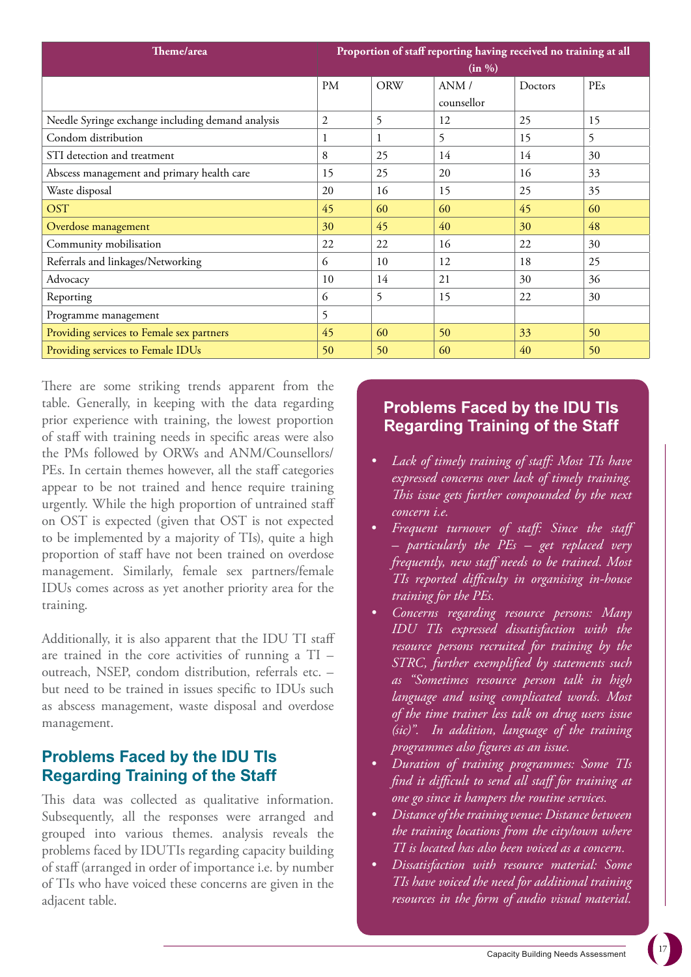| Theme/area                                        | Proportion of staff reporting having received no training at all |            |            |         |     |
|---------------------------------------------------|------------------------------------------------------------------|------------|------------|---------|-----|
|                                                   |                                                                  |            | (in %)     |         |     |
|                                                   | PM                                                               | <b>ORW</b> | ANM/       | Doctors | PEs |
|                                                   |                                                                  |            | counsellor |         |     |
| Needle Syringe exchange including demand analysis | $\overline{2}$                                                   | 5          | 12         | 25      | 15  |
| Condom distribution                               | 1                                                                | 1          | 5          | 15      | 5   |
| STI detection and treatment                       | 8                                                                | 25         | 14         | 14      | 30  |
| Abscess management and primary health care        | 15                                                               | 25         | 20         | 16      | 33  |
| Waste disposal                                    | 20                                                               | 16         | 15         | 25      | 35  |
| <b>OST</b>                                        | 45                                                               | 60         | 60         | 45      | 60  |
| Overdose management                               | 30                                                               | 45         | 40         | 30      | 48  |
| Community mobilisation                            | 22                                                               | 22         | 16         | 22      | 30  |
| Referrals and linkages/Networking                 | 6                                                                | 10         | 12         | 18      | 25  |
| Advocacy                                          | 10                                                               | 14         | 21         | 30      | 36  |
| Reporting                                         | 6                                                                | 5          | 15         | 22      | 30  |
| Programme management                              | 5                                                                |            |            |         |     |
| Providing services to Female sex partners         | 45                                                               | 60         | 50         | 33      | 50  |
| Providing services to Female IDUs                 | 50                                                               | 50         | 60         | 40      | 50  |

There are some striking trends apparent from the table. Generally, in keeping with the data regarding prior experience with training, the lowest proportion of staff with training needs in specific areas were also the PMs followed by ORWs and ANM/Counsellors/ PEs. In certain themes however, all the staff categories appear to be not trained and hence require training urgently. While the high proportion of untrained staff on OST is expected (given that OST is not expected to be implemented by a majority of TIs), quite a high proportion of staff have not been trained on overdose management. Similarly, female sex partners/female IDUs comes across as yet another priority area for the training.

Additionally, it is also apparent that the IDU TI staff are trained in the core activities of running a TI – outreach, NSEP, condom distribution, referrals etc. – but need to be trained in issues specific to IDUs such as abscess management, waste disposal and overdose management.

# **Problems Faced by the IDU TIs Regarding Training of the Staff**

This data was collected as qualitative information. Subsequently, all the responses were arranged and grouped into various themes. analysis reveals the problems faced by IDUTIs regarding capacity building of staff (arranged in order of importance i.e. by number of TIs who have voiced these concerns are given in the adjacent table.

# **Problems Faced by the IDU TIs Regarding Training of the Staff**

- *• Lack of timely training of staff: Most TIs have expressed concerns over lack of timely training. This issue gets further compounded by the next concern i.e.*
- *• Frequent turnover of staff: Since the staff – particularly the PEs – get replaced very frequently, new staff needs to be trained. Most TIs reported difficulty in organising in-house training for the PEs.*
- *• Concerns regarding resource persons: Many IDU TIs expressed dissatisfaction with the resource persons recruited for training by the STRC, further exemplified by statements such as "Sometimes resource person talk in high language and using complicated words. Most of the time trainer less talk on drug users issue (sic)". In addition, language of the training programmes also figures as an issue.*
- *• Duration of training programmes: Some TIs find it difficult to send all staff for training at one go since it hampers the routine services.*
- *Distance* of the training venue: Distance between *the training locations from the city/town where TI is located has also been voiced as a concern.*
- *• Dissatisfaction with resource material: Some TIs have voiced the need for additional training resources in the form of audio visual material.*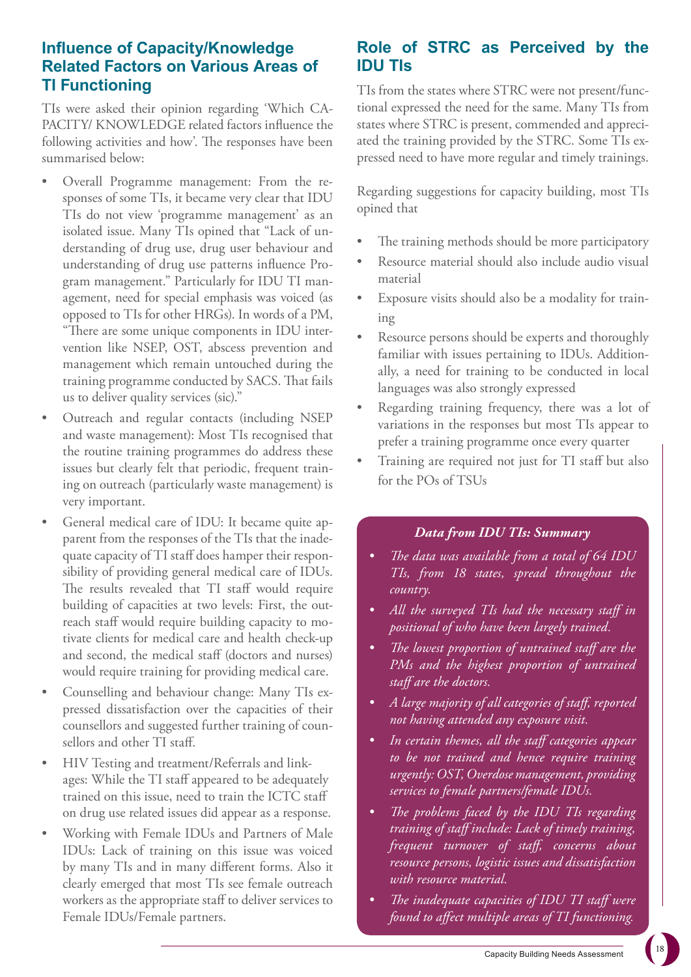# **Influence of Capacity/Knowledge Related Factors on Various Areas of TI Functioning**

TIs were asked their opinion regarding 'Which CA-PACITY/ KNOWLEDGE related factors influence the following activities and how'. The responses have been summarised below:

- Overall Programme management: From the responses of some TIs, it became very clear that IDU TIs do not view 'programme management' as an isolated issue. Many TIs opined that "Lack of understanding of drug use, drug user behaviour and understanding of drug use patterns influence Program management." Particularly for IDU TI management, need for special emphasis was voiced (as opposed to TIs for other HRGs). In words of a PM, "There are some unique components in IDU intervention like NSEP, OST, abscess prevention and management which remain untouched during the training programme conducted by SACS. That fails us to deliver quality services (sic)."
- Outreach and regular contacts (including NSEP and waste management): Most TIs recognised that the routine training programmes do address these issues but clearly felt that periodic, frequent training on outreach (particularly waste management) is very important.
- General medical care of IDU: It became quite apparent from the responses of the TIs that the inadequate capacity of TI staff does hamper their responsibility of providing general medical care of IDUs. The results revealed that TI staff would require building of capacities at two levels: First, the outreach staff would require building capacity to motivate clients for medical care and health check-up and second, the medical staff (doctors and nurses) would require training for providing medical care.
- Counselling and behaviour change: Many TIs expressed dissatisfaction over the capacities of their counsellors and suggested further training of counsellors and other TI staff.
- HIV Testing and treatment/Referrals and linkages: While the TI staff appeared to be adequately trained on this issue, need to train the ICTC staff on drug use related issues did appear as a response.
- Working with Female IDUs and Partners of Male IDUs: Lack of training on this issue was voiced by many TIs and in many different forms. Also it clearly emerged that most TIs see female outreach workers as the appropriate staff to deliver services to Female IDUs/Female partners.

# **Role of STRC as Perceived by the IDU TIs**

TIs from the states where STRC were not present/functional expressed the need for the same. Many TIs from states where STRC is present, commended and appreciated the training provided by the STRC. Some TIs expressed need to have more regular and timely trainings.

Regarding suggestions for capacity building, most TIs opined that

- The training methods should be more participatory
- Resource material should also include audio visual material
- Exposure visits should also be a modality for training
- Resource persons should be experts and thoroughly familiar with issues pertaining to IDUs. Additionally, a need for training to be conducted in local languages was also strongly expressed
- Regarding training frequency, there was a lot of variations in the responses but most TIs appear to prefer a training programme once every quarter
- Training are required not just for TI staff but also for the POs of TSUs

#### *Data from IDU TIs: Summary*

- *• The data was available from a total of 64 IDU TIs, from 18 states, spread throughout the country.*
- *• All the surveyed TIs had the necessary staff in positional of who have been largely trained.*
- *• The lowest proportion of untrained staff are the PMs and the highest proportion of untrained staff are the doctors.*
- *• A large majority of all categories of staff, reported not having attended any exposure visit.*
- *• In certain themes, all the staff categories appear to be not trained and hence require training urgently: OST, Overdose management, providing services to female partners/female IDUs.*
- *• The problems faced by the IDU TIs regarding training of staff include: Lack of timely training, frequent turnover of staff, concerns about resource persons, logistic issues and dissatisfaction with resource material.*
- *• The inadequate capacities of IDU TI staff were found to affect multiple areas of TI functioning.*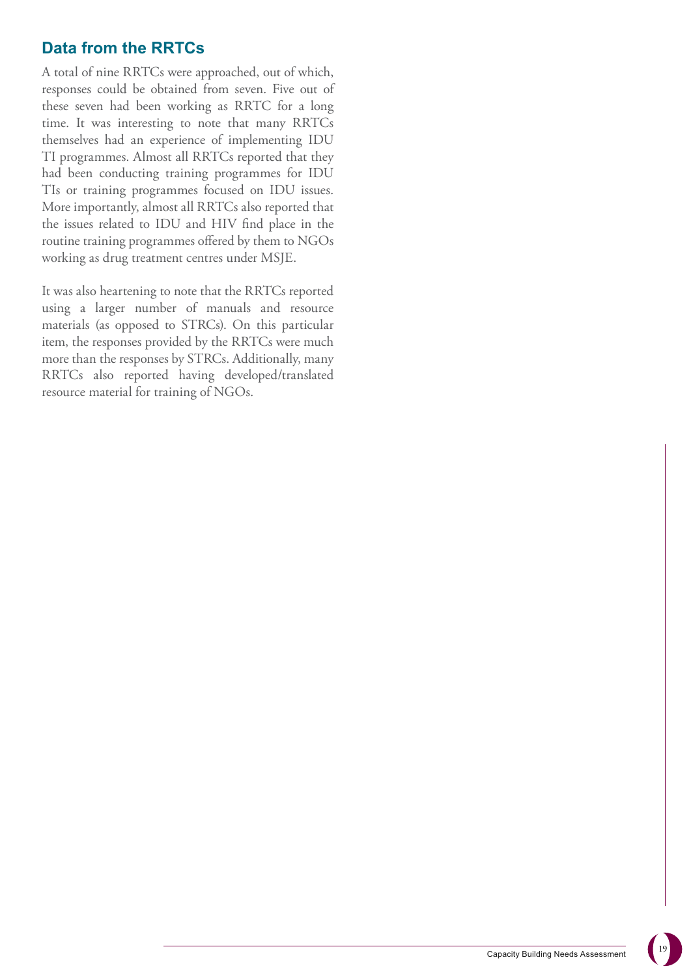# **Data from the RRTCs**

A total of nine RRTCs were approached, out of which, responses could be obtained from seven. Five out of these seven had been working as RRTC for a long time. It was interesting to note that many RRTCs themselves had an experience of implementing IDU TI programmes. Almost all RRTCs reported that they had been conducting training programmes for IDU TIs or training programmes focused on IDU issues. More importantly, almost all RRTCs also reported that the issues related to IDU and HIV find place in the routine training programmes offered by them to NGOs working as drug treatment centres under MSJE.

It was also heartening to note that the RRTCs reported using a larger number of manuals and resource materials (as opposed to STRCs). On this particular item, the responses provided by the RRTCs were much more than the responses by STRCs. Additionally, many RRTCs also reported having developed/translated resource material for training of NGOs.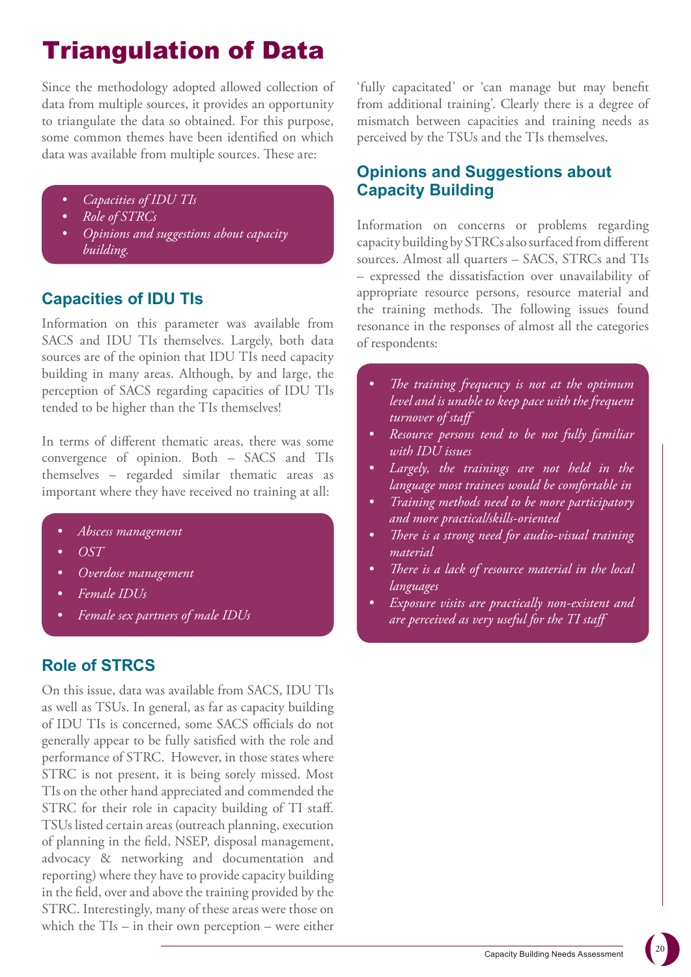# Triangulation of Data

Since the methodology adopted allowed collection of data from multiple sources, it provides an opportunity to triangulate the data so obtained. For this purpose, some common themes have been identified on which data was available from multiple sources. These are:

- *• Capacities of IDU TIs*
- *• Role of STRCs*
- *• Opinions and suggestions about capacity building.*

# **Capacities of IDU TIs**

Information on this parameter was available from SACS and IDU TIs themselves. Largely, both data sources are of the opinion that IDU TIs need capacity building in many areas. Although, by and large, the perception of SACS regarding capacities of IDU TIs tended to be higher than the TIs themselves!

In terms of different thematic areas, there was some convergence of opinion. Both – SACS and TIs themselves – regarded similar thematic areas as important where they have received no training at all:

- *• Abscess management*
- *• OST*
- *• Overdose management*
- *• Female IDUs*
- *• Female sex partners of male IDUs*

# **Role of STRCS**

On this issue, data was available from SACS, IDU TIs as well as TSUs. In general, as far as capacity building of IDU TIs is concerned, some SACS officials do not generally appear to be fully satisfied with the role and performance of STRC. However, in those states where STRC is not present, it is being sorely missed. Most TIs on the other hand appreciated and commended the STRC for their role in capacity building of TI staff. TSUs listed certain areas (outreach planning, execution of planning in the field, NSEP, disposal management, advocacy & networking and documentation and reporting) where they have to provide capacity building in the field, over and above the training provided by the STRC. Interestingly, many of these areas were those on which the TIs – in their own perception – were either

'fully capacitated' or 'can manage but may benefit from additional training'. Clearly there is a degree of mismatch between capacities and training needs as perceived by the TSUs and the TIs themselves.

# **Opinions and Suggestions about Capacity Building**

Information on concerns or problems regarding capacity building by STRCs also surfaced from different sources. Almost all quarters – SACS, STRCs and TIs – expressed the dissatisfaction over unavailability of appropriate resource persons, resource material and the training methods. The following issues found resonance in the responses of almost all the categories of respondents:

- *• The training frequency is not at the optimum level and is unable to keep pace with the frequent turnover of staff*
- *• Resource persons tend to be not fully familiar with IDU issues*
- *• Largely, the trainings are not held in the language most trainees would be comfortable in*
- *• Training methods need to be more participatory and more practical/skills-oriented*
- *• There is a strong need for audio-visual training material*
- *• There is a lack of resource material in the local languages*
- *• Exposure visits are practically non-existent and are perceived as very useful for the TI staff*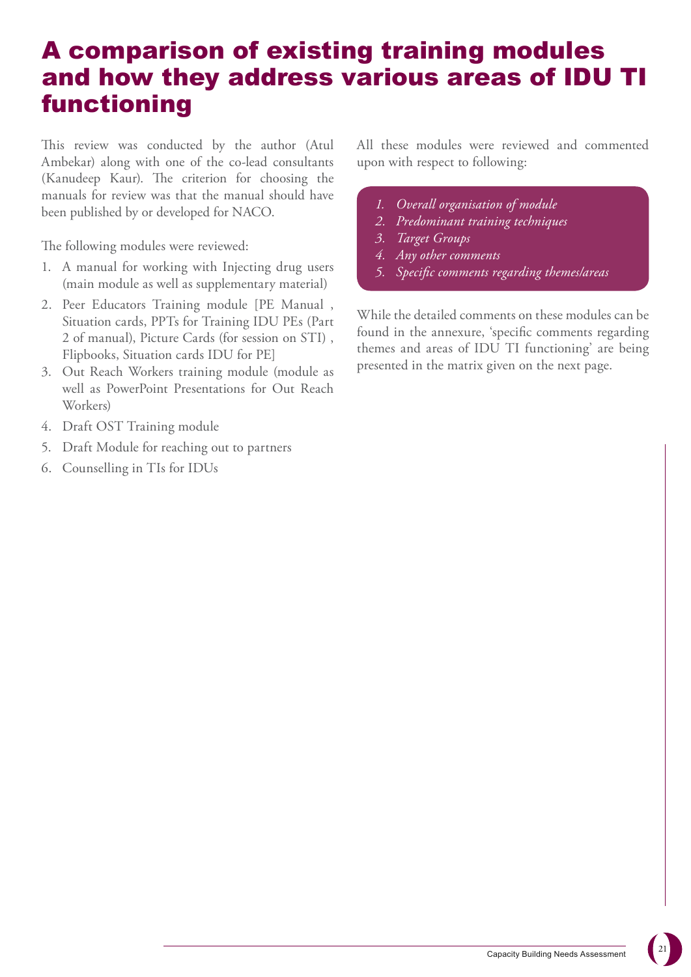# A comparison of existing training modules and how they address various areas of IDU TI functioning

This review was conducted by the author (Atul Ambekar) along with one of the co-lead consultants (Kanudeep Kaur). The criterion for choosing the manuals for review was that the manual should have been published by or developed for NACO.

The following modules were reviewed:

- 1. A manual for working with Injecting drug users (main module as well as supplementary material)
- 2. Peer Educators Training module [PE Manual , Situation cards, PPTs for Training IDU PEs (Part 2 of manual), Picture Cards (for session on STI) , Flipbooks, Situation cards IDU for PE]
- 3. Out Reach Workers training module (module as well as PowerPoint Presentations for Out Reach Workers)
- 4. Draft OST Training module
- 5. Draft Module for reaching out to partners
- 6. Counselling in TIs for IDUs

All these modules were reviewed and commented upon with respect to following:

- *1. Overall organisation of module*
- *2. Predominant training techniques*
- *3. Target Groups*
- *4. Any other comments*
- *5. Specific comments regarding themes/areas*

While the detailed comments on these modules can be found in the annexure, 'specific comments regarding themes and areas of IDU TI functioning' are being presented in the matrix given on the next page.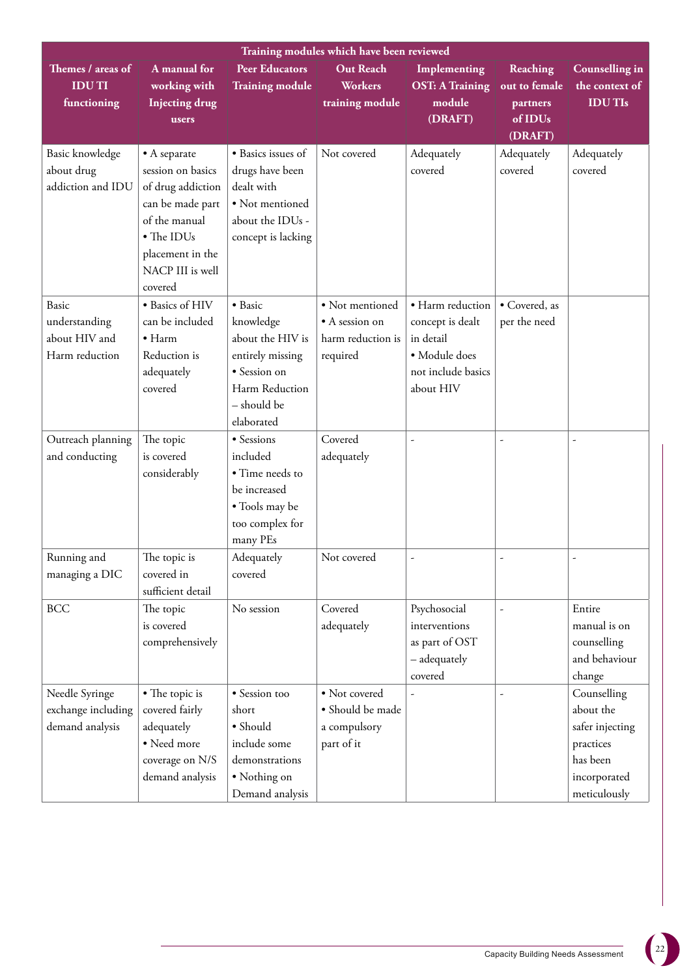|                                                           |                                                                                                                                                              |                                                                                                                             | Training modules which have been reviewed                          |                                                                                                       |                                                             |                                                                                                      |
|-----------------------------------------------------------|--------------------------------------------------------------------------------------------------------------------------------------------------------------|-----------------------------------------------------------------------------------------------------------------------------|--------------------------------------------------------------------|-------------------------------------------------------------------------------------------------------|-------------------------------------------------------------|------------------------------------------------------------------------------------------------------|
| Themes / areas of<br><b>IDU TI</b><br>functioning         | A manual for<br>working with<br><b>Injecting drug</b><br>users                                                                                               | <b>Peer Educators</b><br><b>Training module</b>                                                                             | <b>Out Reach</b><br><b>Workers</b><br>training module              | Implementing<br><b>OST: A Training</b><br>module<br>(DRAFT)                                           | Reaching<br>out to female<br>partners<br>of IDUs<br>(DRAFT) | <b>Counselling in</b><br>the context of<br><b>IDU TIs</b>                                            |
| Basic knowledge<br>about drug<br>addiction and IDU        | • A separate<br>session on basics<br>of drug addiction<br>can be made part<br>of the manual<br>• The IDUs<br>placement in the<br>NACP III is well<br>covered | • Basics issues of<br>drugs have been<br>dealt with<br>• Not mentioned<br>about the IDUs -<br>concept is lacking            | Not covered                                                        | Adequately<br>covered                                                                                 | Adequately<br>covered                                       | Adequately<br>covered                                                                                |
| Basic<br>understanding<br>about HIV and<br>Harm reduction | • Basics of HIV<br>can be included<br>$\bullet$ Harm<br>Reduction is<br>adequately<br>covered                                                                | • Basic<br>knowledge<br>about the HIV is<br>entirely missing<br>· Session on<br>Harm Reduction<br>- should be<br>elaborated | • Not mentioned<br>• A session on<br>harm reduction is<br>required | · Harm reduction<br>concept is dealt<br>in detail<br>· Module does<br>not include basics<br>about HIV | • Covered, as<br>per the need                               |                                                                                                      |
| Outreach planning<br>and conducting                       | The topic<br>is covered<br>considerably                                                                                                                      | • Sessions<br>included<br>• Time needs to<br>be increased<br>• Tools may be<br>too complex for<br>many PEs                  | Covered<br>adequately                                              | L                                                                                                     | L,                                                          | L,                                                                                                   |
| Running and<br>managing a DIC                             | The topic is<br>covered in<br>sufficient detail                                                                                                              | Adequately<br>covered                                                                                                       | Not covered                                                        | $\overline{a}$                                                                                        | $\overline{\phantom{a}}$                                    | $\overline{\phantom{a}}$                                                                             |
| <b>BCC</b>                                                | The topic<br>is covered<br>comprehensively                                                                                                                   | No session                                                                                                                  | Covered<br>adequately                                              | Psychosocial<br>interventions<br>as part of OST<br>- adequately<br>covered                            | $\overline{a}$                                              | Entire<br>manual is on<br>counselling<br>and behaviour<br>change                                     |
| Needle Syringe<br>exchange including<br>demand analysis   | • The topic is<br>covered fairly<br>adequately<br>• Need more<br>coverage on N/S<br>demand analysis                                                          | · Session too<br>short<br>• Should<br>include some<br>demonstrations<br>• Nothing on<br>Demand analysis                     | • Not covered<br>· Should be made<br>a compulsory<br>part of it    |                                                                                                       | L,                                                          | Counselling<br>about the<br>safer injecting<br>practices<br>has been<br>incorporated<br>meticulously |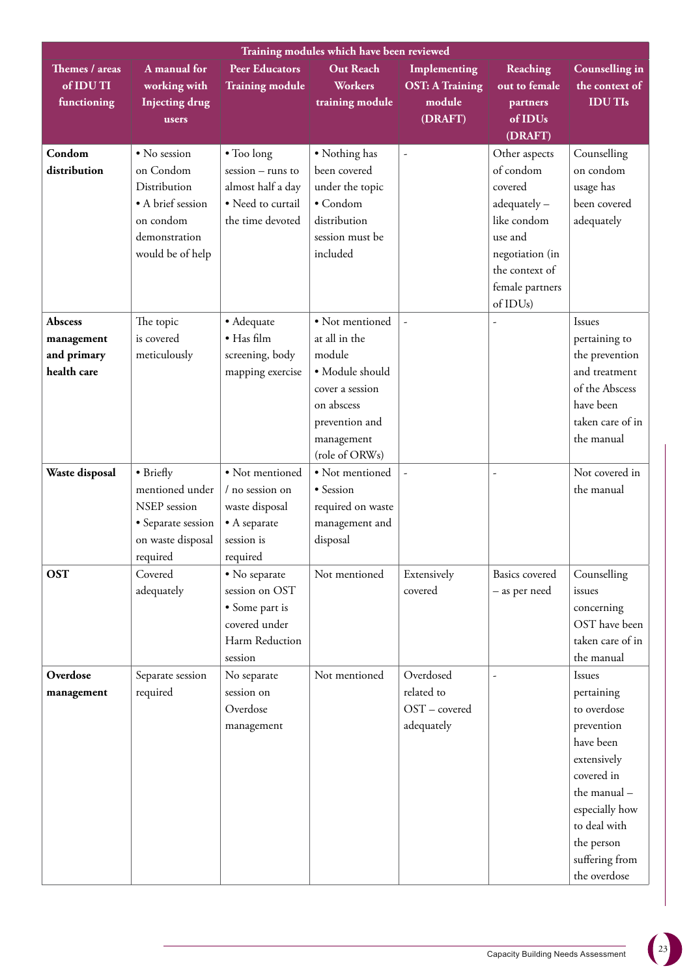| Training modules which have been reviewed           |                                                                                                                  |                                                                                                 |                                                                                                                                                  |                                                             |                                                                                                                                                    |                                                                                                                                                                                               |
|-----------------------------------------------------|------------------------------------------------------------------------------------------------------------------|-------------------------------------------------------------------------------------------------|--------------------------------------------------------------------------------------------------------------------------------------------------|-------------------------------------------------------------|----------------------------------------------------------------------------------------------------------------------------------------------------|-----------------------------------------------------------------------------------------------------------------------------------------------------------------------------------------------|
| Themes / areas<br>of IDU TI<br>functioning          | A manual for<br>working with<br><b>Injecting drug</b><br>users                                                   | <b>Peer Educators</b><br><b>Training module</b>                                                 | <b>Out Reach</b><br>Workers<br>training module                                                                                                   | Implementing<br><b>OST: A Training</b><br>module<br>(DRAFT) | Reaching<br>out to female<br>partners<br>of IDUs<br>(DRAFT)                                                                                        | <b>Counselling in</b><br>the context of<br><b>IDU TIs</b>                                                                                                                                     |
| Condom<br>distribution                              | • No session<br>on Condom<br>Distribution<br>• A brief session<br>on condom<br>demonstration<br>would be of help | • Too long<br>$session - runs to$<br>almost half a day<br>· Need to curtail<br>the time devoted | • Nothing has<br>been covered<br>under the topic<br>• Condom<br>distribution<br>session must be<br>included                                      | $\overline{a}$                                              | Other aspects<br>of condom<br>covered<br>adequately-<br>like condom<br>use and<br>negotiation (in<br>the context of<br>female partners<br>of IDUs) | Counselling<br>on condom<br>usage has<br>been covered<br>adequately                                                                                                                           |
| Abscess<br>management<br>and primary<br>health care | The topic<br>is covered<br>meticulously                                                                          | • Adequate<br>· Has film<br>screening, body<br>mapping exercise                                 | • Not mentioned<br>at all in the<br>module<br>· Module should<br>cover a session<br>on abscess<br>prevention and<br>management<br>(role of ORWs) |                                                             |                                                                                                                                                    | Issues<br>pertaining to<br>the prevention<br>and treatment<br>of the Abscess<br>have been<br>taken care of in<br>the manual                                                                   |
| Waste disposal                                      | • Briefly<br>mentioned under<br>NSEP session<br>• Separate session<br>on waste disposal<br>required              | • Not mentioned<br>/ no session on<br>waste disposal<br>• A separate<br>session is<br>required  | • Not mentioned<br>• Session<br>required on waste<br>management and<br>disposal                                                                  |                                                             |                                                                                                                                                    | Not covered in<br>the manual                                                                                                                                                                  |
| <b>OST</b>                                          | Covered<br>adequately                                                                                            | • No separate<br>session on OST<br>• Some part is<br>covered under<br>Harm Reduction<br>session | Not mentioned                                                                                                                                    | Extensively<br>covered                                      | Basics covered<br>- as per need                                                                                                                    | Counselling<br>issues<br>concerning<br>OST have been<br>taken care of in<br>the manual                                                                                                        |
| Overdose<br>management                              | Separate session<br>required                                                                                     | No separate<br>session on<br>Overdose<br>management                                             | Not mentioned                                                                                                                                    | Overdosed<br>related to<br>OST - covered<br>adequately      |                                                                                                                                                    | Issues<br>pertaining<br>to overdose<br>prevention<br>have been<br>extensively<br>covered in<br>the manual -<br>especially how<br>to deal with<br>the person<br>suffering from<br>the overdose |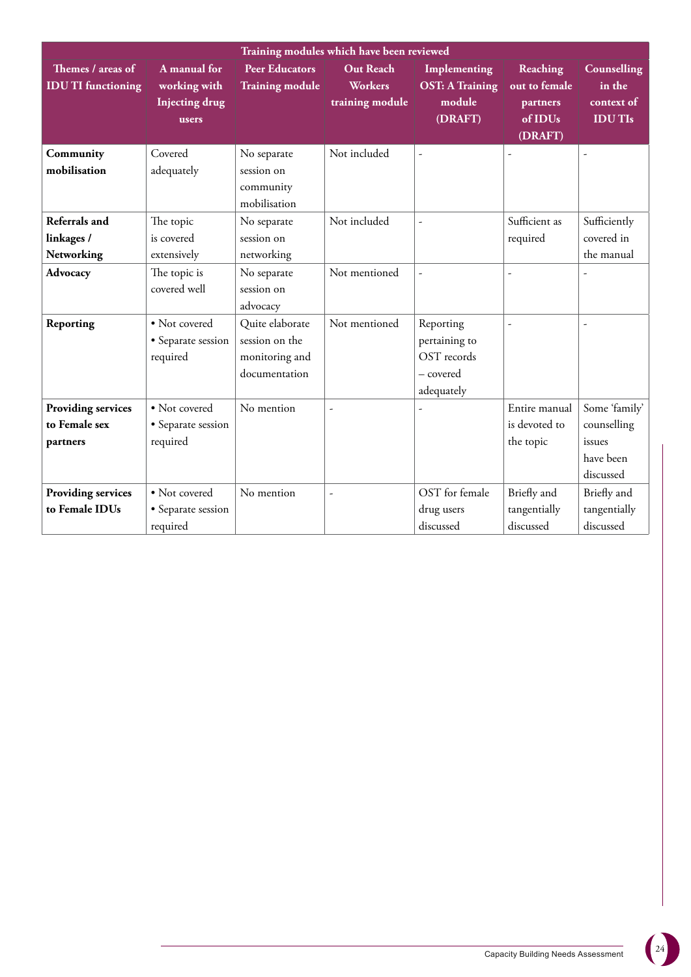| Training modules which have been reviewed              |                                                                |                                                                      |                                                |                                                                      |                                                             |                                                                  |
|--------------------------------------------------------|----------------------------------------------------------------|----------------------------------------------------------------------|------------------------------------------------|----------------------------------------------------------------------|-------------------------------------------------------------|------------------------------------------------------------------|
| Themes / areas of<br><b>IDU TI functioning</b>         | A manual for<br>working with<br><b>Injecting drug</b><br>users | <b>Peer Educators</b><br><b>Training module</b>                      | <b>Out Reach</b><br>Workers<br>training module | Implementing<br><b>OST: A Training</b><br>module<br>(DRAFT)          | Reaching<br>out to female<br>partners<br>of IDUs<br>(DRAFT) | Counselling<br>in the<br>context of<br><b>IDU TIs</b>            |
| Community<br>mobilisation                              | Covered<br>adequately                                          | No separate<br>session on<br>community<br>mobilisation               | Not included                                   | ÷                                                                    |                                                             |                                                                  |
| Referrals and<br>linkages /<br>Networking              | The topic<br>is covered<br>extensively                         | No separate<br>session on<br>networking                              | Not included                                   | $\overline{\phantom{a}}$                                             | Sufficient as<br>required                                   | Sufficiently<br>covered in<br>the manual                         |
| Advocacy                                               | The topic is<br>covered well                                   | No separate<br>session on<br>advocacy                                | Not mentioned                                  | $\overline{a}$                                                       | $\overline{\phantom{a}}$                                    |                                                                  |
| Reporting                                              | • Not covered<br>• Separate session<br>required                | Quite elaborate<br>session on the<br>monitoring and<br>documentation | Not mentioned                                  | Reporting<br>pertaining to<br>OST records<br>- covered<br>adequately | $\overline{a}$                                              |                                                                  |
| <b>Providing services</b><br>to Female sex<br>partners | • Not covered<br>• Separate session<br>required                | No mention                                                           | $\overline{\phantom{a}}$                       | J.                                                                   | Entire manual<br>is devoted to<br>the topic                 | Some 'family'<br>counselling<br>issues<br>have been<br>discussed |
| <b>Providing services</b><br>to Female IDUs            | • Not covered<br>• Separate session<br>required                | No mention                                                           | $\overline{\phantom{a}}$                       | OST for female<br>drug users<br>discussed                            | Briefly and<br>tangentially<br>discussed                    | Briefly and<br>tangentially<br>discussed                         |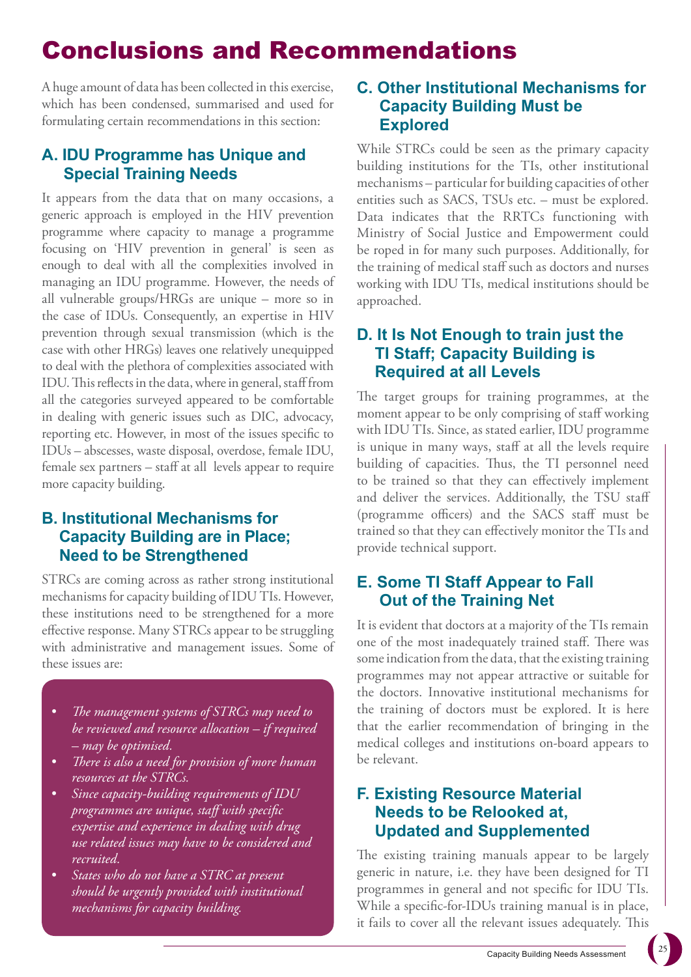# Conclusions and Recommendations

A huge amount of data has been collected in this exercise, which has been condensed, summarised and used for formulating certain recommendations in this section:

# **A. IDU Programme has Unique and Special Training Needs**

It appears from the data that on many occasions, a generic approach is employed in the HIV prevention programme where capacity to manage a programme focusing on 'HIV prevention in general' is seen as enough to deal with all the complexities involved in managing an IDU programme. However, the needs of all vulnerable groups/HRGs are unique – more so in the case of IDUs. Consequently, an expertise in HIV prevention through sexual transmission (which is the case with other HRGs) leaves one relatively unequipped to deal with the plethora of complexities associated with IDU. This reflects in the data, where in general, staff from all the categories surveyed appeared to be comfortable in dealing with generic issues such as DIC, advocacy, reporting etc. However, in most of the issues specific to IDUs – abscesses, waste disposal, overdose, female IDU, female sex partners – staff at all levels appear to require more capacity building.

# **B. Institutional Mechanisms for Capacity Building are in Place; Need to be Strengthened**

STRCs are coming across as rather strong institutional mechanisms for capacity building of IDU TIs. However, these institutions need to be strengthened for a more effective response. Many STRCs appear to be struggling with administrative and management issues. Some of these issues are:

- *• The management systems of STRCs may need to be reviewed and resource allocation – if required – may be optimised.*
- *• There is also a need for provision of more human resources at the STRCs.*
- *• Since capacity-building requirements of IDU programmes are unique, staff with specific expertise and experience in dealing with drug use related issues may have to be considered and recruited.*
- *• States who do not have a STRC at present should be urgently provided with institutional mechanisms for capacity building.*

# **C. Other Institutional Mechanisms for Capacity Building Must be Explored**

While STRCs could be seen as the primary capacity building institutions for the TIs, other institutional mechanisms – particular for building capacities of other entities such as SACS, TSUs etc. – must be explored. Data indicates that the RRTCs functioning with Ministry of Social Justice and Empowerment could be roped in for many such purposes. Additionally, for the training of medical staff such as doctors and nurses working with IDU TIs, medical institutions should be approached.

# **D. It Is Not Enough to train just the TI Staff; Capacity Building is Required at all Levels**

The target groups for training programmes, at the moment appear to be only comprising of staff working with IDU TIs. Since, as stated earlier, IDU programme is unique in many ways, staff at all the levels require building of capacities. Thus, the TI personnel need to be trained so that they can effectively implement and deliver the services. Additionally, the TSU staff (programme officers) and the SACS staff must be trained so that they can effectively monitor the TIs and provide technical support.

# **E. Some TI Staff Appear to Fall Out of the Training Net**

It is evident that doctors at a majority of the TIs remain one of the most inadequately trained staff. There was some indication from the data, that the existing training programmes may not appear attractive or suitable for the doctors. Innovative institutional mechanisms for the training of doctors must be explored. It is here that the earlier recommendation of bringing in the medical colleges and institutions on-board appears to be relevant.

# **F. Existing Resource Material Needs to be Relooked at, Updated and Supplemented**

The existing training manuals appear to be largely generic in nature, i.e. they have been designed for TI programmes in general and not specific for IDU TIs. While a specific-for-IDUs training manual is in place, it fails to cover all the relevant issues adequately. This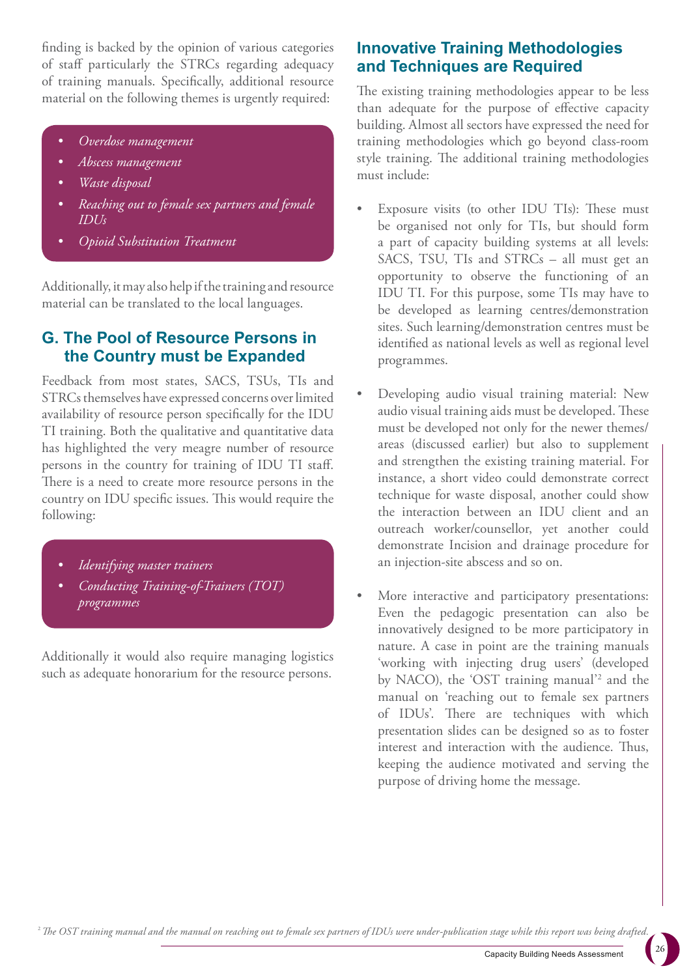finding is backed by the opinion of various categories of staff particularly the STRCs regarding adequacy of training manuals. Specifically, additional resource material on the following themes is urgently required:

- *• Overdose management*
- *• Abscess management*
- *• Waste disposal*
- *• Reaching out to female sex partners and female IDUs*
- *• Opioid Substitution Treatment*

Additionally, it may also help if the training and resource material can be translated to the local languages.

# **G. The Pool of Resource Persons in the Country must be Expanded**

Feedback from most states, SACS, TSUs, TIs and STRCs themselves have expressed concerns over limited availability of resource person specifically for the IDU TI training. Both the qualitative and quantitative data has highlighted the very meagre number of resource persons in the country for training of IDU TI staff. There is a need to create more resource persons in the country on IDU specific issues. This would require the following:

*• Identifying master trainers*

*• Drawing up TORs for potential trainers*

*• Conducting Training-of-Trainers (TOT) programmes*

Additionally it would also require managing logistics such as adequate honorarium for the resource persons.

# **Innovative Training Methodologies and Techniques are Required**

The existing training methodologies appear to be less than adequate for the purpose of effective capacity building. Almost all sectors have expressed the need for training methodologies which go beyond class-room style training. The additional training methodologies must include:

- Exposure visits (to other IDU TIs): These must be organised not only for TIs, but should form a part of capacity building systems at all levels: SACS, TSU, TIs and STRCs – all must get an opportunity to observe the functioning of an IDU TI. For this purpose, some TIs may have to be developed as learning centres/demonstration sites. Such learning/demonstration centres must be identified as national levels as well as regional level programmes.
- Developing audio visual training material: New audio visual training aids must be developed. These must be developed not only for the newer themes/ areas (discussed earlier) but also to supplement and strengthen the existing training material. For instance, a short video could demonstrate correct technique for waste disposal, another could show the interaction between an IDU client and an outreach worker/counsellor, yet another could demonstrate Incision and drainage procedure for an injection-site abscess and so on.
- More interactive and participatory presentations: Even the pedagogic presentation can also be innovatively designed to be more participatory in nature. A case in point are the training manuals 'working with injecting drug users' (developed by NACO), the 'OST training manual'2 and the manual on 'reaching out to female sex partners of IDUs'. There are techniques with which presentation slides can be designed so as to foster interest and interaction with the audience. Thus, keeping the audience motivated and serving the purpose of driving home the message.

<sup>2</sup> The OST training manual and the manual on reaching out to female sex partners of IDUs were under-publication stage while this report was being drafted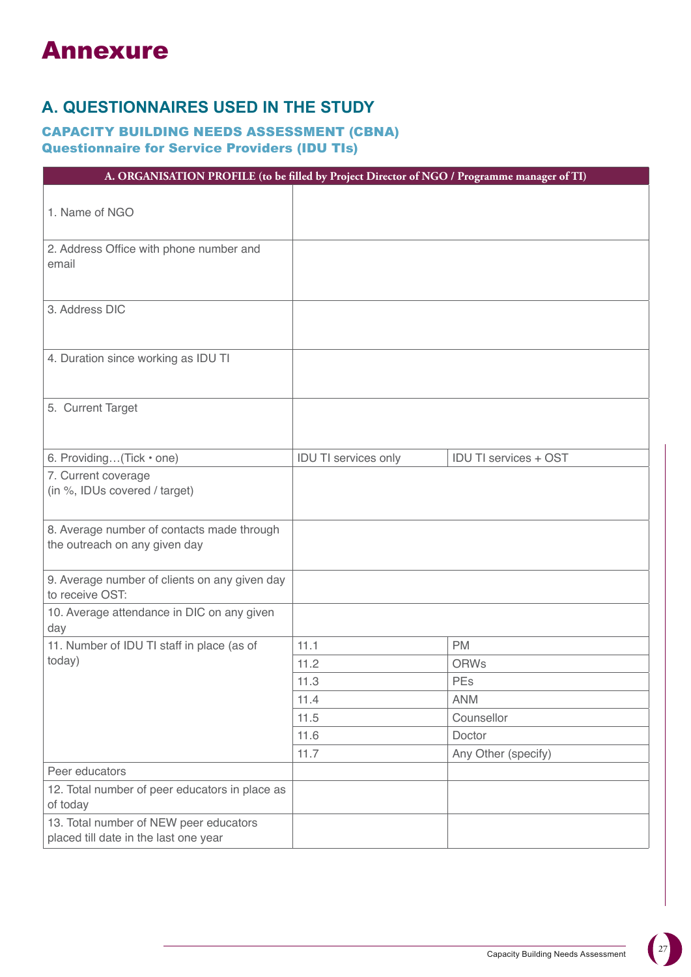# Annexure

# **A. QUESTIONNAIRES USED IN THE STUDY**

### CAPACITY BUILDING NEEDS ASSESSMENT (CBNA) Questionnaire for Service Providers (IDU TIs)

| A. ORGANISATION PROFILE (to be filled by Project Director of NGO / Programme manager of TI) |                             |                              |
|---------------------------------------------------------------------------------------------|-----------------------------|------------------------------|
|                                                                                             |                             |                              |
| 1. Name of NGO                                                                              |                             |                              |
| 2. Address Office with phone number and<br>email                                            |                             |                              |
| 3. Address DIC                                                                              |                             |                              |
| 4. Duration since working as IDU TI                                                         |                             |                              |
| 5. Current Target                                                                           |                             |                              |
| 6. Providing(Tick · one)                                                                    | <b>IDU TI services only</b> | <b>IDU TI services + OST</b> |
| 7. Current coverage<br>(in %, IDUs covered / target)                                        |                             |                              |
| 8. Average number of contacts made through<br>the outreach on any given day                 |                             |                              |
| 9. Average number of clients on any given day<br>to receive OST:                            |                             |                              |
| 10. Average attendance in DIC on any given<br>day                                           |                             |                              |
| 11. Number of IDU TI staff in place (as of                                                  | 11.1                        | <b>PM</b>                    |
| today)                                                                                      | 11.2                        | <b>ORWs</b>                  |
|                                                                                             | 11.3                        | <b>PEs</b>                   |
|                                                                                             | 11.4                        | <b>ANM</b>                   |
|                                                                                             | 11.5                        | Counsellor                   |
|                                                                                             | 11.6                        | Doctor                       |
|                                                                                             | 11.7                        | Any Other (specify)          |
| Peer educators                                                                              |                             |                              |
| 12. Total number of peer educators in place as<br>of today                                  |                             |                              |
| 13. Total number of NEW peer educators<br>placed till date in the last one year             |                             |                              |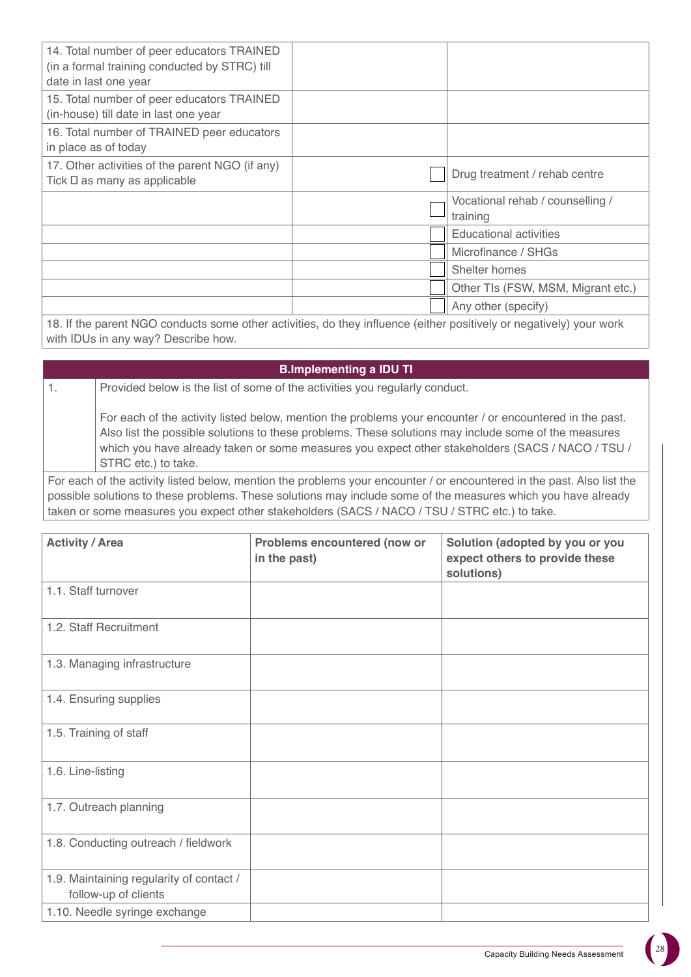| 14. Total number of peer educators TRAINED<br>(in a formal training conducted by STRC) till<br>date in last one year |                                              |
|----------------------------------------------------------------------------------------------------------------------|----------------------------------------------|
| 15. Total number of peer educators TRAINED<br>(in-house) till date in last one year                                  |                                              |
| 16. Total number of TRAINED peer educators<br>in place as of today                                                   |                                              |
| 17. Other activities of the parent NGO (if any)<br>Tick $\square$ as many as applicable                              | Drug treatment / rehab centre                |
|                                                                                                                      | Vocational rehab / counselling /<br>training |
|                                                                                                                      | <b>Educational activities</b>                |
|                                                                                                                      | Microfinance / SHGs                          |
|                                                                                                                      | Shelter homes                                |
|                                                                                                                      | Other TIs (FSW, MSM, Migrant etc.)           |
|                                                                                                                      | Any other (specify)                          |

18. If the parent NGO conducts some other activities, do they influence (either positively or negatively) your work with IDUs in any way? Describe how.

#### **B.Implementing a IDU TI**

1. Provided below is the list of some of the activities you regularly conduct.

For each of the activity listed below, mention the problems your encounter / or encountered in the past. Also list the possible solutions to these problems. These solutions may include some of the measures which you have already taken or some measures you expect other stakeholders (SACS / NACO / TSU / STRC etc.) to take.

For each of the activity listed below, mention the problems your encounter / or encountered in the past. Also list the possible solutions to these problems. These solutions may include some of the measures which you have already taken or some measures you expect other stakeholders (SACS / NACO / TSU / STRC etc.) to take.

| <b>Activity / Area</b>                                           | Problems encountered (now or<br>in the past) | Solution (adopted by you or you<br>expect others to provide these<br>solutions) |
|------------------------------------------------------------------|----------------------------------------------|---------------------------------------------------------------------------------|
| 1.1. Staff turnover                                              |                                              |                                                                                 |
| 1.2. Staff Recruitment                                           |                                              |                                                                                 |
| 1.3. Managing infrastructure                                     |                                              |                                                                                 |
| 1.4. Ensuring supplies                                           |                                              |                                                                                 |
| 1.5. Training of staff                                           |                                              |                                                                                 |
| 1.6. Line-listing                                                |                                              |                                                                                 |
| 1.7. Outreach planning                                           |                                              |                                                                                 |
| 1.8. Conducting outreach / fieldwork                             |                                              |                                                                                 |
| 1.9. Maintaining regularity of contact /<br>follow-up of clients |                                              |                                                                                 |
| 1.10. Needle syringe exchange                                    |                                              |                                                                                 |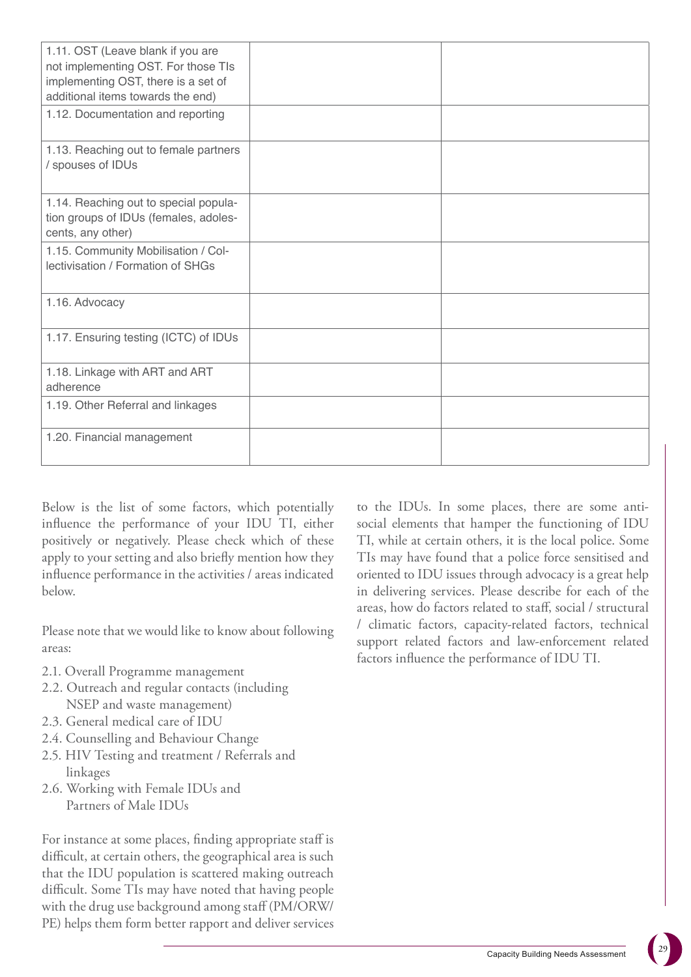| 1.11. OST (Leave blank if you are<br>not implementing OST. For those TIs<br>implementing OST, there is a set of<br>additional items towards the end) |  |
|------------------------------------------------------------------------------------------------------------------------------------------------------|--|
| 1.12. Documentation and reporting                                                                                                                    |  |
| 1.13. Reaching out to female partners<br>/ spouses of IDUs                                                                                           |  |
| 1.14. Reaching out to special popula-<br>tion groups of IDUs (females, adoles-<br>cents, any other)                                                  |  |
| 1.15. Community Mobilisation / Col-<br>lectivisation / Formation of SHGs                                                                             |  |
| 1.16. Advocacy                                                                                                                                       |  |
| 1.17. Ensuring testing (ICTC) of IDUs                                                                                                                |  |
| 1.18. Linkage with ART and ART<br>adherence                                                                                                          |  |
| 1.19. Other Referral and linkages                                                                                                                    |  |
| 1.20. Financial management                                                                                                                           |  |

Below is the list of some factors, which potentially influence the performance of your IDU TI, either positively or negatively. Please check which of these apply to your setting and also briefly mention how they influence performance in the activities / areas indicated below.

Please note that we would like to know about following areas:

- 2.1. Overall Programme management
- 2.2. Outreach and regular contacts (including NSEP and waste management)
- 2.3. General medical care of IDU
- 2.4. Counselling and Behaviour Change
- 2.5. HIV Testing and treatment / Referrals and linkages
- 2.6. Working with Female IDUs and Partners of Male IDUs

For instance at some places, finding appropriate staff is difficult, at certain others, the geographical area is such that the IDU population is scattered making outreach difficult. Some TIs may have noted that having people with the drug use background among staff (PM/ORW/ PE) helps them form better rapport and deliver services to the IDUs. In some places, there are some antisocial elements that hamper the functioning of IDU TI, while at certain others, it is the local police. Some TIs may have found that a police force sensitised and oriented to IDU issues through advocacy is a great help in delivering services. Please describe for each of the areas, how do factors related to staff, social / structural / climatic factors, capacity-related factors, technical support related factors and law-enforcement related factors influence the performance of IDU TI.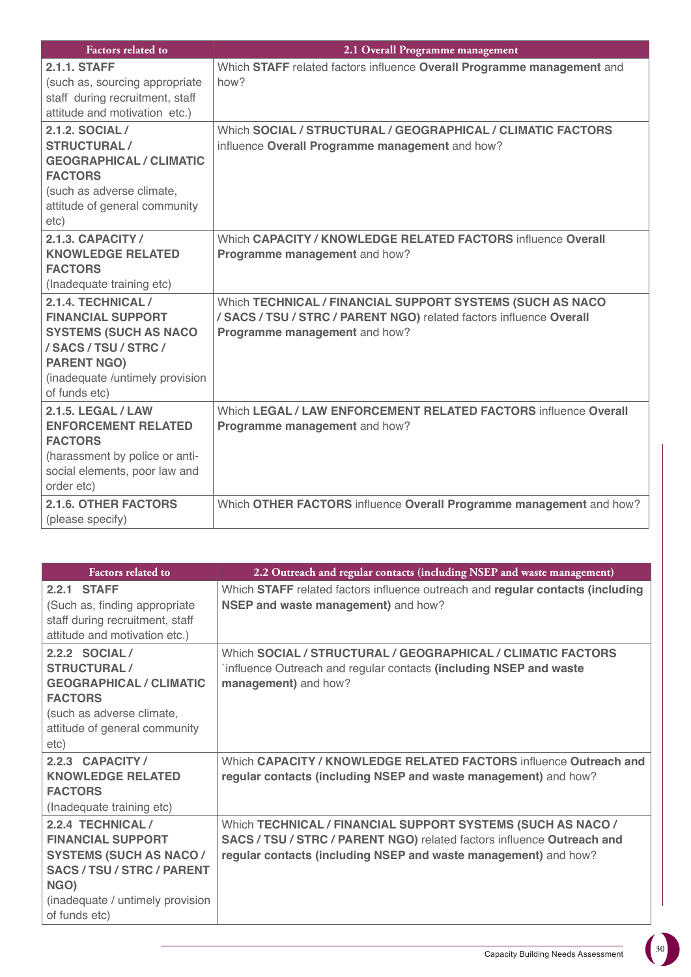| <b>Factors related to</b>                                                                                                                                                          | 2.1 Overall Programme management                                                                                                                                  |
|------------------------------------------------------------------------------------------------------------------------------------------------------------------------------------|-------------------------------------------------------------------------------------------------------------------------------------------------------------------|
| <b>2.1.1. STAFF</b><br>(such as, sourcing appropriate<br>staff during recruitment, staff<br>attitude and motivation etc.)                                                          | Which STAFF related factors influence Overall Programme management and<br>how?                                                                                    |
| 2.1.2. SOCIAL /<br><b>STRUCTURAL/</b><br><b>GEOGRAPHICAL / CLIMATIC</b><br><b>FACTORS</b><br>(such as adverse climate,<br>attitude of general community<br>etc)                    | Which SOCIAL / STRUCTURAL / GEOGRAPHICAL / CLIMATIC FACTORS<br>influence Overall Programme management and how?                                                    |
| $2.1.3.$ CAPACITY /<br><b>KNOWLEDGE RELATED</b><br><b>FACTORS</b><br>(Inadequate training etc)                                                                                     | Which CAPACITY / KNOWLEDGE RELATED FACTORS influence Overall<br>Programme management and how?                                                                     |
| 2.1.4. TECHNICAL /<br><b>FINANCIAL SUPPORT</b><br><b>SYSTEMS (SUCH AS NACO)</b><br>/ SACS / TSU / STRC /<br><b>PARENT NGO)</b><br>(inadequate /untimely provision<br>of funds etc) | Which TECHNICAL / FINANCIAL SUPPORT SYSTEMS (SUCH AS NACO<br>/ SACS / TSU / STRC / PARENT NGO) related factors influence Overall<br>Programme management and how? |
| <b>2.1.5. LEGAL / LAW</b><br><b>ENFORCEMENT RELATED</b><br><b>FACTORS</b><br>(harassment by police or anti-<br>social elements, poor law and<br>order etc)                         | Which LEGAL / LAW ENFORCEMENT RELATED FACTORS influence Overall<br>Programme management and how?                                                                  |
| <b>2.1.6. OTHER FACTORS</b><br>(please specify)                                                                                                                                    | Which OTHER FACTORS influence Overall Programme management and how?                                                                                               |

| <b>Factors related to</b>                                                                                                                                                         | 2.2 Outreach and regular contacts (including NSEP and waste management)                                                                                                                                  |
|-----------------------------------------------------------------------------------------------------------------------------------------------------------------------------------|----------------------------------------------------------------------------------------------------------------------------------------------------------------------------------------------------------|
| <b>2.2.1 STAFF</b><br>(Such as, finding appropriate<br>staff during recruitment, staff<br>attitude and motivation etc.)                                                           | Which STAFF related factors influence outreach and regular contacts (including<br>NSEP and waste management) and how?                                                                                    |
| 2.2.2 SOCIAL /<br><b>STRUCTURAL/</b><br><b>GEOGRAPHICAL / CLIMATIC</b><br><b>FACTORS</b><br>(such as adverse climate,<br>attitude of general community<br>etc)                    | Which SOCIAL / STRUCTURAL / GEOGRAPHICAL / CLIMATIC FACTORS<br>influence Outreach and regular contacts (including NSEP and waste<br>management) and how?                                                 |
| 2.2.3 CAPACITY/<br><b>KNOWLEDGE RELATED</b><br><b>FACTORS</b><br>(Inadequate training etc)                                                                                        | Which CAPACITY / KNOWLEDGE RELATED FACTORS influence Outreach and<br>regular contacts (including NSEP and waste management) and how?                                                                     |
| 2.2.4 TECHNICAL /<br><b>FINANCIAL SUPPORT</b><br><b>SYSTEMS (SUCH AS NACO /</b><br><b>SACS / TSU / STRC / PARENT</b><br>NGO)<br>(inadequate / untimely provision<br>of funds etc) | Which TECHNICAL / FINANCIAL SUPPORT SYSTEMS (SUCH AS NACO /<br>SACS / TSU / STRC / PARENT NGO) related factors influence Outreach and<br>regular contacts (including NSEP and waste management) and how? |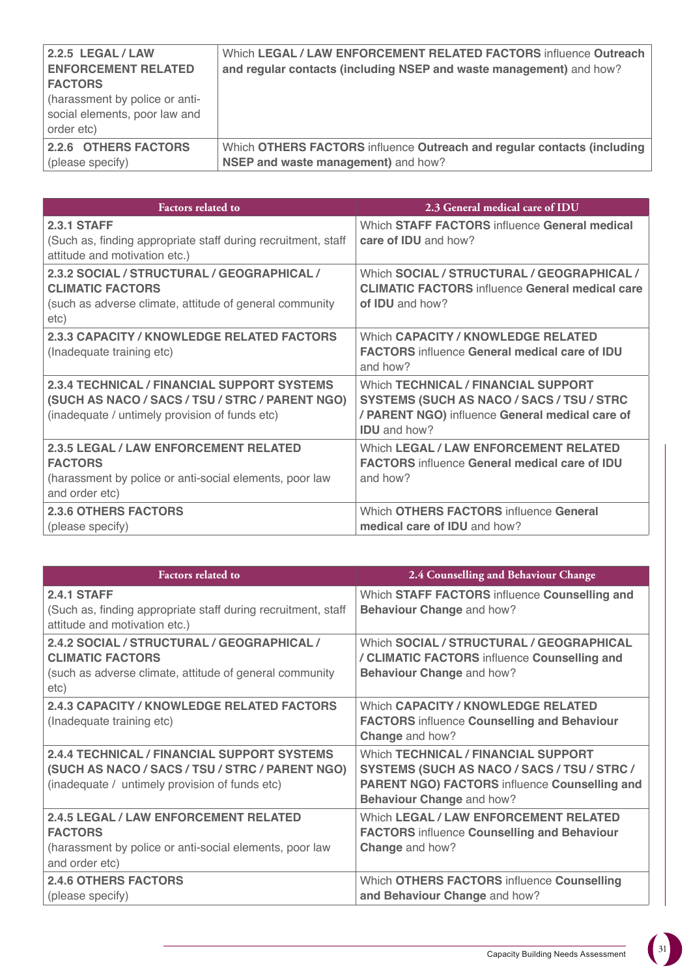| 2.2.5 LEGAL / LAW<br><b>ENFORCEMENT RELATED</b><br><b>FACTORS</b><br>(harassment by police or anti-<br>social elements, poor law and<br>order etc) | Which LEGAL / LAW ENFORCEMENT RELATED FACTORS influence Outreach<br>and regular contacts (including NSEP and waste management) and how? |
|----------------------------------------------------------------------------------------------------------------------------------------------------|-----------------------------------------------------------------------------------------------------------------------------------------|
| 2.2.6 OTHERS FACTORS                                                                                                                               | Which OTHERS FACTORS influence Outreach and regular contacts (including                                                                 |
| (please specify)                                                                                                                                   | NSEP and waste management) and how?                                                                                                     |

| <b>Factors related to</b>                                                                                                                               | 2.3 General medical care of IDU                                                                                                                                   |
|---------------------------------------------------------------------------------------------------------------------------------------------------------|-------------------------------------------------------------------------------------------------------------------------------------------------------------------|
| <b>2.3.1 STAFF</b><br>(Such as, finding appropriate staff during recruitment, staff<br>attitude and motivation etc.)                                    | Which STAFF FACTORS influence General medical<br>care of IDU and how?                                                                                             |
| 2.3.2 SOCIAL / STRUCTURAL / GEOGRAPHICAL /<br><b>CLIMATIC FACTORS</b><br>(such as adverse climate, attitude of general community<br>etc)                | Which SOCIAL / STRUCTURAL / GEOGRAPHICAL /<br><b>CLIMATIC FACTORS</b> influence General medical care<br>of <b>IDU</b> and how?                                    |
| <b>2.3.3 CAPACITY / KNOWLEDGE RELATED FACTORS</b><br>(Inadequate training etc)                                                                          | <b>Which CAPACITY / KNOWLEDGE RELATED</b><br><b>FACTORS</b> influence General medical care of <b>IDU</b><br>and how?                                              |
| <b>2.3.4 TECHNICAL / FINANCIAL SUPPORT SYSTEMS</b><br>(SUCH AS NACO / SACS / TSU / STRC / PARENT NGO)<br>(inadequate / untimely provision of funds etc) | <b>Which TECHNICAL / FINANCIAL SUPPORT</b><br>SYSTEMS (SUCH AS NACO / SACS / TSU / STRC<br>/ PARENT NGO) influence General medical care of<br><b>IDU</b> and how? |
| <b>2.3.5 LEGAL / LAW ENFORCEMENT RELATED</b><br><b>FACTORS</b><br>(harassment by police or anti-social elements, poor law<br>and order etc)             | Which LEGAL / LAW ENFORCEMENT RELATED<br><b>FACTORS</b> influence General medical care of <b>IDU</b><br>and how?                                                  |
| <b>2.3.6 OTHERS FACTORS</b><br>(please specify)                                                                                                         | Which OTHERS FACTORS influence General<br>medical care of IDU and how?                                                                                            |

| <b>Factors related to</b>                                                                                                                               | 2.4 Counselling and Behaviour Change                                                                                                                                           |
|---------------------------------------------------------------------------------------------------------------------------------------------------------|--------------------------------------------------------------------------------------------------------------------------------------------------------------------------------|
| <b>2.4.1 STAFF</b><br>(Such as, finding appropriate staff during recruitment, staff<br>attitude and motivation etc.)                                    | Which STAFF FACTORS influence Counselling and<br>Behaviour Change and how?                                                                                                     |
| 2.4.2 SOCIAL / STRUCTURAL / GEOGRAPHICAL /<br><b>CLIMATIC FACTORS</b><br>(such as adverse climate, attitude of general community<br>etc)                | <b>Which SOCIAL / STRUCTURAL / GEOGRAPHICAL</b><br>/ CLIMATIC FACTORS influence Counselling and<br>Behaviour Change and how?                                                   |
| <b>2.4.3 CAPACITY / KNOWLEDGE RELATED FACTORS</b><br>(Inadequate training etc)                                                                          | <b>Which CAPACITY / KNOWLEDGE RELATED</b><br><b>FACTORS</b> influence Counselling and Behaviour<br><b>Change</b> and how?                                                      |
| <b>2.4.4 TECHNICAL / FINANCIAL SUPPORT SYSTEMS</b><br>(SUCH AS NACO / SACS / TSU / STRC / PARENT NGO)<br>(inadequate / untimely provision of funds etc) | <b>Which TECHNICAL / FINANCIAL SUPPORT</b><br>SYSTEMS (SUCH AS NACO / SACS / TSU / STRC /<br><b>PARENT NGO) FACTORS influence Counselling and</b><br>Behaviour Change and how? |
| <b>2.4.5 LEGAL / LAW ENFORCEMENT RELATED</b><br><b>FACTORS</b><br>(harassment by police or anti-social elements, poor law<br>and order etc)             | <b>Which LEGAL / LAW ENFORCEMENT RELATED</b><br><b>FACTORS</b> influence Counselling and Behaviour<br><b>Change and how?</b>                                                   |
| <b>2.4.6 OTHERS FACTORS</b><br>(please specify)                                                                                                         | Which OTHERS FACTORS influence Counselling<br>and Behaviour Change and how?                                                                                                    |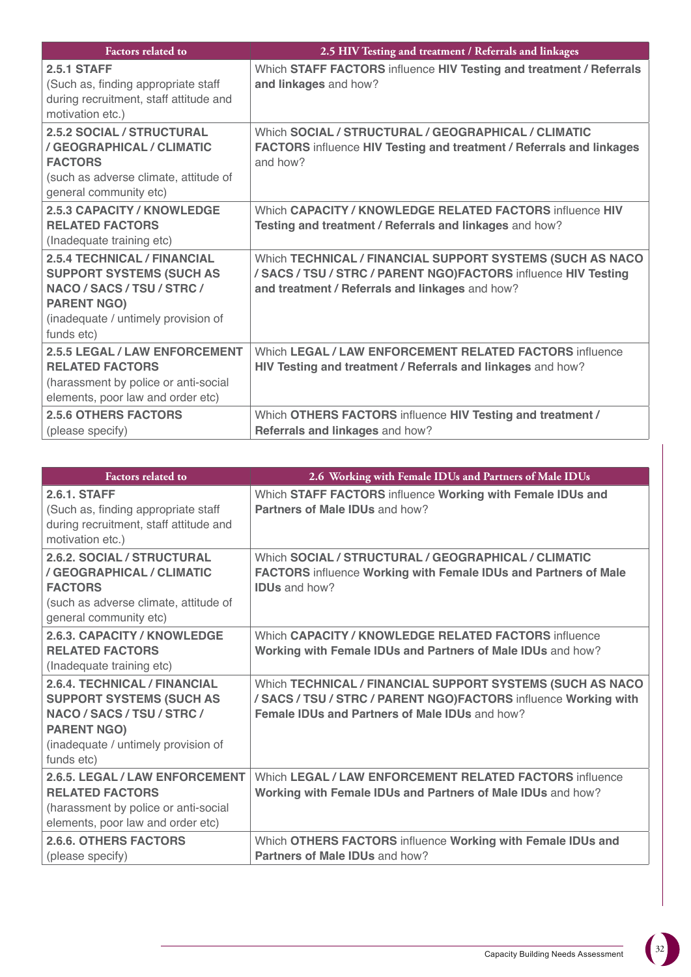| <b>Factors related to</b>                                                                                                                                                      | 2.5 HIV Testing and treatment / Referrals and linkages                                                                                                                         |
|--------------------------------------------------------------------------------------------------------------------------------------------------------------------------------|--------------------------------------------------------------------------------------------------------------------------------------------------------------------------------|
| <b>2.5.1 STAFF</b><br>(Such as, finding appropriate staff<br>during recruitment, staff attitude and<br>motivation etc.)                                                        | Which STAFF FACTORS influence HIV Testing and treatment / Referrals<br>and linkages and how?                                                                                   |
| 2.5.2 SOCIAL / STRUCTURAL<br>/ GEOGRAPHICAL / CLIMATIC<br><b>FACTORS</b><br>(such as adverse climate, attitude of<br>general community etc)                                    | Which SOCIAL / STRUCTURAL / GEOGRAPHICAL / CLIMATIC<br><b>FACTORS</b> influence HIV Testing and treatment / Referrals and linkages<br>and how?                                 |
| <b>2.5.3 CAPACITY / KNOWLEDGE</b><br><b>RELATED FACTORS</b><br>(Inadequate training etc)                                                                                       | Which CAPACITY / KNOWLEDGE RELATED FACTORS influence HIV<br>Testing and treatment / Referrals and linkages and how?                                                            |
| <b>2.5.4 TECHNICAL / FINANCIAL</b><br><b>SUPPORT SYSTEMS (SUCH AS</b><br>NACO / SACS / TSU / STRC /<br><b>PARENT NGO)</b><br>(inadequate / untimely provision of<br>funds etc) | Which TECHNICAL / FINANCIAL SUPPORT SYSTEMS (SUCH AS NACO<br>/ SACS / TSU / STRC / PARENT NGO)FACTORS influence HIV Testing<br>and treatment / Referrals and linkages and how? |
| <b>2.5.5 LEGAL / LAW ENFORCEMENT</b><br><b>RELATED FACTORS</b><br>(harassment by police or anti-social<br>elements, poor law and order etc)                                    | Which LEGAL / LAW ENFORCEMENT RELATED FACTORS influence<br>HIV Testing and treatment / Referrals and linkages and how?                                                         |
| <b>2.5.6 OTHERS FACTORS</b><br>(please specify)                                                                                                                                | Which OTHERS FACTORS influence HIV Testing and treatment /<br>Referrals and linkages and how?                                                                                  |

| <b>Factors related to</b>                                                                                                                                                | 2.6 Working with Female IDUs and Partners of Male IDUs                                                                                                                         |
|--------------------------------------------------------------------------------------------------------------------------------------------------------------------------|--------------------------------------------------------------------------------------------------------------------------------------------------------------------------------|
| <b>2.6.1. STAFF</b><br>(Such as, finding appropriate staff<br>during recruitment, staff attitude and<br>motivation etc.)                                                 | Which STAFF FACTORS influence Working with Female IDUs and<br>Partners of Male IDUs and how?                                                                                   |
| <b>2.6.2. SOCIAL / STRUCTURAL</b><br>/ GEOGRAPHICAL / CLIMATIC<br><b>FACTORS</b><br>(such as adverse climate, attitude of<br>general community etc)                      | Which SOCIAL / STRUCTURAL / GEOGRAPHICAL / CLIMATIC<br><b>FACTORS</b> influence Working with Female IDUs and Partners of Male<br><b>IDUs and how?</b>                          |
| 2.6.3. CAPACITY / KNOWLEDGE<br><b>RELATED FACTORS</b><br>(Inadequate training etc)                                                                                       | Which CAPACITY / KNOWLEDGE RELATED FACTORS influence<br>Working with Female IDUs and Partners of Male IDUs and how?                                                            |
| 2.6.4. TECHNICAL / FINANCIAL<br><b>SUPPORT SYSTEMS (SUCH AS</b><br>NACO / SACS / TSU / STRC /<br><b>PARENT NGO)</b><br>(inadequate / untimely provision of<br>funds etc) | Which TECHNICAL / FINANCIAL SUPPORT SYSTEMS (SUCH AS NACO<br>/ SACS / TSU / STRC / PARENT NGO)FACTORS influence Working with<br>Female IDUs and Partners of Male IDUs and how? |
| 2.6.5. LEGAL / LAW ENFORCEMENT<br><b>RELATED FACTORS</b><br>(harassment by police or anti-social<br>elements, poor law and order etc)                                    | Which LEGAL / LAW ENFORCEMENT RELATED FACTORS influence<br>Working with Female IDUs and Partners of Male IDUs and how?                                                         |
| <b>2.6.6. OTHERS FACTORS</b><br>(please specify)                                                                                                                         | Which OTHERS FACTORS influence Working with Female IDUs and<br>Partners of Male IDUs and how?                                                                                  |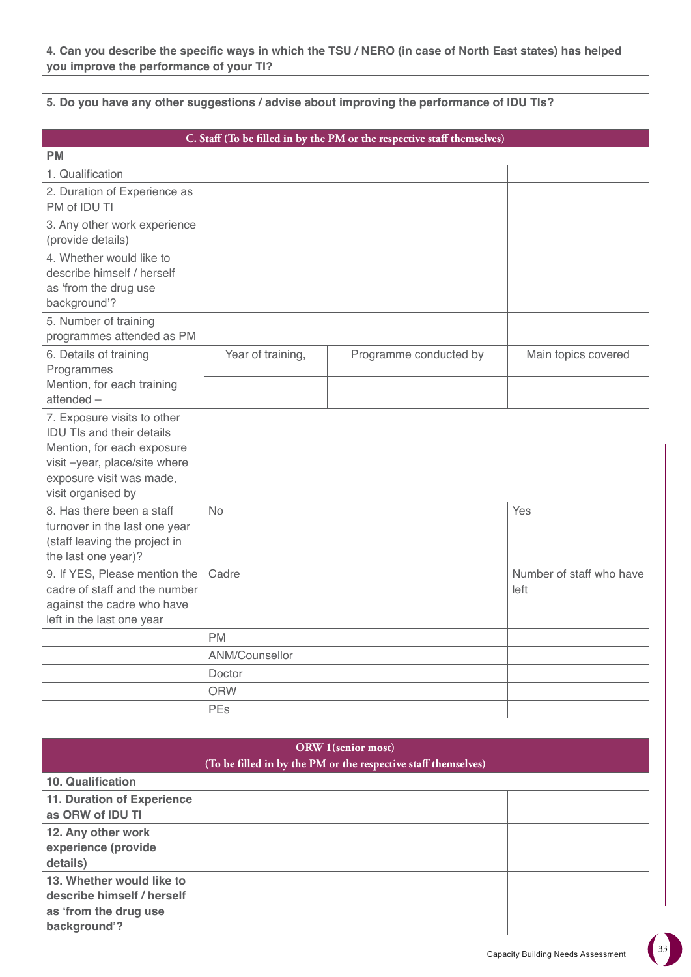**4. Can you describe the specific ways in which the TSU / NERO (in case of North East states) has helped you improve the performance of your TI?**

**5. Do you have any other suggestions / advise about improving the performance of IDU TIs?** 

#### **C. Staff (To be filled in by the PM or the respective staff themselves)**

| <b>PM</b>                                                                                                                                                                        |                   |                        |                                  |
|----------------------------------------------------------------------------------------------------------------------------------------------------------------------------------|-------------------|------------------------|----------------------------------|
| 1. Qualification                                                                                                                                                                 |                   |                        |                                  |
| 2. Duration of Experience as<br>PM of IDU TI                                                                                                                                     |                   |                        |                                  |
| 3. Any other work experience<br>(provide details)                                                                                                                                |                   |                        |                                  |
| 4. Whether would like to<br>describe himself / herself<br>as 'from the drug use<br>background'?                                                                                  |                   |                        |                                  |
| 5. Number of training<br>programmes attended as PM                                                                                                                               |                   |                        |                                  |
| 6. Details of training<br>Programmes                                                                                                                                             | Year of training, | Programme conducted by | Main topics covered              |
| Mention, for each training<br>attended-                                                                                                                                          |                   |                        |                                  |
| 7. Exposure visits to other<br><b>IDU TIs and their details</b><br>Mention, for each exposure<br>visit -year, place/site where<br>exposure visit was made,<br>visit organised by |                   |                        |                                  |
| 8. Has there been a staff<br>turnover in the last one year<br>(staff leaving the project in<br>the last one year)?                                                               | No                |                        | Yes                              |
| 9. If YES, Please mention the<br>cadre of staff and the number<br>against the cadre who have<br>left in the last one year                                                        | Cadre             |                        | Number of staff who have<br>left |
|                                                                                                                                                                                  | <b>PM</b>         |                        |                                  |
|                                                                                                                                                                                  | ANM/Counsellor    |                        |                                  |
|                                                                                                                                                                                  | Doctor            |                        |                                  |
|                                                                                                                                                                                  | <b>ORW</b>        |                        |                                  |
|                                                                                                                                                                                  | <b>PEs</b>        |                        |                                  |

| <b>ORW</b> 1(senior most)                                                                        |                                                                |  |  |
|--------------------------------------------------------------------------------------------------|----------------------------------------------------------------|--|--|
|                                                                                                  | (To be filled in by the PM or the respective staff themselves) |  |  |
| 10. Qualification                                                                                |                                                                |  |  |
| 11. Duration of Experience<br>as ORW of IDU TI                                                   |                                                                |  |  |
| 12. Any other work<br>experience (provide<br>details)                                            |                                                                |  |  |
| 13. Whether would like to<br>describe himself / herself<br>as 'from the drug use<br>background'? |                                                                |  |  |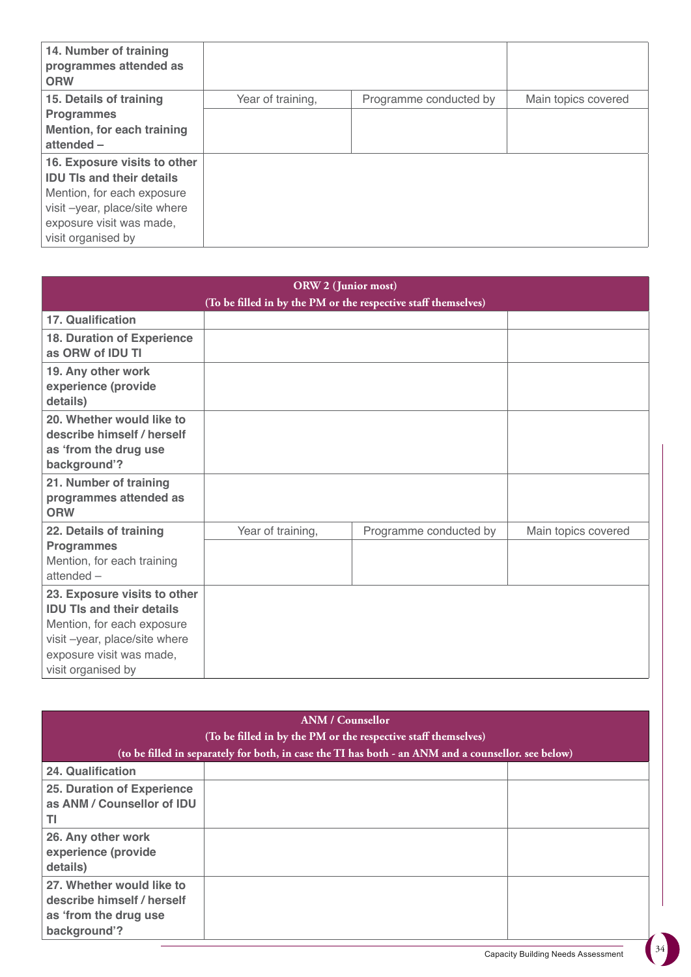| 14. Number of training<br>programmes attended as<br><b>ORW</b> |                   |                        |                     |
|----------------------------------------------------------------|-------------------|------------------------|---------------------|
| 15. Details of training                                        | Year of training, | Programme conducted by | Main topics covered |
| <b>Programmes</b>                                              |                   |                        |                     |
| Mention, for each training                                     |                   |                        |                     |
| attended-                                                      |                   |                        |                     |
| 16. Exposure visits to other                                   |                   |                        |                     |
| <b>IDU TIs and their details</b>                               |                   |                        |                     |
| Mention, for each exposure                                     |                   |                        |                     |
| visit -year, place/site where                                  |                   |                        |                     |
| exposure visit was made,                                       |                   |                        |                     |
| visit organised by                                             |                   |                        |                     |

| ORW 2 (Junior most)                                                                              |                                                                |                        |                     |  |
|--------------------------------------------------------------------------------------------------|----------------------------------------------------------------|------------------------|---------------------|--|
|                                                                                                  | (To be filled in by the PM or the respective staff themselves) |                        |                     |  |
| <b>17. Qualification</b>                                                                         |                                                                |                        |                     |  |
| <b>18. Duration of Experience</b><br>as ORW of IDU TI                                            |                                                                |                        |                     |  |
| 19. Any other work<br>experience (provide<br>details)                                            |                                                                |                        |                     |  |
| 20. Whether would like to<br>describe himself / herself<br>as 'from the drug use<br>background'? |                                                                |                        |                     |  |
| 21. Number of training<br>programmes attended as<br><b>ORW</b>                                   |                                                                |                        |                     |  |
| 22. Details of training                                                                          | Year of training,                                              | Programme conducted by | Main topics covered |  |
| <b>Programmes</b><br>Mention, for each training<br>attended-                                     |                                                                |                        |                     |  |
| 23. Exposure visits to other<br><b>IDU TIs and their details</b>                                 |                                                                |                        |                     |  |
| Mention, for each exposure                                                                       |                                                                |                        |                     |  |
| visit -year, place/site where                                                                    |                                                                |                        |                     |  |
| exposure visit was made,<br>visit organised by                                                   |                                                                |                        |                     |  |

| <b>ANM / Counsellor</b><br>(To be filled in by the PM or the respective staff themselves)        |                                                                                                     |  |  |
|--------------------------------------------------------------------------------------------------|-----------------------------------------------------------------------------------------------------|--|--|
|                                                                                                  | (to be filled in separately for both, in case the TI has both - an ANM and a counsellor. see below) |  |  |
| 24. Qualification                                                                                |                                                                                                     |  |  |
| 25. Duration of Experience<br>as ANM / Counsellor of IDU                                         |                                                                                                     |  |  |
| 26. Any other work<br>experience (provide<br>details)                                            |                                                                                                     |  |  |
| 27. Whether would like to<br>describe himself / herself<br>as 'from the drug use<br>background'? |                                                                                                     |  |  |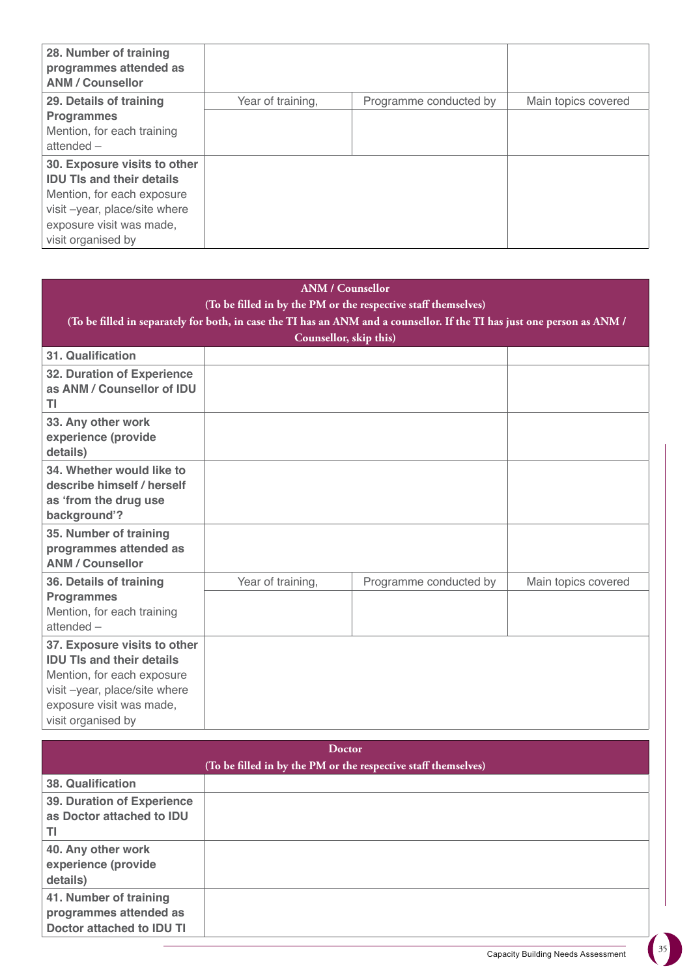| 28. Number of training<br>programmes attended as<br><b>ANM / Counsellor</b> |                   |                        |                     |
|-----------------------------------------------------------------------------|-------------------|------------------------|---------------------|
| 29. Details of training                                                     | Year of training, | Programme conducted by | Main topics covered |
| <b>Programmes</b>                                                           |                   |                        |                     |
| Mention, for each training                                                  |                   |                        |                     |
| $attended -$                                                                |                   |                        |                     |
| 30. Exposure visits to other                                                |                   |                        |                     |
| <b>IDU TIs and their details</b>                                            |                   |                        |                     |
| Mention, for each exposure                                                  |                   |                        |                     |
| visit -year, place/site where                                               |                   |                        |                     |
| exposure visit was made,                                                    |                   |                        |                     |
| visit organised by                                                          |                   |                        |                     |

| <b>ANM / Counsellor</b><br>(To be filled in by the PM or the respective staff themselves)<br>(To be filled in separately for both, in case the TI has an ANM and a counsellor. If the TI has just one person as ANM / |                        |                        |                     |  |
|-----------------------------------------------------------------------------------------------------------------------------------------------------------------------------------------------------------------------|------------------------|------------------------|---------------------|--|
|                                                                                                                                                                                                                       | Counsellor, skip this) |                        |                     |  |
| 31. Qualification                                                                                                                                                                                                     |                        |                        |                     |  |
| 32. Duration of Experience<br>as ANM / Counsellor of IDU<br>ΤI                                                                                                                                                        |                        |                        |                     |  |
| 33. Any other work<br>experience (provide<br>details)                                                                                                                                                                 |                        |                        |                     |  |
| 34. Whether would like to<br>describe himself / herself<br>as 'from the drug use<br>background'?                                                                                                                      |                        |                        |                     |  |
| 35. Number of training<br>programmes attended as<br><b>ANM / Counsellor</b>                                                                                                                                           |                        |                        |                     |  |
| 36. Details of training                                                                                                                                                                                               | Year of training,      | Programme conducted by | Main topics covered |  |
| <b>Programmes</b><br>Mention, for each training<br>attended-                                                                                                                                                          |                        |                        |                     |  |
| 37. Exposure visits to other<br><b>IDU TIs and their details</b><br>Mention, for each exposure<br>visit -year, place/site where<br>exposure visit was made,                                                           |                        |                        |                     |  |
| visit organised by                                                                                                                                                                                                    |                        |                        |                     |  |

| <b>Doctor</b>                                                                 |                                                                |  |  |  |
|-------------------------------------------------------------------------------|----------------------------------------------------------------|--|--|--|
|                                                                               | (To be filled in by the PM or the respective staff themselves) |  |  |  |
| 38. Qualification                                                             |                                                                |  |  |  |
| 39. Duration of Experience<br>as Doctor attached to IDU<br>ΤI                 |                                                                |  |  |  |
| 40. Any other work<br>experience (provide<br>details)                         |                                                                |  |  |  |
| 41. Number of training<br>programmes attended as<br>Doctor attached to IDU TI |                                                                |  |  |  |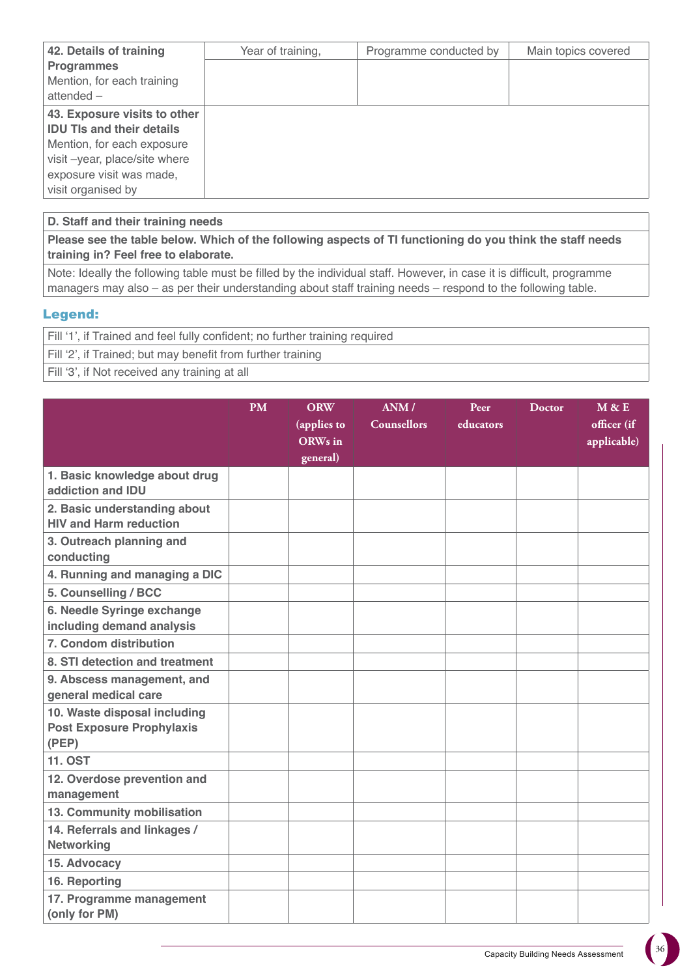| Year of training, | Programme conducted by | Main topics covered |
|-------------------|------------------------|---------------------|
|                   |                        |                     |
|                   |                        |                     |
|                   |                        |                     |
|                   |                        |                     |
|                   |                        |                     |
|                   |                        |                     |
|                   |                        |                     |
|                   |                        |                     |
|                   |                        |                     |
|                   |                        |                     |

#### **D. Staff and their training needs**

**Please see the table below. Which of the following aspects of TI functioning do you think the staff needs training in? Feel free to elaborate.**

Note: Ideally the following table must be filled by the individual staff. However, in case it is difficult, programme managers may also – as per their understanding about staff training needs – respond to the following table.

#### Legend:

Fill '1', if Trained and feel fully confident; no further training required

Fill '2', if Trained; but may benefit from further training

Fill '3', if Not received any training at all

|                                                                           | <b>PM</b> | <b>ORW</b><br>(applies to<br><b>ORWs</b> in<br>general) | ANM /<br><b>Counsellors</b> | Peer<br>educators | <b>Doctor</b> | M & E<br>officer (if<br>applicable) |
|---------------------------------------------------------------------------|-----------|---------------------------------------------------------|-----------------------------|-------------------|---------------|-------------------------------------|
| 1. Basic knowledge about drug<br>addiction and IDU                        |           |                                                         |                             |                   |               |                                     |
| 2. Basic understanding about<br><b>HIV and Harm reduction</b>             |           |                                                         |                             |                   |               |                                     |
| 3. Outreach planning and<br>conducting                                    |           |                                                         |                             |                   |               |                                     |
| 4. Running and managing a DIC                                             |           |                                                         |                             |                   |               |                                     |
| 5. Counselling / BCC                                                      |           |                                                         |                             |                   |               |                                     |
| 6. Needle Syringe exchange<br>including demand analysis                   |           |                                                         |                             |                   |               |                                     |
| 7. Condom distribution                                                    |           |                                                         |                             |                   |               |                                     |
| 8. STI detection and treatment                                            |           |                                                         |                             |                   |               |                                     |
| 9. Abscess management, and<br>general medical care                        |           |                                                         |                             |                   |               |                                     |
| 10. Waste disposal including<br><b>Post Exposure Prophylaxis</b><br>(PEP) |           |                                                         |                             |                   |               |                                     |
| <b>11. OST</b>                                                            |           |                                                         |                             |                   |               |                                     |
| 12. Overdose prevention and<br>management                                 |           |                                                         |                             |                   |               |                                     |
| 13. Community mobilisation                                                |           |                                                         |                             |                   |               |                                     |
| 14. Referrals and linkages /<br><b>Networking</b>                         |           |                                                         |                             |                   |               |                                     |
| 15. Advocacy                                                              |           |                                                         |                             |                   |               |                                     |
| 16. Reporting                                                             |           |                                                         |                             |                   |               |                                     |
| 17. Programme management<br>(only for PM)                                 |           |                                                         |                             |                   |               |                                     |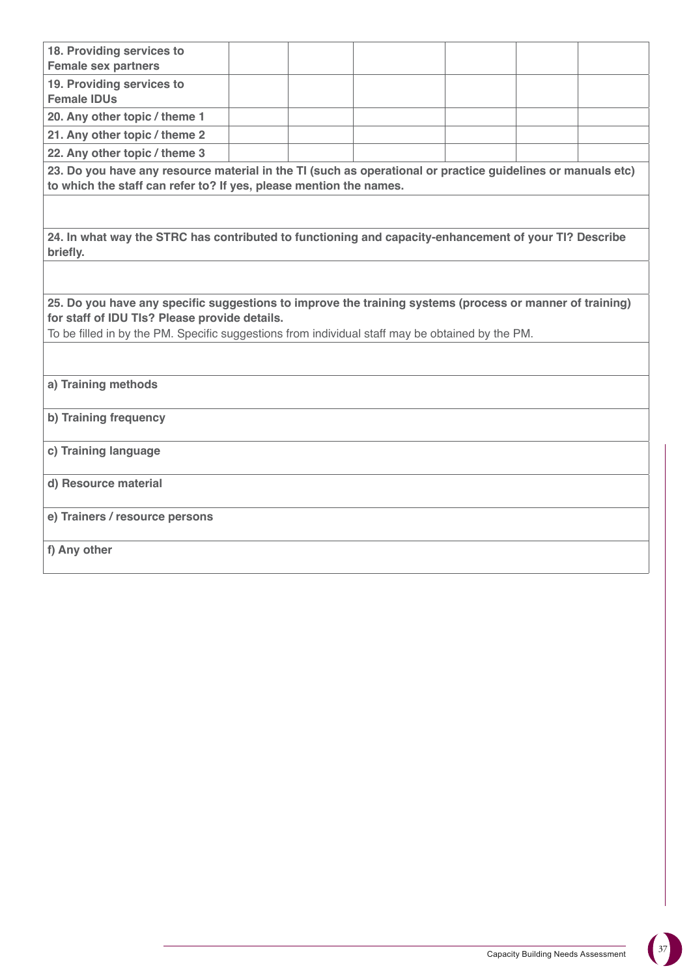| 18. Providing services to<br><b>Female sex partners</b>                                                                                                                           |  |  |  |  |  |  |  |
|-----------------------------------------------------------------------------------------------------------------------------------------------------------------------------------|--|--|--|--|--|--|--|
| 19. Providing services to<br><b>Female IDUs</b>                                                                                                                                   |  |  |  |  |  |  |  |
| 20. Any other topic / theme 1                                                                                                                                                     |  |  |  |  |  |  |  |
| 21. Any other topic / theme 2                                                                                                                                                     |  |  |  |  |  |  |  |
| 22. Any other topic / theme 3                                                                                                                                                     |  |  |  |  |  |  |  |
| 23. Do you have any resource material in the TI (such as operational or practice guidelines or manuals etc)<br>to which the staff can refer to? If yes, please mention the names. |  |  |  |  |  |  |  |
|                                                                                                                                                                                   |  |  |  |  |  |  |  |
| 24. In what way the STRC has contributed to functioning and capacity-enhancement of your TI? Describe<br>briefly.                                                                 |  |  |  |  |  |  |  |
|                                                                                                                                                                                   |  |  |  |  |  |  |  |
| 25. Do you have any specific suggestions to improve the training systems (process or manner of training)<br>for staff of IDU TIs? Please provide details.                         |  |  |  |  |  |  |  |
| To be filled in by the PM. Specific suggestions from individual staff may be obtained by the PM.                                                                                  |  |  |  |  |  |  |  |
| a) Training methods                                                                                                                                                               |  |  |  |  |  |  |  |
| b) Training frequency                                                                                                                                                             |  |  |  |  |  |  |  |
| c) Training language                                                                                                                                                              |  |  |  |  |  |  |  |
| d) Resource material                                                                                                                                                              |  |  |  |  |  |  |  |
| e) Trainers / resource persons                                                                                                                                                    |  |  |  |  |  |  |  |
| f) Any other                                                                                                                                                                      |  |  |  |  |  |  |  |
|                                                                                                                                                                                   |  |  |  |  |  |  |  |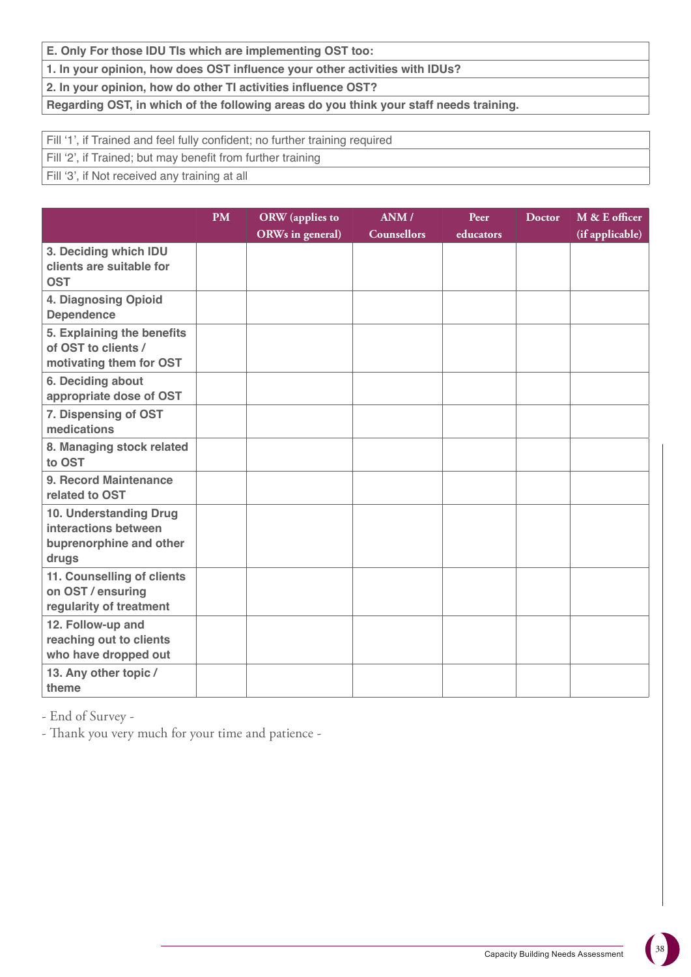**E. Only For those IDU TIs which are implementing OST too:**

**1. In your opinion, how does OST influence your other activities with IDUs?**

**2. In your opinion, how do other TI activities influence OST?**

**Regarding OST, in which of the following areas do you think your staff needs training.** 

Fill '1', if Trained and feel fully confident; no further training required

Fill '2', if Trained; but may benefit from further training

Fill '3', if Not received any training at all

|                                                                                    | <b>PM</b> | <b>ORW</b> (applies to<br>ORWs in general) | ANM /<br><b>Counsellors</b> | Peer<br>educators | <b>Doctor</b> | M & E officer<br>(if applicable) |
|------------------------------------------------------------------------------------|-----------|--------------------------------------------|-----------------------------|-------------------|---------------|----------------------------------|
| 3. Deciding which IDU<br>clients are suitable for<br><b>OST</b>                    |           |                                            |                             |                   |               |                                  |
| 4. Diagnosing Opioid<br><b>Dependence</b>                                          |           |                                            |                             |                   |               |                                  |
| 5. Explaining the benefits<br>of OST to clients /<br>motivating them for OST       |           |                                            |                             |                   |               |                                  |
| 6. Deciding about<br>appropriate dose of OST                                       |           |                                            |                             |                   |               |                                  |
| 7. Dispensing of OST<br>medications                                                |           |                                            |                             |                   |               |                                  |
| 8. Managing stock related<br>to OST                                                |           |                                            |                             |                   |               |                                  |
| 9. Record Maintenance<br>related to OST                                            |           |                                            |                             |                   |               |                                  |
| 10. Understanding Drug<br>interactions between<br>buprenorphine and other<br>drugs |           |                                            |                             |                   |               |                                  |
| 11. Counselling of clients<br>on OST / ensuring<br>regularity of treatment         |           |                                            |                             |                   |               |                                  |
| 12. Follow-up and<br>reaching out to clients<br>who have dropped out               |           |                                            |                             |                   |               |                                  |
| 13. Any other topic /<br>theme                                                     |           |                                            |                             |                   |               |                                  |

- End of Survey -

- Thank you very much for your time and patience -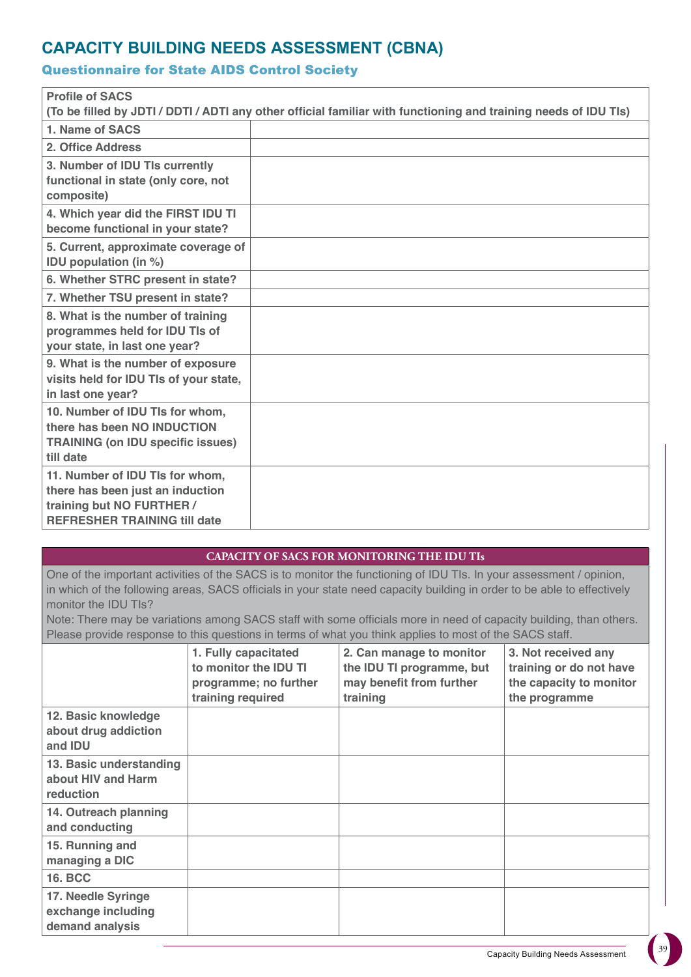# **CAPACITY BUILDING NEEDS ASSESSMENT (CBNA)**

#### Questionnaire for State AIDS Control Society

| <b>Profile of SACS</b>                                                                                                                  | (To be filled by JDTI / DDTI / ADTI any other official familiar with functioning and training needs of IDU TIs) |
|-----------------------------------------------------------------------------------------------------------------------------------------|-----------------------------------------------------------------------------------------------------------------|
| 1. Name of SACS                                                                                                                         |                                                                                                                 |
| 2. Office Address                                                                                                                       |                                                                                                                 |
| 3. Number of IDU TIs currently<br>functional in state (only core, not<br>composite)                                                     |                                                                                                                 |
| 4. Which year did the FIRST IDU TI<br>become functional in your state?                                                                  |                                                                                                                 |
| 5. Current, approximate coverage of<br><b>IDU</b> population (in %)                                                                     |                                                                                                                 |
| 6. Whether STRC present in state?                                                                                                       |                                                                                                                 |
| 7. Whether TSU present in state?                                                                                                        |                                                                                                                 |
| 8. What is the number of training<br>programmes held for IDU TIs of<br>your state, in last one year?                                    |                                                                                                                 |
| 9. What is the number of exposure<br>visits held for IDU TIs of your state,<br>in last one year?                                        |                                                                                                                 |
| 10. Number of IDU TIs for whom,<br>there has been NO INDUCTION<br><b>TRAINING (on IDU specific issues)</b><br>till date                 |                                                                                                                 |
| 11. Number of IDU TIs for whom,<br>there has been just an induction<br>training but NO FURTHER /<br><b>REFRESHER TRAINING till date</b> |                                                                                                                 |

#### **CAPACITY OF SACS FOR MONITORING THE IDU TIs**

One of the important activities of the SACS is to monitor the functioning of IDU TIs. In your assessment / opinion, in which of the following areas, SACS officials in your state need capacity building in order to be able to effectively monitor the IDU TIs?

Note: There may be variations among SACS staff with some officials more in need of capacity building, than others. Please provide response to this questions in terms of what you think applies to most of the SACS staff.

|                                                               | 1. Fully capacitated<br>to monitor the <b>IDU TI</b><br>programme; no further<br>training required | 2. Can manage to monitor<br>the IDU TI programme, but<br>may benefit from further<br>training | 3. Not received any<br>training or do not have<br>the capacity to monitor<br>the programme |
|---------------------------------------------------------------|----------------------------------------------------------------------------------------------------|-----------------------------------------------------------------------------------------------|--------------------------------------------------------------------------------------------|
| 12. Basic knowledge<br>about drug addiction<br>and <b>IDU</b> |                                                                                                    |                                                                                               |                                                                                            |
| 13. Basic understanding<br>about HIV and Harm<br>reduction    |                                                                                                    |                                                                                               |                                                                                            |
| 14. Outreach planning<br>and conducting                       |                                                                                                    |                                                                                               |                                                                                            |
| 15. Running and<br>managing a DIC                             |                                                                                                    |                                                                                               |                                                                                            |
| <b>16. BCC</b>                                                |                                                                                                    |                                                                                               |                                                                                            |
| 17. Needle Syringe<br>exchange including<br>demand analysis   |                                                                                                    |                                                                                               |                                                                                            |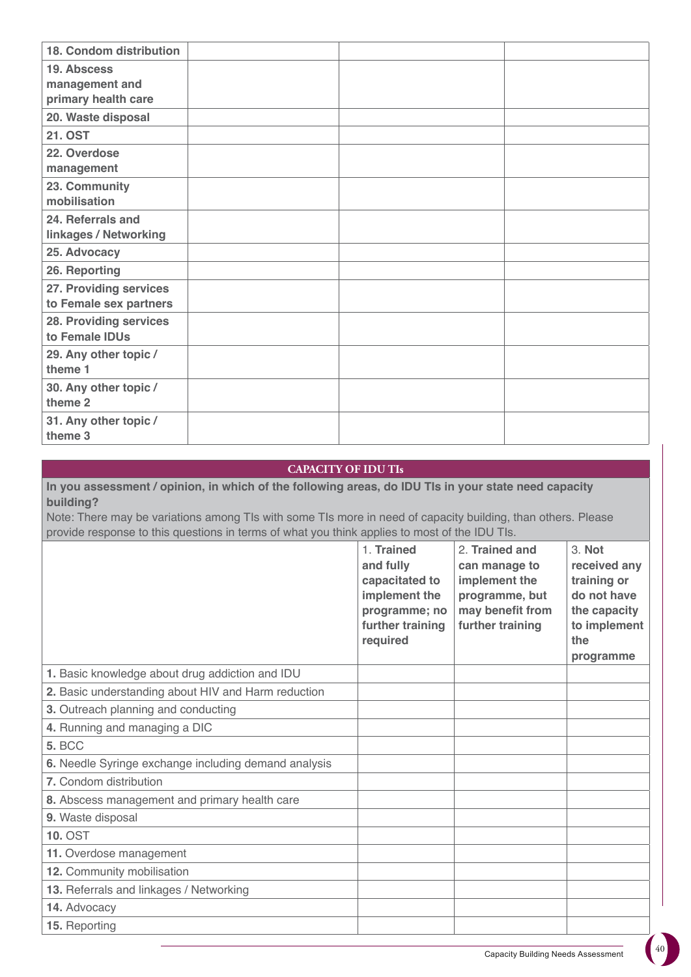| 18. Condom distribution                              |  |  |
|------------------------------------------------------|--|--|
| 19. Abscess<br>management and<br>primary health care |  |  |
| 20. Waste disposal                                   |  |  |
| <b>21. OST</b>                                       |  |  |
| 22. Overdose<br>management                           |  |  |
| 23. Community<br>mobilisation                        |  |  |
| 24. Referrals and<br>linkages / Networking           |  |  |
| 25. Advocacy                                         |  |  |
| 26. Reporting                                        |  |  |
| 27. Providing services<br>to Female sex partners     |  |  |
| 28. Providing services<br>to Female IDUs             |  |  |
| 29. Any other topic /<br>theme 1                     |  |  |
| 30. Any other topic /<br>theme 2                     |  |  |
| 31. Any other topic /<br>theme 3                     |  |  |

#### **CAPACITY OF IDU TIs**

**In you assessment / opinion, in which of the following areas, do IDU TIs in your state need capacity building?**

Note: There may be variations among TIs with some TIs more in need of capacity building, than others. Please provide response to this questions in terms of what you think applies to most of the IDU TIs.

|                                                      | 1. Trained<br>and fully<br>capacitated to<br>implement the<br>programme; no<br>further training<br>required | 2. Trained and<br>can manage to<br>implement the<br>programme, but<br>may benefit from<br>further training | 3. Not<br>received any<br>training or<br>do not have<br>the capacity<br>to implement<br>the<br>programme |
|------------------------------------------------------|-------------------------------------------------------------------------------------------------------------|------------------------------------------------------------------------------------------------------------|----------------------------------------------------------------------------------------------------------|
| 1. Basic knowledge about drug addiction and IDU      |                                                                                                             |                                                                                                            |                                                                                                          |
| 2. Basic understanding about HIV and Harm reduction  |                                                                                                             |                                                                                                            |                                                                                                          |
| 3. Outreach planning and conducting                  |                                                                                                             |                                                                                                            |                                                                                                          |
| 4. Running and managing a DIC                        |                                                                                                             |                                                                                                            |                                                                                                          |
| <b>5. BCC</b>                                        |                                                                                                             |                                                                                                            |                                                                                                          |
| 6. Needle Syringe exchange including demand analysis |                                                                                                             |                                                                                                            |                                                                                                          |
| 7. Condom distribution                               |                                                                                                             |                                                                                                            |                                                                                                          |
| 8. Abscess management and primary health care        |                                                                                                             |                                                                                                            |                                                                                                          |
| 9. Waste disposal                                    |                                                                                                             |                                                                                                            |                                                                                                          |
| <b>10. OST</b>                                       |                                                                                                             |                                                                                                            |                                                                                                          |
| 11. Overdose management                              |                                                                                                             |                                                                                                            |                                                                                                          |
| 12. Community mobilisation                           |                                                                                                             |                                                                                                            |                                                                                                          |
| 13. Referrals and linkages / Networking              |                                                                                                             |                                                                                                            |                                                                                                          |
| 14. Advocacy                                         |                                                                                                             |                                                                                                            |                                                                                                          |
| 15. Reporting                                        |                                                                                                             |                                                                                                            |                                                                                                          |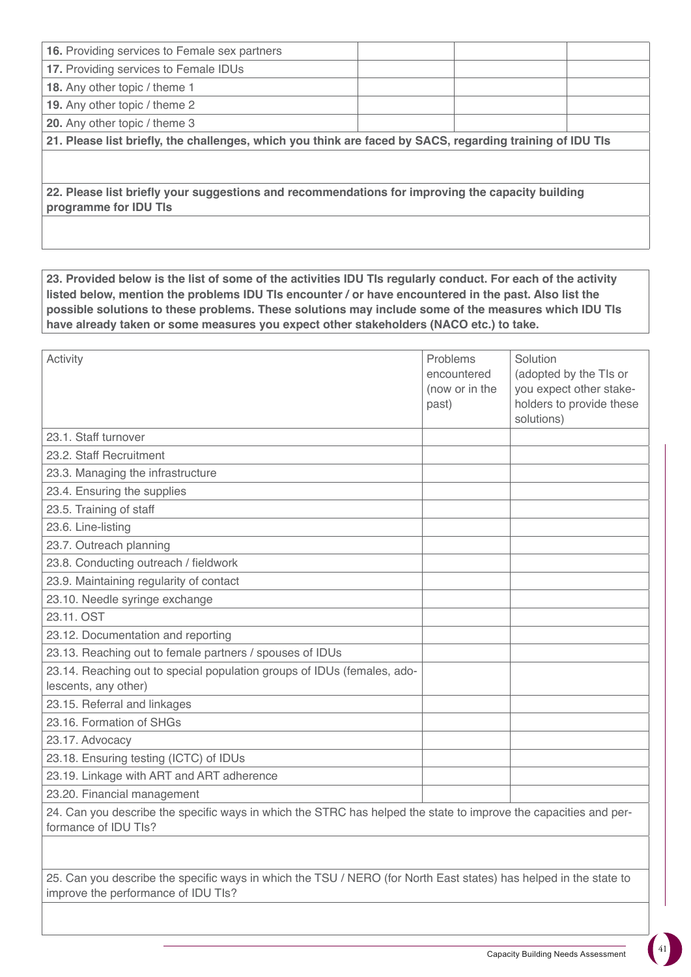| 16. Providing services to Female sex partners                                                             |  |  |
|-----------------------------------------------------------------------------------------------------------|--|--|
| 17. Providing services to Female IDUs                                                                     |  |  |
| 18. Any other topic / theme 1                                                                             |  |  |
| 19. Any other topic / theme 2                                                                             |  |  |
| 20. Any other topic / theme 3                                                                             |  |  |
| 21. Please list briefly, the challenges, which you think are faced by SACS, regarding training of IDU TIs |  |  |
|                                                                                                           |  |  |
|                                                                                                           |  |  |
| 22. Please list briefly your suggestions and recommendations for improving the capacity building          |  |  |
| programme for IDU TIs                                                                                     |  |  |
|                                                                                                           |  |  |
|                                                                                                           |  |  |

**23. Provided below is the list of some of the activities IDU TIs regularly conduct. For each of the activity listed below, mention the problems IDU TIs encounter / or have encountered in the past. Also list the possible solutions to these problems. These solutions may include some of the measures which IDU TIs have already taken or some measures you expect other stakeholders (NACO etc.) to take.**

| Activity                                                                                                                                 | Problems<br>encountered<br>(now or in the<br>past) | Solution<br>(adopted by the TIs or<br>you expect other stake-<br>holders to provide these<br>solutions) |
|------------------------------------------------------------------------------------------------------------------------------------------|----------------------------------------------------|---------------------------------------------------------------------------------------------------------|
| 23.1. Staff turnover                                                                                                                     |                                                    |                                                                                                         |
| 23.2. Staff Recruitment                                                                                                                  |                                                    |                                                                                                         |
| 23.3. Managing the infrastructure                                                                                                        |                                                    |                                                                                                         |
| 23.4. Ensuring the supplies                                                                                                              |                                                    |                                                                                                         |
| 23.5. Training of staff                                                                                                                  |                                                    |                                                                                                         |
| 23.6. Line-listing                                                                                                                       |                                                    |                                                                                                         |
| 23.7. Outreach planning                                                                                                                  |                                                    |                                                                                                         |
| 23.8. Conducting outreach / fieldwork                                                                                                    |                                                    |                                                                                                         |
| 23.9. Maintaining regularity of contact                                                                                                  |                                                    |                                                                                                         |
| 23.10. Needle syringe exchange                                                                                                           |                                                    |                                                                                                         |
| 23.11, OST                                                                                                                               |                                                    |                                                                                                         |
| 23.12. Documentation and reporting                                                                                                       |                                                    |                                                                                                         |
| 23.13. Reaching out to female partners / spouses of IDUs                                                                                 |                                                    |                                                                                                         |
| 23.14. Reaching out to special population groups of IDUs (females, ado-<br>lescents, any other)                                          |                                                    |                                                                                                         |
| 23.15. Referral and linkages                                                                                                             |                                                    |                                                                                                         |
| 23.16. Formation of SHGs                                                                                                                 |                                                    |                                                                                                         |
| 23.17. Advocacy                                                                                                                          |                                                    |                                                                                                         |
| 23.18. Ensuring testing (ICTC) of IDUs                                                                                                   |                                                    |                                                                                                         |
| 23.19. Linkage with ART and ART adherence                                                                                                |                                                    |                                                                                                         |
| 23.20. Financial management                                                                                                              |                                                    |                                                                                                         |
| 24. Can you describe the specific ways in which the STRC has helped the state to improve the capacities and per-<br>formance of IDU TIs? |                                                    |                                                                                                         |

25. Can you describe the specific ways in which the TSU / NERO (for North East states) has helped in the state to improve the performance of IDU TIs?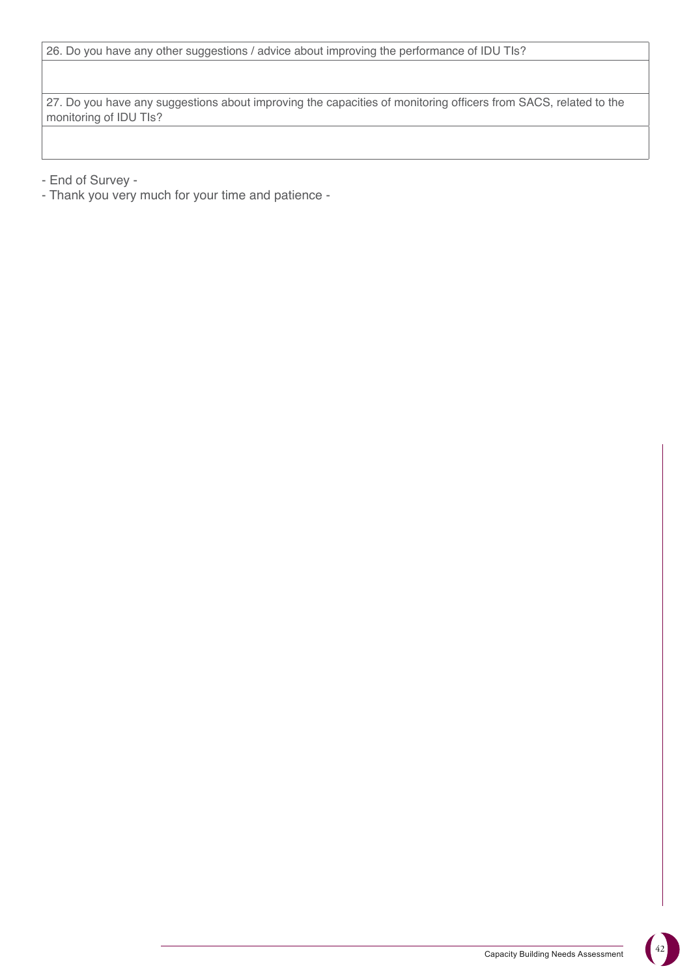26. Do you have any other suggestions / advice about improving the performance of IDU TIs?

27. Do you have any suggestions about improving the capacities of monitoring officers from SACS, related to the monitoring of IDU TIs?

- End of Survey -

- Thank you very much for your time and patience -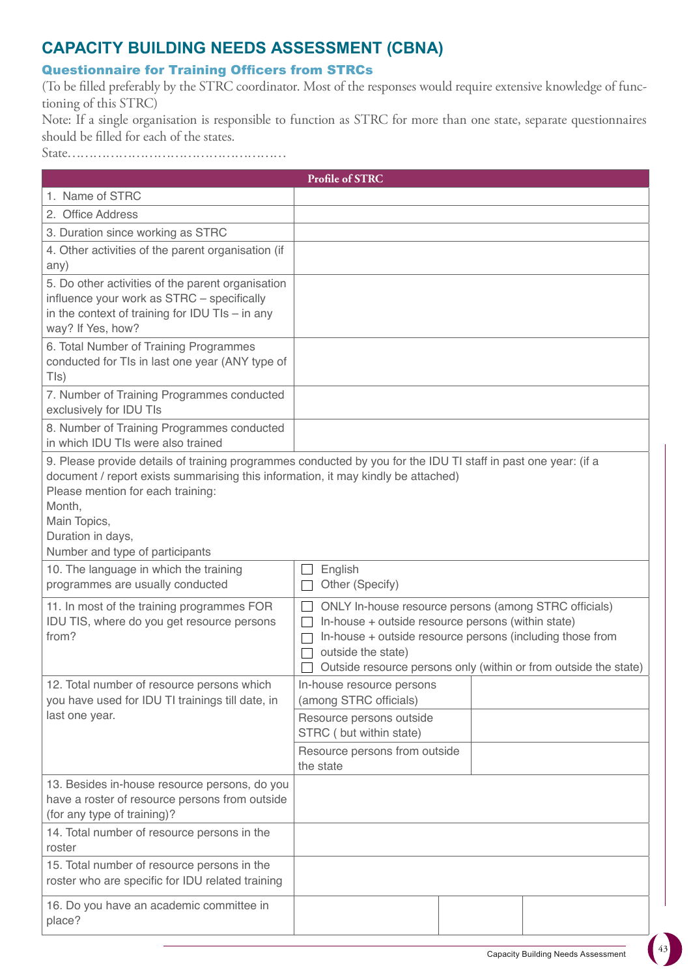# **CAPACITY BUILDING NEEDS ASSESSMENT (CBNA)**

### Questionnaire for Training Officers from STRCs

(To be filled preferably by the STRC coordinator. Most of the responses would require extensive knowledge of functioning of this STRC)

Note: If a single organisation is responsible to function as STRC for more than one state, separate questionnaires should be filled for each of the states.

State……………………………………………

| <b>Profile of STRC</b>                                                                                                                                                                                                                                                                                                     |                                                                                                                                                                                                                                               |  |                                                                  |  |  |
|----------------------------------------------------------------------------------------------------------------------------------------------------------------------------------------------------------------------------------------------------------------------------------------------------------------------------|-----------------------------------------------------------------------------------------------------------------------------------------------------------------------------------------------------------------------------------------------|--|------------------------------------------------------------------|--|--|
| 1. Name of STRC                                                                                                                                                                                                                                                                                                            |                                                                                                                                                                                                                                               |  |                                                                  |  |  |
| 2. Office Address                                                                                                                                                                                                                                                                                                          |                                                                                                                                                                                                                                               |  |                                                                  |  |  |
| 3. Duration since working as STRC                                                                                                                                                                                                                                                                                          |                                                                                                                                                                                                                                               |  |                                                                  |  |  |
| 4. Other activities of the parent organisation (if<br>any)                                                                                                                                                                                                                                                                 |                                                                                                                                                                                                                                               |  |                                                                  |  |  |
| 5. Do other activities of the parent organisation<br>influence your work as STRC - specifically<br>in the context of training for IDU $Tls - in$ any<br>way? If Yes, how?                                                                                                                                                  |                                                                                                                                                                                                                                               |  |                                                                  |  |  |
| 6. Total Number of Training Programmes<br>conducted for TIs in last one year (ANY type of<br>T(s)                                                                                                                                                                                                                          |                                                                                                                                                                                                                                               |  |                                                                  |  |  |
| 7. Number of Training Programmes conducted<br>exclusively for IDU TIs                                                                                                                                                                                                                                                      |                                                                                                                                                                                                                                               |  |                                                                  |  |  |
| 8. Number of Training Programmes conducted<br>in which IDU TIs were also trained                                                                                                                                                                                                                                           |                                                                                                                                                                                                                                               |  |                                                                  |  |  |
| 9. Please provide details of training programmes conducted by you for the IDU TI staff in past one year: (if a<br>document / report exists summarising this information, it may kindly be attached)<br>Please mention for each training:<br>Month,<br>Main Topics,<br>Duration in days,<br>Number and type of participants |                                                                                                                                                                                                                                               |  |                                                                  |  |  |
| 10. The language in which the training<br>programmes are usually conducted                                                                                                                                                                                                                                                 | English<br>Other (Specify)<br>$\vert \ \ \vert$                                                                                                                                                                                               |  |                                                                  |  |  |
| 11. In most of the training programmes FOR<br>IDU TIS, where do you get resource persons<br>from?                                                                                                                                                                                                                          | ONLY In-house resource persons (among STRC officials)<br>$\mathcal{L}_{\mathcal{A}}$<br>In-house + outside resource persons (within state)<br>In-house + outside resource persons (including those from<br>$\mathbf{I}$<br>outside the state) |  | Outside resource persons only (within or from outside the state) |  |  |
| 12. Total number of resource persons which<br>you have used for IDU TI trainings till date, in                                                                                                                                                                                                                             | In-house resource persons<br>(among STRC officials)                                                                                                                                                                                           |  |                                                                  |  |  |
| last one year.                                                                                                                                                                                                                                                                                                             | Resource persons outside<br>STRC (but within state)                                                                                                                                                                                           |  |                                                                  |  |  |
|                                                                                                                                                                                                                                                                                                                            | Resource persons from outside<br>the state                                                                                                                                                                                                    |  |                                                                  |  |  |
| 13. Besides in-house resource persons, do you<br>have a roster of resource persons from outside<br>(for any type of training)?                                                                                                                                                                                             |                                                                                                                                                                                                                                               |  |                                                                  |  |  |
| 14. Total number of resource persons in the<br>roster                                                                                                                                                                                                                                                                      |                                                                                                                                                                                                                                               |  |                                                                  |  |  |
| 15. Total number of resource persons in the<br>roster who are specific for IDU related training                                                                                                                                                                                                                            |                                                                                                                                                                                                                                               |  |                                                                  |  |  |
| 16. Do you have an academic committee in<br>place?                                                                                                                                                                                                                                                                         |                                                                                                                                                                                                                                               |  |                                                                  |  |  |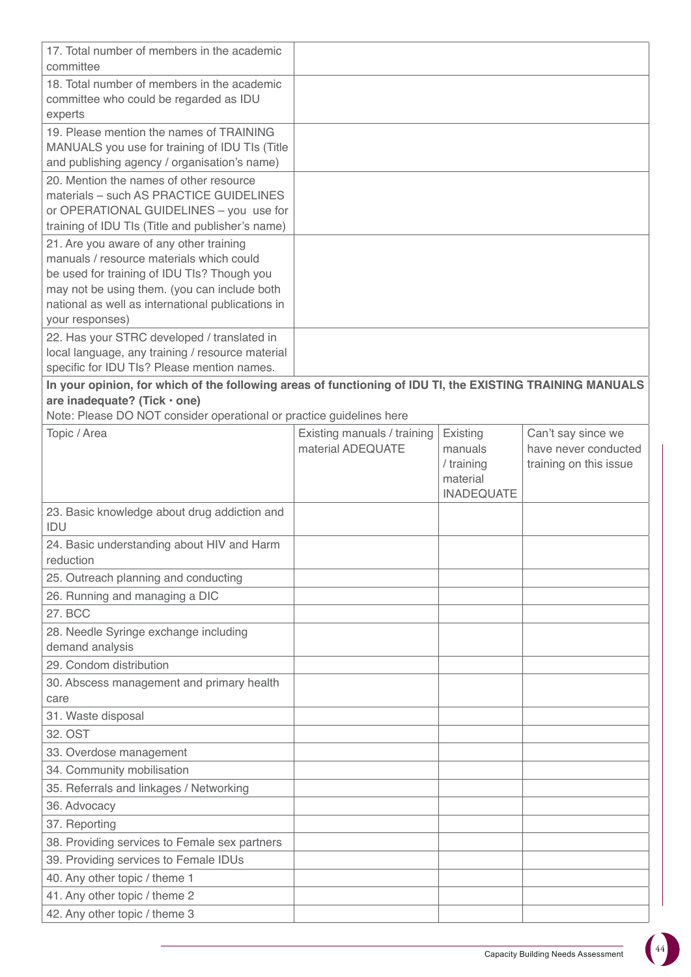| 17. Total number of members in the academic<br>committee                                                  |                             |                               |                        |
|-----------------------------------------------------------------------------------------------------------|-----------------------------|-------------------------------|------------------------|
| 18. Total number of members in the academic                                                               |                             |                               |                        |
| committee who could be regarded as IDU                                                                    |                             |                               |                        |
| experts                                                                                                   |                             |                               |                        |
| 19. Please mention the names of TRAINING                                                                  |                             |                               |                        |
| MANUALS you use for training of IDU TIs (Title                                                            |                             |                               |                        |
| and publishing agency / organisation's name)                                                              |                             |                               |                        |
| 20. Mention the names of other resource                                                                   |                             |                               |                        |
| materials - such AS PRACTICE GUIDELINES                                                                   |                             |                               |                        |
| or OPERATIONAL GUIDELINES - you use for<br>training of IDU TIs (Title and publisher's name)               |                             |                               |                        |
| 21. Are you aware of any other training                                                                   |                             |                               |                        |
| manuals / resource materials which could                                                                  |                             |                               |                        |
| be used for training of IDU TIs? Though you                                                               |                             |                               |                        |
| may not be using them. (you can include both                                                              |                             |                               |                        |
| national as well as international publications in                                                         |                             |                               |                        |
| your responses)                                                                                           |                             |                               |                        |
| 22. Has your STRC developed / translated in                                                               |                             |                               |                        |
| local language, any training / resource material<br>specific for IDU TIs? Please mention names.           |                             |                               |                        |
| In your opinion, for which of the following areas of functioning of IDU TI, the EXISTING TRAINING MANUALS |                             |                               |                        |
| are inadequate? (Tick · one)                                                                              |                             |                               |                        |
| Note: Please DO NOT consider operational or practice guidelines here                                      |                             |                               |                        |
| Topic / Area                                                                                              | Existing manuals / training | Existing                      | Can't say since we     |
|                                                                                                           | material ADEQUATE           | manuals                       | have never conducted   |
|                                                                                                           |                             | / training                    | training on this issue |
|                                                                                                           |                             | material<br><b>INADEQUATE</b> |                        |
|                                                                                                           |                             |                               |                        |
| 23. Basic knowledge about drug addiction and<br>IDU                                                       |                             |                               |                        |
| 24. Basic understanding about HIV and Harm                                                                |                             |                               |                        |
| reduction                                                                                                 |                             |                               |                        |
| 25. Outreach planning and conducting                                                                      |                             |                               |                        |
| 26. Running and managing a DIC                                                                            |                             |                               |                        |
| 27. BCC                                                                                                   |                             |                               |                        |
| 28. Needle Syringe exchange including                                                                     |                             |                               |                        |
| demand analysis                                                                                           |                             |                               |                        |
| 29. Condom distribution                                                                                   |                             |                               |                        |
| 30. Abscess management and primary health                                                                 |                             |                               |                        |
| care                                                                                                      |                             |                               |                        |
| 31. Waste disposal                                                                                        |                             |                               |                        |
| 32. OST                                                                                                   |                             |                               |                        |
| 33. Overdose management                                                                                   |                             |                               |                        |
| 34. Community mobilisation                                                                                |                             |                               |                        |
| 35. Referrals and linkages / Networking                                                                   |                             |                               |                        |
| 36. Advocacy                                                                                              |                             |                               |                        |
| 37. Reporting                                                                                             |                             |                               |                        |
| 38. Providing services to Female sex partners                                                             |                             |                               |                        |
| 39. Providing services to Female IDUs                                                                     |                             |                               |                        |
| 40. Any other topic / theme 1                                                                             |                             |                               |                        |
| 41. Any other topic / theme 2                                                                             |                             |                               |                        |
| 42. Any other topic / theme 3                                                                             |                             |                               |                        |
|                                                                                                           |                             |                               |                        |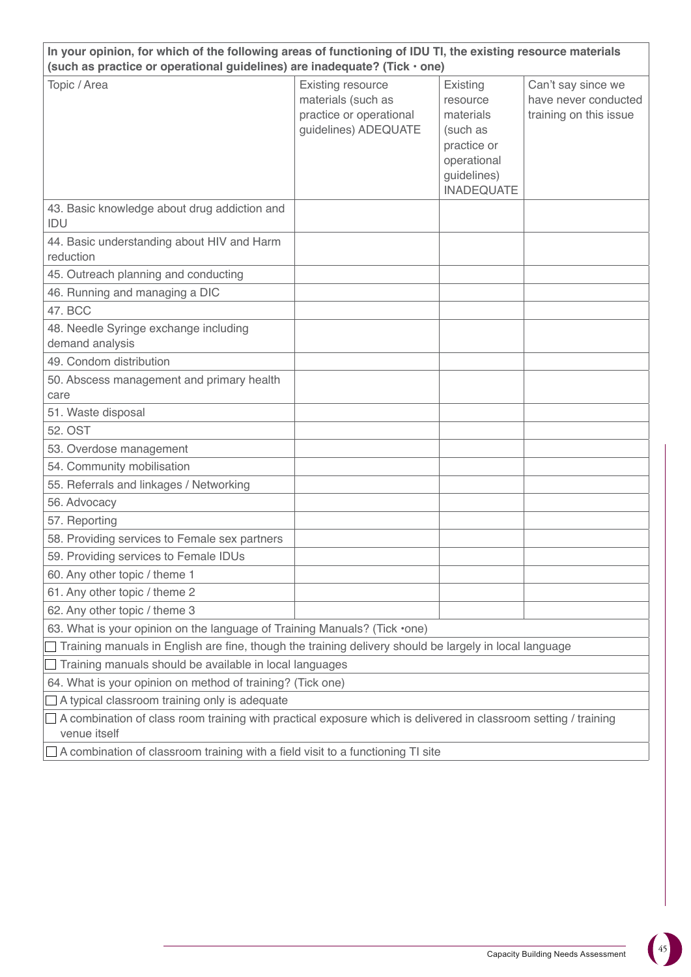| In your opinion, for which of the following areas of functioning of IDU TI, the existing resource materials                     |                                                                                                   |                                                                                                                 |                                                                      |
|---------------------------------------------------------------------------------------------------------------------------------|---------------------------------------------------------------------------------------------------|-----------------------------------------------------------------------------------------------------------------|----------------------------------------------------------------------|
| (such as practice or operational guidelines) are inadequate? (Tick · one)                                                       |                                                                                                   |                                                                                                                 |                                                                      |
| Topic / Area                                                                                                                    | <b>Existing resource</b><br>materials (such as<br>practice or operational<br>guidelines) ADEQUATE | Existing<br>resource<br>materials<br>(such as<br>practice or<br>operational<br>guidelines)<br><b>INADEQUATE</b> | Can't say since we<br>have never conducted<br>training on this issue |
| 43. Basic knowledge about drug addiction and<br>IDU                                                                             |                                                                                                   |                                                                                                                 |                                                                      |
| 44. Basic understanding about HIV and Harm<br>reduction                                                                         |                                                                                                   |                                                                                                                 |                                                                      |
| 45. Outreach planning and conducting                                                                                            |                                                                                                   |                                                                                                                 |                                                                      |
| 46. Running and managing a DIC                                                                                                  |                                                                                                   |                                                                                                                 |                                                                      |
| 47. BCC                                                                                                                         |                                                                                                   |                                                                                                                 |                                                                      |
| 48. Needle Syringe exchange including<br>demand analysis                                                                        |                                                                                                   |                                                                                                                 |                                                                      |
| 49. Condom distribution                                                                                                         |                                                                                                   |                                                                                                                 |                                                                      |
| 50. Abscess management and primary health<br>care                                                                               |                                                                                                   |                                                                                                                 |                                                                      |
| 51. Waste disposal                                                                                                              |                                                                                                   |                                                                                                                 |                                                                      |
| 52. OST                                                                                                                         |                                                                                                   |                                                                                                                 |                                                                      |
| 53. Overdose management                                                                                                         |                                                                                                   |                                                                                                                 |                                                                      |
| 54. Community mobilisation                                                                                                      |                                                                                                   |                                                                                                                 |                                                                      |
| 55. Referrals and linkages / Networking                                                                                         |                                                                                                   |                                                                                                                 |                                                                      |
| 56. Advocacy                                                                                                                    |                                                                                                   |                                                                                                                 |                                                                      |
| 57. Reporting                                                                                                                   |                                                                                                   |                                                                                                                 |                                                                      |
| 58. Providing services to Female sex partners                                                                                   |                                                                                                   |                                                                                                                 |                                                                      |
| 59. Providing services to Female IDUs                                                                                           |                                                                                                   |                                                                                                                 |                                                                      |
| 60. Any other topic / theme 1                                                                                                   |                                                                                                   |                                                                                                                 |                                                                      |
| 61. Any other topic / theme 2                                                                                                   |                                                                                                   |                                                                                                                 |                                                                      |
| 62. Any other topic / theme 3                                                                                                   |                                                                                                   |                                                                                                                 |                                                                      |
| 63. What is your opinion on the language of Training Manuals? (Tick .one)                                                       |                                                                                                   |                                                                                                                 |                                                                      |
| Training manuals in English are fine, though the training delivery should be largely in local language                          |                                                                                                   |                                                                                                                 |                                                                      |
| Training manuals should be available in local languages                                                                         |                                                                                                   |                                                                                                                 |                                                                      |
| 64. What is your opinion on method of training? (Tick one)                                                                      |                                                                                                   |                                                                                                                 |                                                                      |
| A typical classroom training only is adequate                                                                                   |                                                                                                   |                                                                                                                 |                                                                      |
| A combination of class room training with practical exposure which is delivered in classroom setting / training<br>venue itself |                                                                                                   |                                                                                                                 |                                                                      |
| A combination of classroom training with a field visit to a functioning TI site                                                 |                                                                                                   |                                                                                                                 |                                                                      |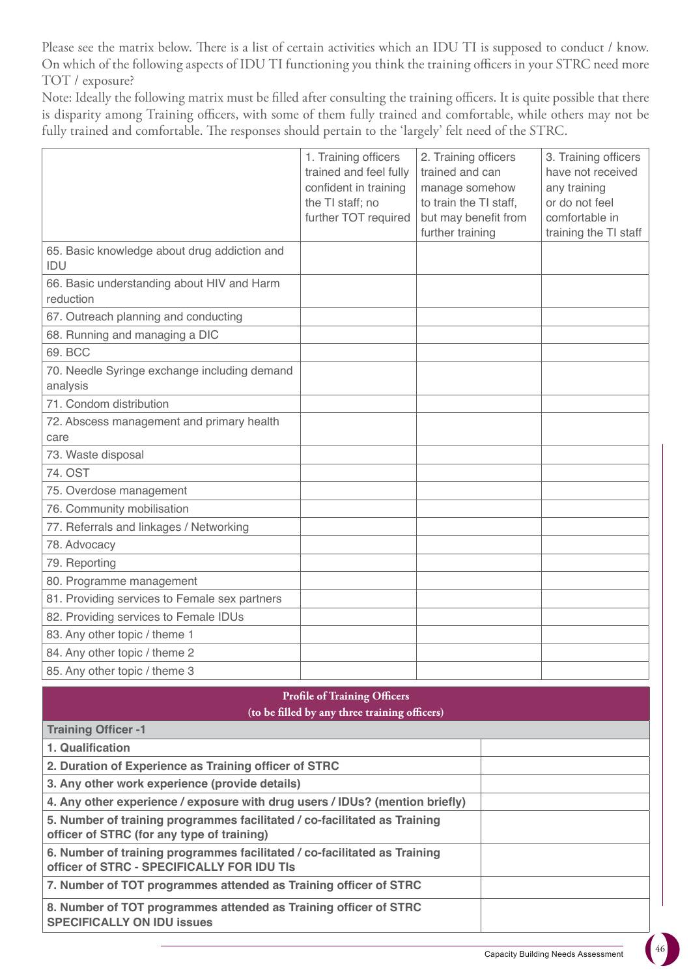Please see the matrix below. There is a list of certain activities which an IDU TI is supposed to conduct / know. On which of the following aspects of IDU TI functioning you think the training officers in your STRC need more TOT / exposure?

Note: Ideally the following matrix must be filled after consulting the training officers. It is quite possible that there is disparity among Training officers, with some of them fully trained and comfortable, while others may not be fully trained and comfortable. The responses should pertain to the 'largely' felt need of the STRC.

|                                                          | 1. Training officers<br>trained and feel fully<br>confident in training<br>the TI staff; no<br>further TOT required | 2. Training officers<br>trained and can<br>manage somehow<br>to train the TI staff,<br>but may benefit from<br>further training | 3. Training officers<br>have not received<br>any training<br>or do not feel<br>comfortable in<br>training the TI staff |
|----------------------------------------------------------|---------------------------------------------------------------------------------------------------------------------|---------------------------------------------------------------------------------------------------------------------------------|------------------------------------------------------------------------------------------------------------------------|
| 65. Basic knowledge about drug addiction and<br>IDU      |                                                                                                                     |                                                                                                                                 |                                                                                                                        |
| 66. Basic understanding about HIV and Harm<br>reduction  |                                                                                                                     |                                                                                                                                 |                                                                                                                        |
| 67. Outreach planning and conducting                     |                                                                                                                     |                                                                                                                                 |                                                                                                                        |
| 68. Running and managing a DIC                           |                                                                                                                     |                                                                                                                                 |                                                                                                                        |
| 69. BCC                                                  |                                                                                                                     |                                                                                                                                 |                                                                                                                        |
| 70. Needle Syringe exchange including demand<br>analysis |                                                                                                                     |                                                                                                                                 |                                                                                                                        |
| 71. Condom distribution                                  |                                                                                                                     |                                                                                                                                 |                                                                                                                        |
| 72. Abscess management and primary health<br>care        |                                                                                                                     |                                                                                                                                 |                                                                                                                        |
| 73. Waste disposal                                       |                                                                                                                     |                                                                                                                                 |                                                                                                                        |
| 74. OST                                                  |                                                                                                                     |                                                                                                                                 |                                                                                                                        |
| 75. Overdose management                                  |                                                                                                                     |                                                                                                                                 |                                                                                                                        |
| 76. Community mobilisation                               |                                                                                                                     |                                                                                                                                 |                                                                                                                        |
| 77. Referrals and linkages / Networking                  |                                                                                                                     |                                                                                                                                 |                                                                                                                        |
| 78. Advocacy                                             |                                                                                                                     |                                                                                                                                 |                                                                                                                        |
| 79. Reporting                                            |                                                                                                                     |                                                                                                                                 |                                                                                                                        |
| 80. Programme management                                 |                                                                                                                     |                                                                                                                                 |                                                                                                                        |
| 81. Providing services to Female sex partners            |                                                                                                                     |                                                                                                                                 |                                                                                                                        |
| 82. Providing services to Female IDUs                    |                                                                                                                     |                                                                                                                                 |                                                                                                                        |
| 83. Any other topic / theme 1                            |                                                                                                                     |                                                                                                                                 |                                                                                                                        |
| 84. Any other topic / theme 2                            |                                                                                                                     |                                                                                                                                 |                                                                                                                        |
| 85. Any other topic / theme 3                            |                                                                                                                     |                                                                                                                                 |                                                                                                                        |

| <b>Profile of Training Officers</b>                                                                                     |  |
|-------------------------------------------------------------------------------------------------------------------------|--|
| (to be filled by any three training officers)                                                                           |  |
| <b>Training Officer -1</b>                                                                                              |  |
| 1. Qualification                                                                                                        |  |
| 2. Duration of Experience as Training officer of STRC                                                                   |  |
| 3. Any other work experience (provide details)                                                                          |  |
| 4. Any other experience / exposure with drug users / IDUs? (mention briefly)                                            |  |
| 5. Number of training programmes facilitated / co-facilitated as Training<br>officer of STRC (for any type of training) |  |
| 6. Number of training programmes facilitated / co-facilitated as Training<br>officer of STRC - SPECIFICALLY FOR IDU TIs |  |
| 7. Number of TOT programmes attended as Training officer of STRC                                                        |  |
| 8. Number of TOT programmes attended as Training officer of STRC<br><b>SPECIFICALLY ON IDU issues</b>                   |  |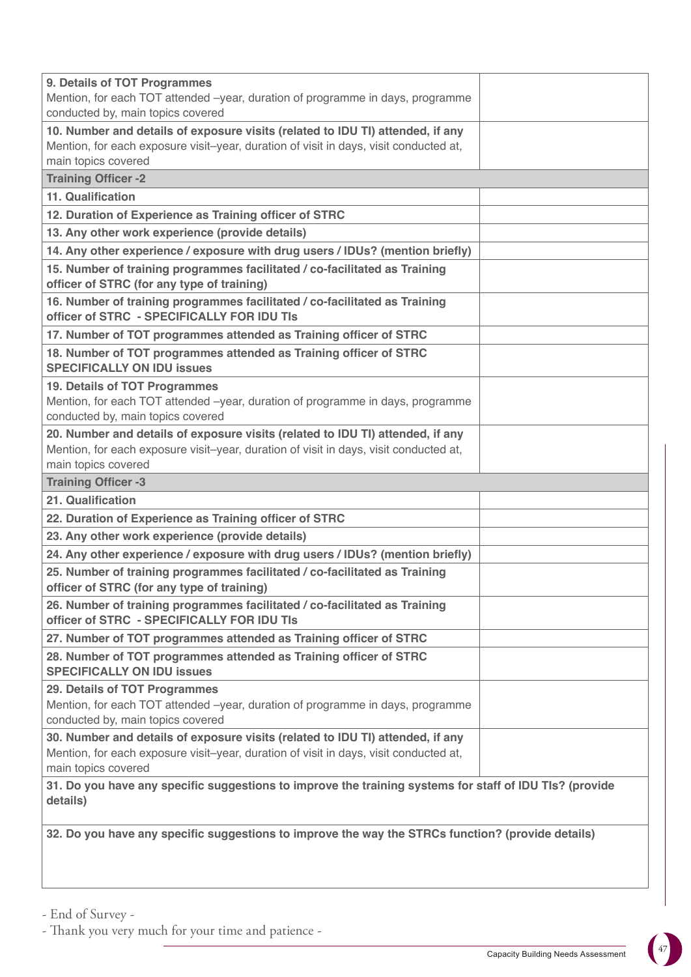| 9. Details of TOT Programmes<br>Mention, for each TOT attended -year, duration of programme in days, programme                                                                                 |  |
|------------------------------------------------------------------------------------------------------------------------------------------------------------------------------------------------|--|
| conducted by, main topics covered                                                                                                                                                              |  |
| 10. Number and details of exposure visits (related to IDU TI) attended, if any<br>Mention, for each exposure visit-year, duration of visit in days, visit conducted at,<br>main topics covered |  |
| <b>Training Officer -2</b>                                                                                                                                                                     |  |
| <b>11. Qualification</b>                                                                                                                                                                       |  |
| 12. Duration of Experience as Training officer of STRC                                                                                                                                         |  |
| 13. Any other work experience (provide details)                                                                                                                                                |  |
| 14. Any other experience / exposure with drug users / IDUs? (mention briefly)                                                                                                                  |  |
| 15. Number of training programmes facilitated / co-facilitated as Training<br>officer of STRC (for any type of training)                                                                       |  |
| 16. Number of training programmes facilitated / co-facilitated as Training<br>officer of STRC - SPECIFICALLY FOR IDU TIs                                                                       |  |
| 17. Number of TOT programmes attended as Training officer of STRC                                                                                                                              |  |
| 18. Number of TOT programmes attended as Training officer of STRC<br><b>SPECIFICALLY ON IDU issues</b>                                                                                         |  |
| 19. Details of TOT Programmes<br>Mention, for each TOT attended -year, duration of programme in days, programme<br>conducted by, main topics covered                                           |  |
| 20. Number and details of exposure visits (related to IDU TI) attended, if any<br>Mention, for each exposure visit-year, duration of visit in days, visit conducted at,<br>main topics covered |  |
| <b>Training Officer -3</b>                                                                                                                                                                     |  |
| 21. Qualification                                                                                                                                                                              |  |
| 22. Duration of Experience as Training officer of STRC                                                                                                                                         |  |
| 23. Any other work experience (provide details)                                                                                                                                                |  |
| 24. Any other experience / exposure with drug users / IDUs? (mention briefly)                                                                                                                  |  |
|                                                                                                                                                                                                |  |
| 25. Number of training programmes facilitated / co-facilitated as Training<br>officer of STRC (for any type of training)                                                                       |  |
| 26. Number of training programmes facilitated / co-facilitated as Training<br>officer of STRC - SPECIFICALLY FOR IDU TIs                                                                       |  |
| 27. Number of TOT programmes attended as Training officer of STRC                                                                                                                              |  |
| 28. Number of TOT programmes attended as Training officer of STRC<br><b>SPECIFICALLY ON IDU issues</b>                                                                                         |  |
| 29. Details of TOT Programmes<br>Mention, for each TOT attended -year, duration of programme in days, programme<br>conducted by, main topics covered                                           |  |
| 30. Number and details of exposure visits (related to IDU TI) attended, if any<br>Mention, for each exposure visit-year, duration of visit in days, visit conducted at,<br>main topics covered |  |
| 31. Do you have any specific suggestions to improve the training systems for staff of IDU TIs? (provide<br>details)                                                                            |  |

- End of Survey -

- Thank you very much for your time and patience -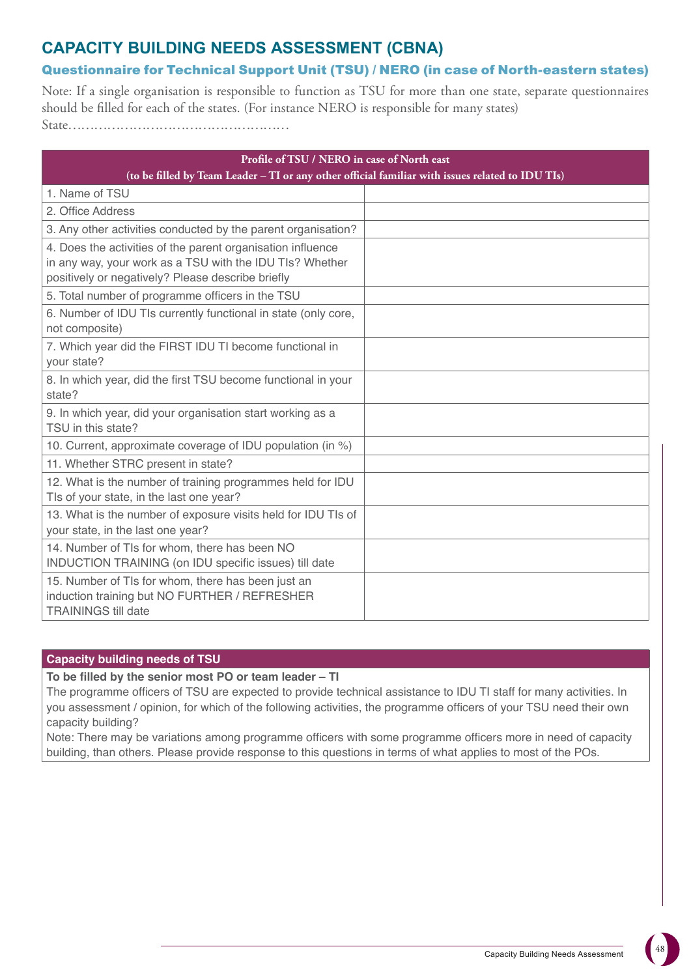# **CAPACITY BUILDING NEEDS ASSESSMENT (CBNA)**

#### Questionnaire for Technical Support Unit (TSU) / NERO (in case of North-eastern states)

Note: If a single organisation is responsible to function as TSU for more than one state, separate questionnaires should be filled for each of the states. (For instance NERO is responsible for many states) State……………………………………………

**Profile of TSU / NERO in case of North east (to be filled by Team Leader – TI or any other official familiar with issues related to IDU TIs)** 1. Name of TSU 2. Office Address 3. Any other activities conducted by the parent organisation? 4. Does the activities of the parent organisation influence in any way, your work as a TSU with the IDU TIs? Whether positively or negatively? Please describe briefly 5. Total number of programme officers in the TSU 6. Number of IDU TIs currently functional in state (only core, not composite) 7. Which year did the FIRST IDU TI become functional in your state? 8. In which year, did the first TSU become functional in your state? 9. In which year, did your organisation start working as a TSU in this state? 10. Current, approximate coverage of IDU population (in %) 11. Whether STRC present in state? 12. What is the number of training programmes held for IDU TIs of your state, in the last one year? 13. What is the number of exposure visits held for IDU TIs of your state, in the last one year? 14. Number of TIs for whom, there has been NO INDUCTION TRAINING (on IDU specific issues) till date 15. Number of TIs for whom, there has been just an induction training but NO FURTHER / REFRESHER TRAININGS till date

#### **Capacity building needs of TSU**

**To be filled by the senior most PO or team leader – TI** 

The programme officers of TSU are expected to provide technical assistance to IDU TI staff for many activities. In you assessment / opinion, for which of the following activities, the programme officers of your TSU need their own capacity building?

Note: There may be variations among programme officers with some programme officers more in need of capacity building, than others. Please provide response to this questions in terms of what applies to most of the POs.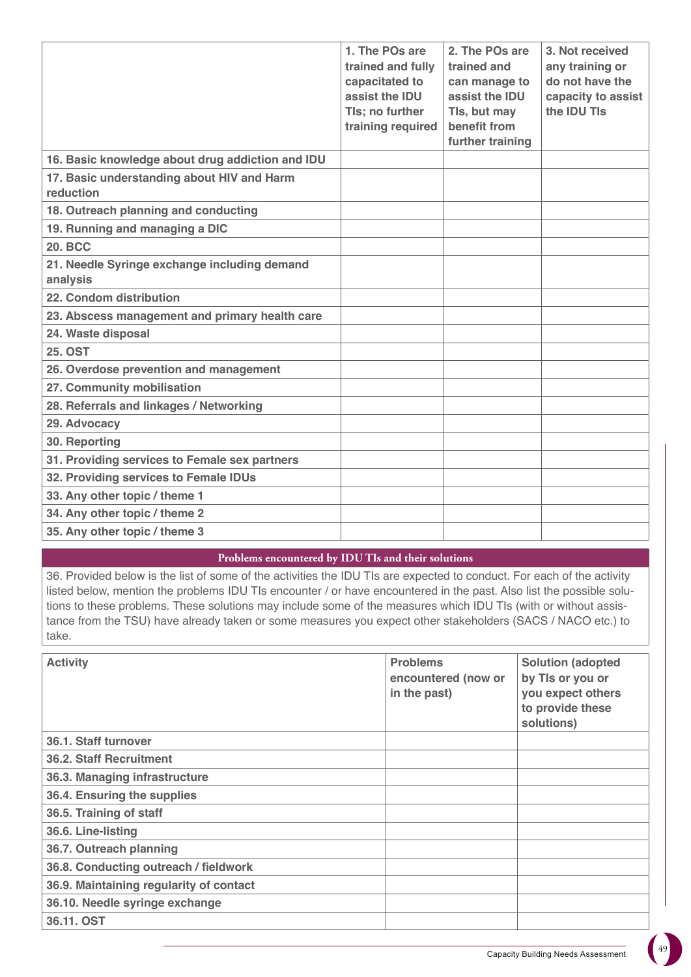|                                                          | 1. The POs are<br>trained and fully<br>capacitated to<br>assist the IDU<br>Tls; no further<br>training required | 2. The POs are<br>trained and<br>can manage to<br>assist the IDU<br>Tls, but may<br>benefit from<br>further training | 3. Not received<br>any training or<br>do not have the<br>capacity to assist<br>the IDU TIs |
|----------------------------------------------------------|-----------------------------------------------------------------------------------------------------------------|----------------------------------------------------------------------------------------------------------------------|--------------------------------------------------------------------------------------------|
| 16. Basic knowledge about drug addiction and IDU         |                                                                                                                 |                                                                                                                      |                                                                                            |
| 17. Basic understanding about HIV and Harm<br>reduction  |                                                                                                                 |                                                                                                                      |                                                                                            |
| 18. Outreach planning and conducting                     |                                                                                                                 |                                                                                                                      |                                                                                            |
| 19. Running and managing a DIC                           |                                                                                                                 |                                                                                                                      |                                                                                            |
| <b>20. BCC</b>                                           |                                                                                                                 |                                                                                                                      |                                                                                            |
| 21. Needle Syringe exchange including demand<br>analysis |                                                                                                                 |                                                                                                                      |                                                                                            |
| 22. Condom distribution                                  |                                                                                                                 |                                                                                                                      |                                                                                            |
| 23. Abscess management and primary health care           |                                                                                                                 |                                                                                                                      |                                                                                            |
| 24. Waste disposal                                       |                                                                                                                 |                                                                                                                      |                                                                                            |
| 25. OST                                                  |                                                                                                                 |                                                                                                                      |                                                                                            |
| 26. Overdose prevention and management                   |                                                                                                                 |                                                                                                                      |                                                                                            |
| 27. Community mobilisation                               |                                                                                                                 |                                                                                                                      |                                                                                            |
| 28. Referrals and linkages / Networking                  |                                                                                                                 |                                                                                                                      |                                                                                            |
| 29. Advocacy                                             |                                                                                                                 |                                                                                                                      |                                                                                            |
| 30. Reporting                                            |                                                                                                                 |                                                                                                                      |                                                                                            |
| 31. Providing services to Female sex partners            |                                                                                                                 |                                                                                                                      |                                                                                            |
| 32. Providing services to Female IDUs                    |                                                                                                                 |                                                                                                                      |                                                                                            |
| 33. Any other topic / theme 1                            |                                                                                                                 |                                                                                                                      |                                                                                            |
| 34. Any other topic / theme 2                            |                                                                                                                 |                                                                                                                      |                                                                                            |
| 35. Any other topic / theme 3                            |                                                                                                                 |                                                                                                                      |                                                                                            |

#### **Problems encountered by IDU TIs and their solutions**

36. Provided below is the list of some of the activities the IDU TIs are expected to conduct. For each of the activity listed below, mention the problems IDU TIs encounter / or have encountered in the past. Also list the possible solutions to these problems. These solutions may include some of the measures which IDU TIs (with or without assistance from the TSU) have already taken or some measures you expect other stakeholders (SACS / NACO etc.) to take.

| <b>Activity</b>                         | <b>Problems</b><br>encountered (now or<br>in the past) | <b>Solution (adopted</b><br>by TIs or you or<br>you expect others<br>to provide these<br>solutions) |
|-----------------------------------------|--------------------------------------------------------|-----------------------------------------------------------------------------------------------------|
| 36.1. Staff turnover                    |                                                        |                                                                                                     |
| <b>36.2. Staff Recruitment</b>          |                                                        |                                                                                                     |
| 36.3. Managing infrastructure           |                                                        |                                                                                                     |
| 36.4. Ensuring the supplies             |                                                        |                                                                                                     |
| 36.5. Training of staff                 |                                                        |                                                                                                     |
| 36.6. Line-listing                      |                                                        |                                                                                                     |
| 36.7. Outreach planning                 |                                                        |                                                                                                     |
| 36.8. Conducting outreach / fieldwork   |                                                        |                                                                                                     |
| 36.9. Maintaining regularity of contact |                                                        |                                                                                                     |
| 36.10. Needle syringe exchange          |                                                        |                                                                                                     |
| 36.11. OST                              |                                                        |                                                                                                     |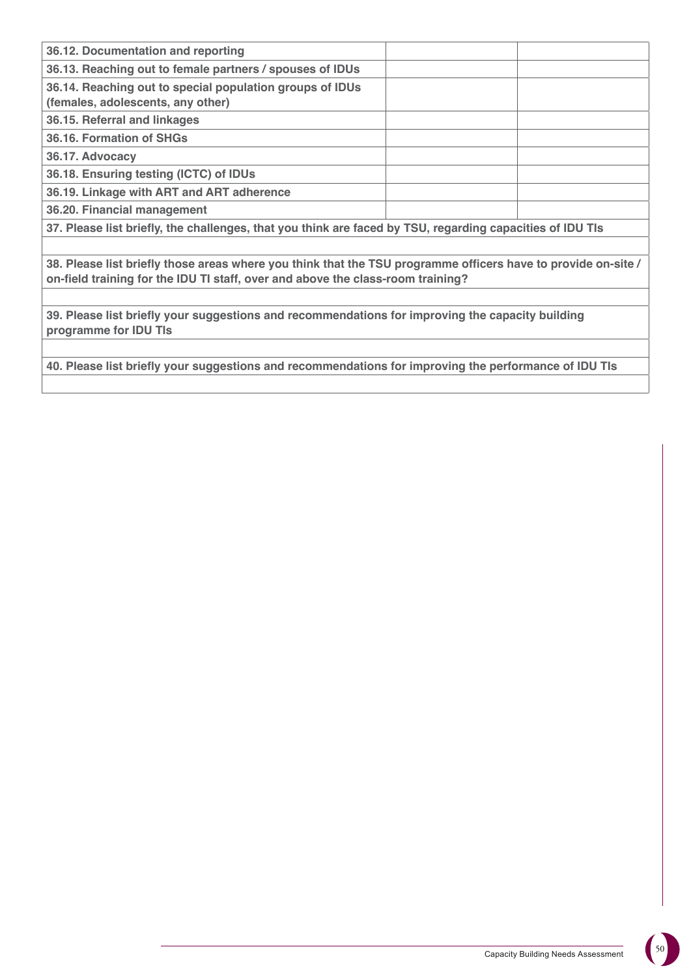| 36.12. Documentation and reporting                                                                                                                                                               |  |  |
|--------------------------------------------------------------------------------------------------------------------------------------------------------------------------------------------------|--|--|
| 36.13. Reaching out to female partners / spouses of IDUs                                                                                                                                         |  |  |
| 36.14. Reaching out to special population groups of IDUs<br>(females, adolescents, any other)                                                                                                    |  |  |
| 36.15. Referral and linkages                                                                                                                                                                     |  |  |
| 36.16. Formation of SHGs                                                                                                                                                                         |  |  |
| 36.17. Advocacy                                                                                                                                                                                  |  |  |
| 36.18. Ensuring testing (ICTC) of IDUs                                                                                                                                                           |  |  |
| 36.19. Linkage with ART and ART adherence                                                                                                                                                        |  |  |
| 36.20. Financial management                                                                                                                                                                      |  |  |
| 37. Please list briefly, the challenges, that you think are faced by TSU, regarding capacities of IDU TIs                                                                                        |  |  |
|                                                                                                                                                                                                  |  |  |
| 38. Please list briefly those areas where you think that the TSU programme officers have to provide on-site /<br>on-field training for the IDU TI staff, over and above the class-room training? |  |  |
|                                                                                                                                                                                                  |  |  |
| 39. Please list briefly your suggestions and recommendations for improving the capacity building<br>programme for IDU TIs                                                                        |  |  |

**40. Please list briefly your suggestions and recommendations for improving the performance of IDU TIs**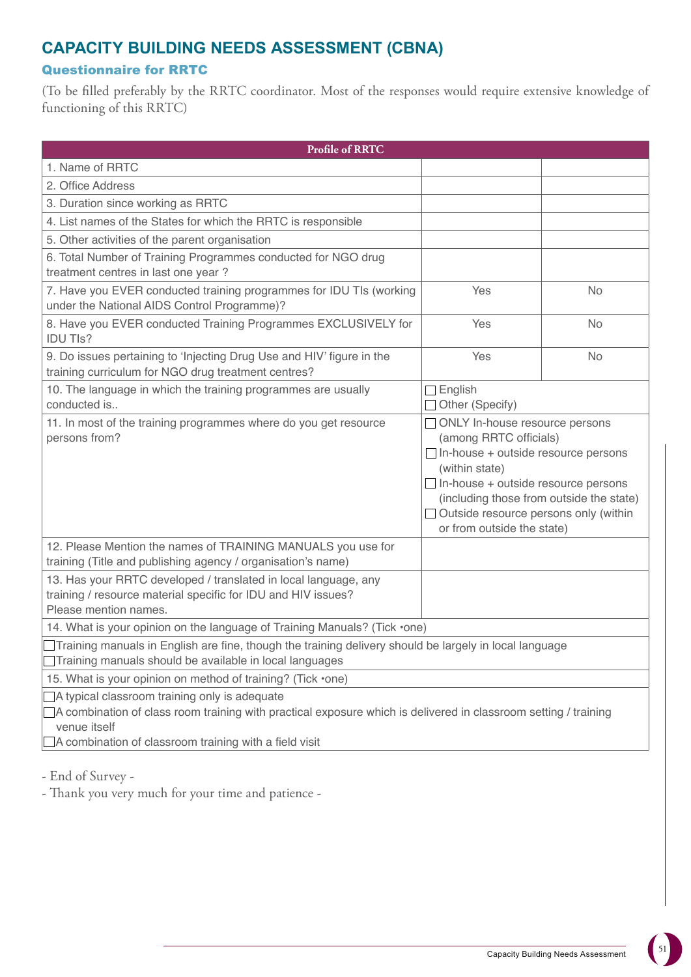# **CAPACITY BUILDING NEEDS ASSESSMENT (CBNA)**

# Questionnaire for RRTC

(To be filled preferably by the RRTC coordinator. Most of the responses would require extensive knowledge of functioning of this RRTC)

| <b>Profile of RRTC</b>                                                                                                                                                                                                                       |                                                                                                                                                                                                                                                                                             |    |
|----------------------------------------------------------------------------------------------------------------------------------------------------------------------------------------------------------------------------------------------|---------------------------------------------------------------------------------------------------------------------------------------------------------------------------------------------------------------------------------------------------------------------------------------------|----|
| 1. Name of RRTC                                                                                                                                                                                                                              |                                                                                                                                                                                                                                                                                             |    |
| 2. Office Address                                                                                                                                                                                                                            |                                                                                                                                                                                                                                                                                             |    |
| 3. Duration since working as RRTC                                                                                                                                                                                                            |                                                                                                                                                                                                                                                                                             |    |
| 4. List names of the States for which the RRTC is responsible                                                                                                                                                                                |                                                                                                                                                                                                                                                                                             |    |
| 5. Other activities of the parent organisation                                                                                                                                                                                               |                                                                                                                                                                                                                                                                                             |    |
| 6. Total Number of Training Programmes conducted for NGO drug<br>treatment centres in last one year?                                                                                                                                         |                                                                                                                                                                                                                                                                                             |    |
| 7. Have you EVER conducted training programmes for IDU TIs (working<br>under the National AIDS Control Programme)?                                                                                                                           | Yes                                                                                                                                                                                                                                                                                         | No |
| 8. Have you EVER conducted Training Programmes EXCLUSIVELY for<br><b>IDU TIs?</b>                                                                                                                                                            | Yes                                                                                                                                                                                                                                                                                         | No |
| 9. Do issues pertaining to 'Injecting Drug Use and HIV' figure in the<br>training curriculum for NGO drug treatment centres?                                                                                                                 | Yes                                                                                                                                                                                                                                                                                         | No |
| 10. The language in which the training programmes are usually<br>conducted is                                                                                                                                                                | $\Box$ English<br>Other (Specify)                                                                                                                                                                                                                                                           |    |
| 11. In most of the training programmes where do you get resource<br>persons from?                                                                                                                                                            | ONLY In-house resource persons<br>(among RRTC officials)<br>$\Box$ In-house + outside resource persons<br>(within state)<br>$\Box$ In-house + outside resource persons<br>(including those from outside the state)<br>□ Outside resource persons only (within<br>or from outside the state) |    |
| 12. Please Mention the names of TRAINING MANUALS you use for<br>training (Title and publishing agency / organisation's name)                                                                                                                 |                                                                                                                                                                                                                                                                                             |    |
| 13. Has your RRTC developed / translated in local language, any<br>training / resource material specific for IDU and HIV issues?<br>Please mention names.                                                                                    |                                                                                                                                                                                                                                                                                             |    |
| 14. What is your opinion on the language of Training Manuals? (Tick .one)                                                                                                                                                                    |                                                                                                                                                                                                                                                                                             |    |
| □ Training manuals in English are fine, though the training delivery should be largely in local language<br>□ Training manuals should be available in local languages                                                                        |                                                                                                                                                                                                                                                                                             |    |
| 15. What is your opinion on method of training? (Tick .one)                                                                                                                                                                                  |                                                                                                                                                                                                                                                                                             |    |
| A typical classroom training only is adequate<br>□ A combination of class room training with practical exposure which is delivered in classroom setting / training<br>venue itself<br>A combination of classroom training with a field visit |                                                                                                                                                                                                                                                                                             |    |

- End of Survey -

- Thank you very much for your time and patience -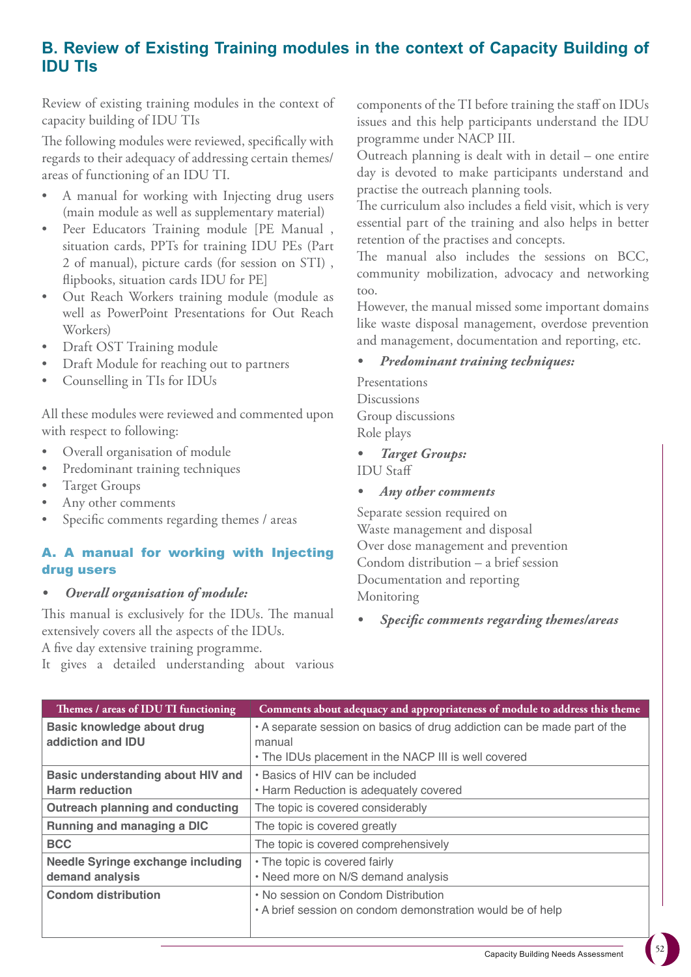# **B. Review of Existing Training modules in the context of Capacity Building of IDU TIs**

Review of existing training modules in the context of capacity building of IDU TIs

The following modules were reviewed, specifically with regards to their adequacy of addressing certain themes/ areas of functioning of an IDU TI.

- A manual for working with Injecting drug users (main module as well as supplementary material)
- Peer Educators Training module [PE Manual, situation cards, PPTs for training IDU PEs (Part 2 of manual), picture cards (for session on STI) , flipbooks, situation cards IDU for PE]
- Out Reach Workers training module (module as well as PowerPoint Presentations for Out Reach Workers)
- Draft OST Training module
- Draft Module for reaching out to partners
- Counselling in TIs for IDUs

All these modules were reviewed and commented upon with respect to following:

- Overall organisation of module
- Predominant training techniques
- **Target Groups**
- Any other comments
- Specific comments regarding themes / areas

### A. A manual for working with Injecting drug users

#### *<u>Overall</u>* organisation of module:

This manual is exclusively for the IDUs. The manual extensively covers all the aspects of the IDUs.

A five day extensive training programme.

It gives a detailed understanding about various

components of the TI before training the staff on IDUs issues and this help participants understand the IDU programme under NACP III.

Outreach planning is dealt with in detail – one entire day is devoted to make participants understand and practise the outreach planning tools.

The curriculum also includes a field visit, which is very essential part of the training and also helps in better retention of the practises and concepts.

The manual also includes the sessions on BCC, community mobilization, advocacy and networking too.

However, the manual missed some important domains like waste disposal management, overdose prevention and management, documentation and reporting, etc.

#### *• Predominant training techniques:*

Presentations Discussions Group discussions Role plays

#### *• Target Groups:* IDU Staff

*• Any other comments*

Separate session required on Waste management and disposal Over dose management and prevention Condom distribution – a brief session Documentation and reporting Monitoring

*• Specific comments regarding themes/areas* 

| Themes / areas of IDU TI functioning     | Comments about adequacy and appropriateness of module to address this theme |
|------------------------------------------|-----------------------------------------------------------------------------|
| Basic knowledge about drug               | • A separate session on basics of drug addiction can be made part of the    |
| addiction and <b>IDU</b>                 | manual                                                                      |
|                                          | • The IDUs placement in the NACP III is well covered                        |
| Basic understanding about HIV and        | • Basics of HIV can be included                                             |
| <b>Harm reduction</b>                    | • Harm Reduction is adequately covered                                      |
| <b>Outreach planning and conducting</b>  | The topic is covered considerably                                           |
| Running and managing a DIC               | The topic is covered greatly                                                |
| <b>BCC</b>                               | The topic is covered comprehensively                                        |
| <b>Needle Syringe exchange including</b> | • The topic is covered fairly                                               |
| demand analysis                          | • Need more on N/S demand analysis                                          |
| <b>Condom distribution</b>               | • No session on Condom Distribution                                         |
|                                          | • A brief session on condom demonstration would be of help                  |
|                                          |                                                                             |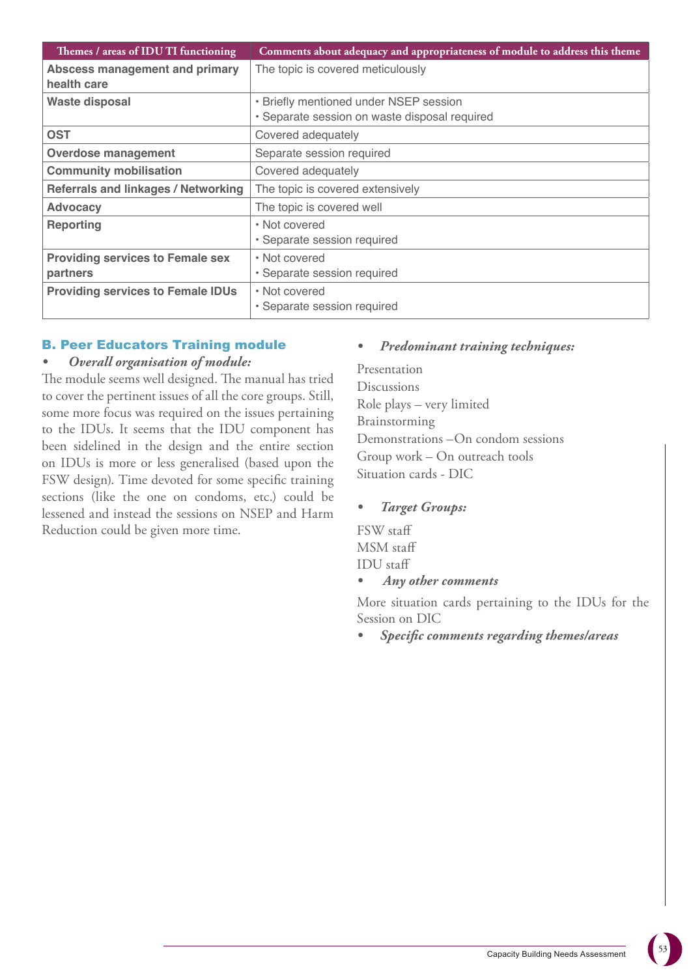| Themes / areas of IDU TI functioning                | Comments about adequacy and appropriateness of module to address this theme             |
|-----------------------------------------------------|-----------------------------------------------------------------------------------------|
| Abscess management and primary<br>health care       | The topic is covered meticulously                                                       |
| <b>Waste disposal</b>                               | • Briefly mentioned under NSEP session<br>· Separate session on waste disposal required |
| <b>OST</b>                                          | Covered adequately                                                                      |
| <b>Overdose management</b>                          | Separate session required                                                               |
| <b>Community mobilisation</b>                       | Covered adequately                                                                      |
| <b>Referrals and linkages / Networking</b>          | The topic is covered extensively                                                        |
| <b>Advocacy</b>                                     | The topic is covered well                                                               |
| <b>Reporting</b>                                    | • Not covered<br>• Separate session required                                            |
| <b>Providing services to Female sex</b><br>partners | • Not covered<br>• Separate session required                                            |
| <b>Providing services to Female IDUs</b>            | • Not covered<br>· Separate session required                                            |

#### B. Peer Educators Training module

#### *• Overall organisation of module:*

The module seems well designed. The manual has tried to cover the pertinent issues of all the core groups. Still, some more focus was required on the issues pertaining to the IDUs. It seems that the IDU component has been sidelined in the design and the entire section on IDUs is more or less generalised (based upon the FSW design). Time devoted for some specific training sections (like the one on condoms, etc.) could be lessened and instead the sessions on NSEP and Harm Reduction could be given more time.

#### *• Predominant training techniques:*

Presentation Discussions Role plays – very limited Brainstorming Demonstrations –On condom sessions Group work – On outreach tools Situation cards - DIC

#### *• Target Groups:*

FSW staff MSM staff IDU staff

*• Any other comments*

More situation cards pertaining to the IDUs for the Session on DIC

*• Specific comments regarding themes/areas*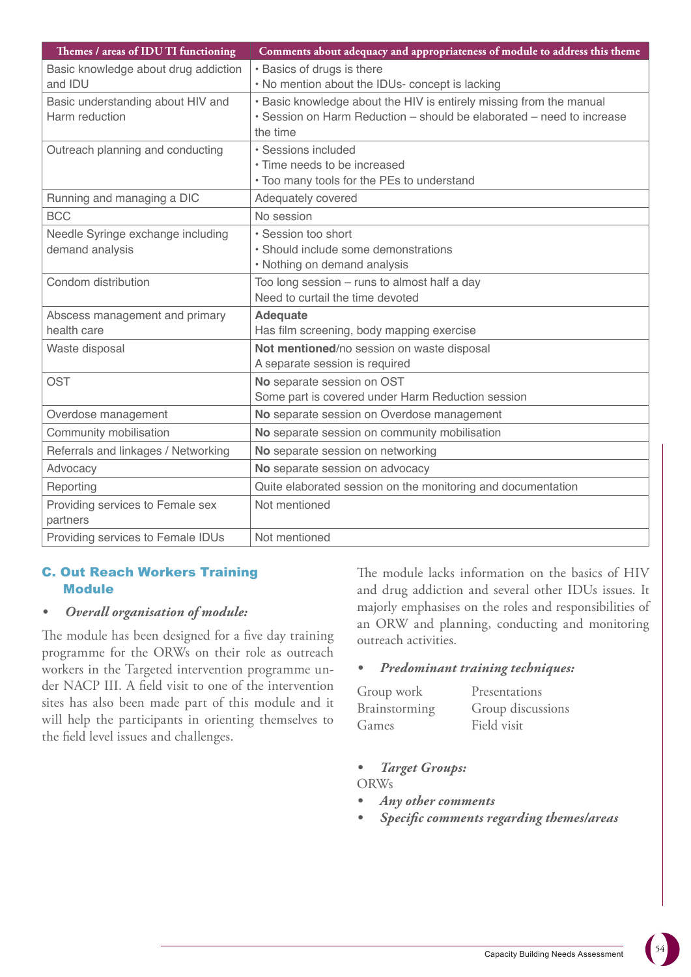| Themes / areas of IDU TI functioning          | Comments about adequacy and appropriateness of module to address this theme      |
|-----------------------------------------------|----------------------------------------------------------------------------------|
| Basic knowledge about drug addiction          | • Basics of drugs is there                                                       |
| and IDU                                       | . No mention about the IDUs- concept is lacking                                  |
| Basic understanding about HIV and             | . Basic knowledge about the HIV is entirely missing from the manual              |
| Harm reduction                                | • Session on Harm Reduction – should be elaborated – need to increase            |
|                                               | the time                                                                         |
| Outreach planning and conducting              | • Sessions included                                                              |
|                                               | • Time needs to be increased<br>• Too many tools for the PEs to understand       |
|                                               |                                                                                  |
| Running and managing a DIC                    | Adequately covered                                                               |
| <b>BCC</b>                                    | No session                                                                       |
| Needle Syringe exchange including             | · Session too short                                                              |
| demand analysis                               | • Should include some demonstrations                                             |
|                                               | • Nothing on demand analysis                                                     |
| Condom distribution                           | Too long session - runs to almost half a day<br>Need to curtail the time devoted |
|                                               |                                                                                  |
| Abscess management and primary<br>health care | <b>Adequate</b>                                                                  |
|                                               | Has film screening, body mapping exercise                                        |
| Waste disposal                                | Not mentioned/no session on waste disposal<br>A separate session is required     |
|                                               |                                                                                  |
| <b>OST</b>                                    | No separate session on OST<br>Some part is covered under Harm Reduction session  |
|                                               |                                                                                  |
| Overdose management                           | No separate session on Overdose management                                       |
| Community mobilisation                        | No separate session on community mobilisation                                    |
| Referrals and linkages / Networking           | No separate session on networking                                                |
| Advocacy                                      | No separate session on advocacy                                                  |
| Reporting                                     | Quite elaborated session on the monitoring and documentation                     |
| Providing services to Female sex              | Not mentioned                                                                    |
| partners                                      |                                                                                  |
| Providing services to Female IDUs             | Not mentioned                                                                    |

#### C. Out Reach Workers Training **Module**

#### *• Overall organisation of module:*

The module has been designed for a five day training programme for the ORWs on their role as outreach workers in the Targeted intervention programme under NACP III. A field visit to one of the intervention sites has also been made part of this module and it will help the participants in orienting themselves to the field level issues and challenges.

The module lacks information on the basics of HIV and drug addiction and several other IDUs issues. It majorly emphasises on the roles and responsibilities of an ORW and planning, conducting and monitoring outreach activities.

#### *• Predominant training techniques:*

| Group work    | Presentations     |
|---------------|-------------------|
| Brainstorming | Group discussions |
| Games         | Field visit       |

*• Target Groups:*

ORWs

- *• Any other comments*
- *• Specific comments regarding themes/areas*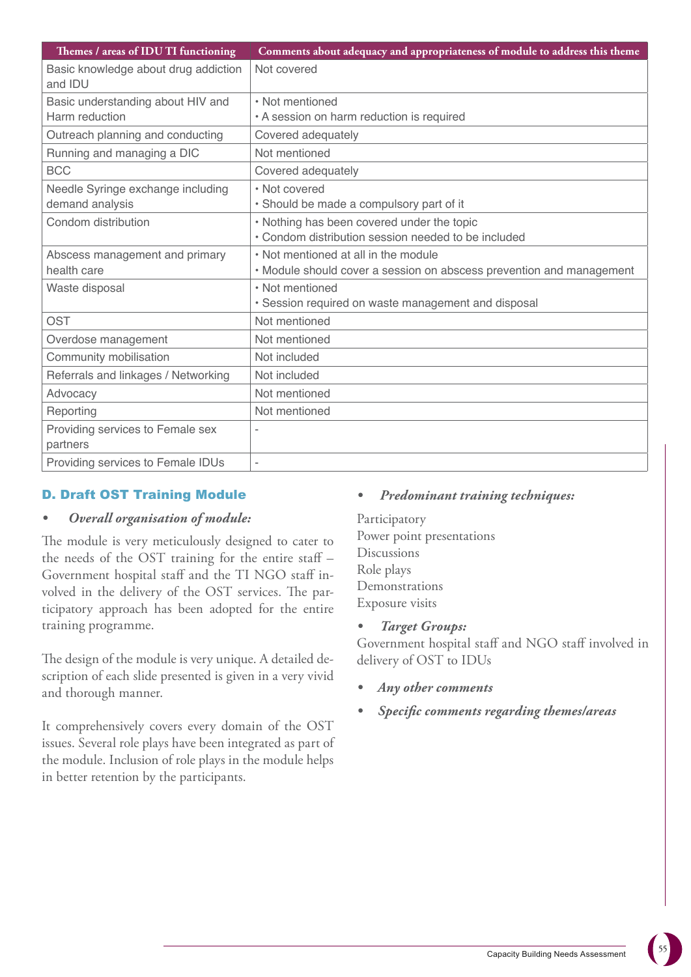| Themes / areas of IDU TI functioning            | Comments about adequacy and appropriateness of module to address this theme |
|-------------------------------------------------|-----------------------------------------------------------------------------|
| Basic knowledge about drug addiction<br>and IDU | Not covered                                                                 |
| Basic understanding about HIV and               | • Not mentioned                                                             |
| Harm reduction                                  | • A session on harm reduction is required                                   |
| Outreach planning and conducting                | Covered adequately                                                          |
| Running and managing a DIC                      | Not mentioned                                                               |
| <b>BCC</b>                                      | Covered adequately                                                          |
| Needle Syringe exchange including               | • Not covered                                                               |
| demand analysis                                 | · Should be made a compulsory part of it                                    |
| Condom distribution                             | . Nothing has been covered under the topic                                  |
|                                                 | • Condom distribution session needed to be included                         |
| Abscess management and primary                  | • Not mentioned at all in the module                                        |
| health care                                     | • Module should cover a session on abscess prevention and management        |
| Waste disposal                                  | • Not mentioned                                                             |
|                                                 | · Session required on waste management and disposal                         |
| <b>OST</b>                                      | Not mentioned                                                               |
| Overdose management                             | Not mentioned                                                               |
| Community mobilisation                          | Not included                                                                |
| Referrals and linkages / Networking             | Not included                                                                |
| Advocacy                                        | Not mentioned                                                               |
| Reporting                                       | Not mentioned                                                               |
| Providing services to Female sex                | ÷                                                                           |
| partners                                        |                                                                             |
| Providing services to Female IDUs               | $\overline{\phantom{a}}$                                                    |

### D. Draft OST Training Module

#### *• Overall organisation of module:*

The module is very meticulously designed to cater to the needs of the OST training for the entire staff – Government hospital staff and the TI NGO staff involved in the delivery of the OST services. The participatory approach has been adopted for the entire training programme.

The design of the module is very unique. A detailed description of each slide presented is given in a very vivid and thorough manner.

It comprehensively covers every domain of the OST issues. Several role plays have been integrated as part of the module. Inclusion of role plays in the module helps in better retention by the participants.

#### *• Predominant training techniques:*

Participatory Power point presentations Discussions Role plays Demonstrations Exposure visits

#### *• Target Groups:*

Government hospital staff and NGO staff involved in delivery of OST to IDUs

- *• Any other comments*
- *• Specific comments regarding themes/areas*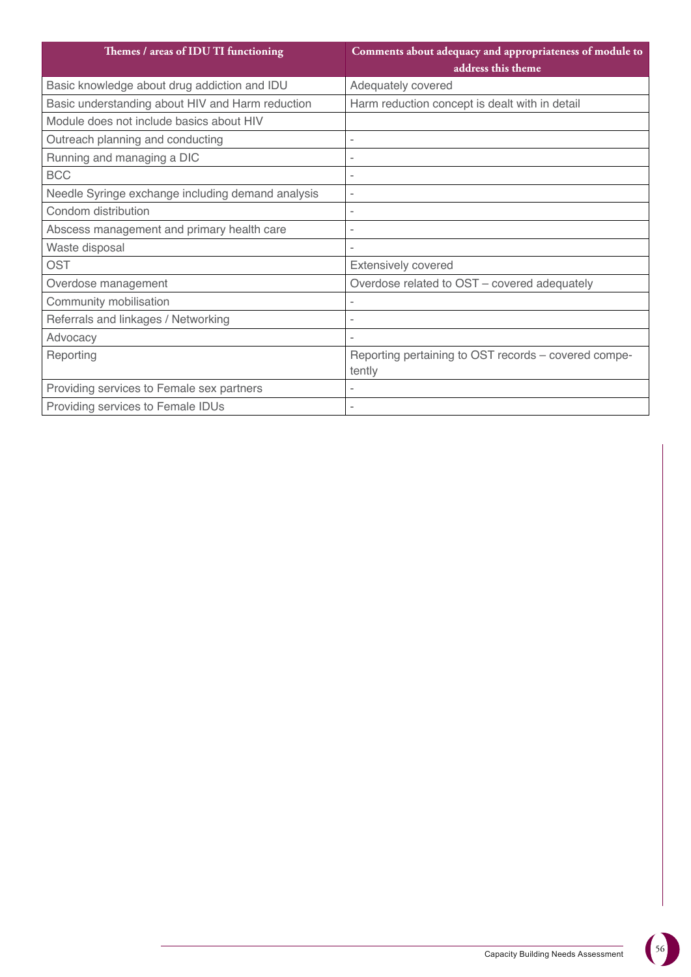| Themes / areas of IDU TI functioning              | Comments about adequacy and appropriateness of module to       |
|---------------------------------------------------|----------------------------------------------------------------|
|                                                   | address this theme                                             |
| Basic knowledge about drug addiction and IDU      | Adequately covered                                             |
| Basic understanding about HIV and Harm reduction  | Harm reduction concept is dealt with in detail                 |
| Module does not include basics about HIV          |                                                                |
| Outreach planning and conducting                  | $\blacksquare$                                                 |
| Running and managing a DIC                        | ۰                                                              |
| <b>BCC</b>                                        | $\blacksquare$                                                 |
| Needle Syringe exchange including demand analysis | $\blacksquare$                                                 |
| Condom distribution                               | $\blacksquare$                                                 |
| Abscess management and primary health care        | ٠                                                              |
| Waste disposal                                    |                                                                |
| <b>OST</b>                                        | <b>Extensively covered</b>                                     |
| Overdose management                               | Overdose related to OST - covered adequately                   |
| Community mobilisation                            |                                                                |
| Referrals and linkages / Networking               | ۰                                                              |
| Advocacy                                          |                                                                |
| Reporting                                         | Reporting pertaining to OST records - covered compe-<br>tently |
| Providing services to Female sex partners         |                                                                |
| Providing services to Female IDUs                 | $\blacksquare$                                                 |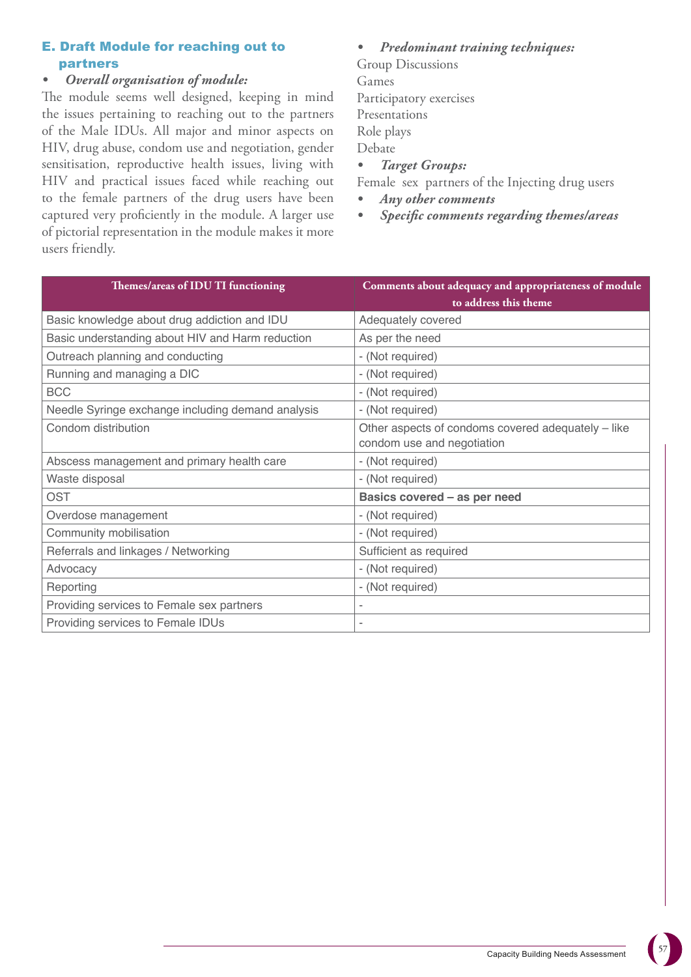### E. Draft Module for reaching out to partners

#### *• Overall organisation of module:*

The module seems well designed, keeping in mind the issues pertaining to reaching out to the partners of the Male IDUs. All major and minor aspects on HIV, drug abuse, condom use and negotiation, gender sensitisation, reproductive health issues, living with HIV and practical issues faced while reaching out to the female partners of the drug users have been captured very proficiently in the module. A larger use of pictorial representation in the module makes it more users friendly.

#### *• Predominant training techniques:*

Group Discussions Games Participatory exercises Presentations Role plays Debate

#### *• Target Groups:*

Female sex partners of the Injecting drug users

- *• Any other comments*
- *• Specific comments regarding themes/areas*

| Themes/areas of IDU TI functioning                | Comments about adequacy and appropriateness of module<br>to address this theme   |
|---------------------------------------------------|----------------------------------------------------------------------------------|
| Basic knowledge about drug addiction and IDU      | Adequately covered                                                               |
| Basic understanding about HIV and Harm reduction  | As per the need                                                                  |
| Outreach planning and conducting                  | - (Not required)                                                                 |
| Running and managing a DIC                        | - (Not required)                                                                 |
| <b>BCC</b>                                        | - (Not required)                                                                 |
| Needle Syringe exchange including demand analysis | - (Not required)                                                                 |
| Condom distribution                               | Other aspects of condoms covered adequately - like<br>condom use and negotiation |
| Abscess management and primary health care        | - (Not required)                                                                 |
| Waste disposal                                    | - (Not required)                                                                 |
| <b>OST</b>                                        | Basics covered - as per need                                                     |
| Overdose management                               | - (Not required)                                                                 |
| Community mobilisation                            | - (Not required)                                                                 |
| Referrals and linkages / Networking               | Sufficient as required                                                           |
| Advocacy                                          | - (Not required)                                                                 |
| Reporting                                         | - (Not required)                                                                 |
| Providing services to Female sex partners         |                                                                                  |
| Providing services to Female IDUs                 |                                                                                  |